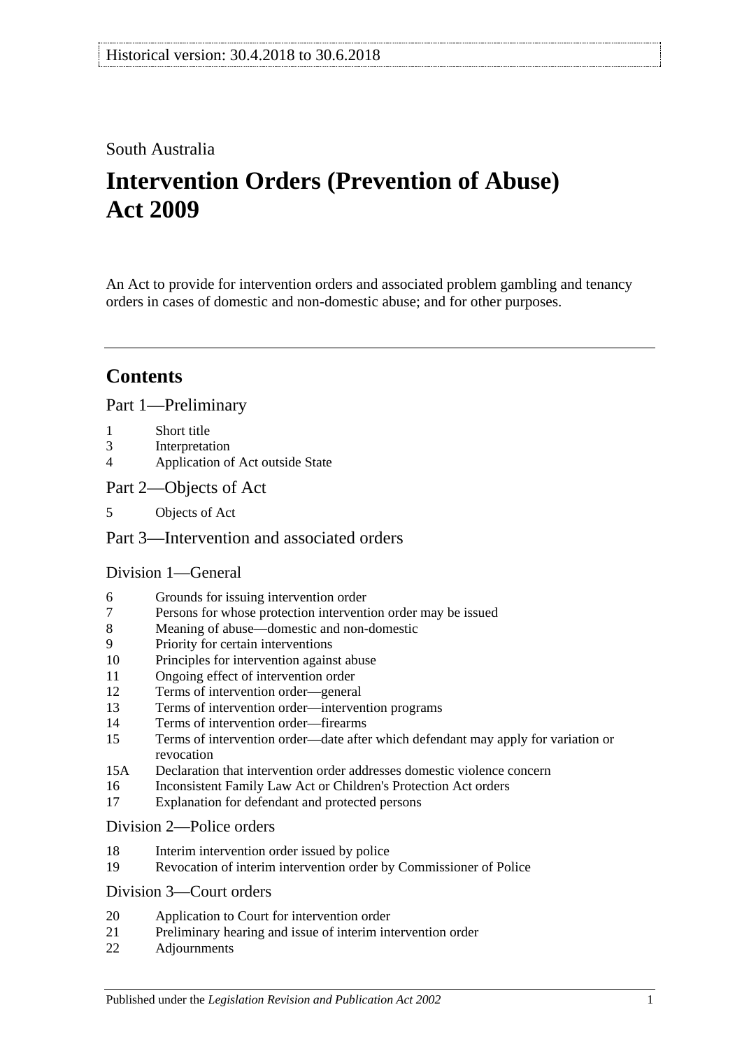## South Australia

# **Intervention Orders (Prevention of Abuse) Act 2009**

An Act to provide for intervention orders and associated problem gambling and tenancy orders in cases of domestic and non-domestic abuse; and for other purposes.

## **Contents**

[Part 1—Preliminary](#page-3-0)

- 1 [Short title](#page-3-1)
- 3 [Interpretation](#page-3-2)
- 4 [Application of Act outside State](#page-6-0)
- [Part 2—Objects of Act](#page-6-1)
- 5 [Objects of Act](#page-6-2)

## [Part 3—Intervention and associated orders](#page-6-3)

## [Division 1—General](#page-6-4)

- 6 [Grounds for issuing intervention order](#page-6-5)
- 7 [Persons for whose protection intervention order may be issued](#page-6-6)
- 8 [Meaning of abuse—domestic and non-domestic](#page-7-0)
- 9 [Priority for certain interventions](#page-10-0)
- 10 [Principles for intervention against abuse](#page-10-1)
- 11 [Ongoing effect of intervention order](#page-11-0)
- 12 [Terms of intervention order—general](#page-11-1)
- 13 [Terms of intervention order—intervention programs](#page-13-0)
- 14 [Terms of intervention order—firearms](#page-13-1)
- 15 [Terms of intervention order—date after which defendant may apply for variation or](#page-14-0)  [revocation](#page-14-0)
- 15A [Declaration that intervention order addresses domestic violence concern](#page-14-1)
- 16 [Inconsistent Family Law Act or Children's Protection Act orders](#page-14-2)
- 17 [Explanation for defendant and protected persons](#page-14-3)

#### [Division 2—Police orders](#page-15-0)

- 18 [Interim intervention order issued by police](#page-15-1)
- 19 [Revocation of interim intervention order by Commissioner of Police](#page-16-0)

#### [Division 3—Court orders](#page-16-1)

- 20 [Application to Court for intervention order](#page-16-2)
- 21 [Preliminary hearing and issue of interim intervention](#page-17-0) order
- 22 [Adjournments](#page-19-0)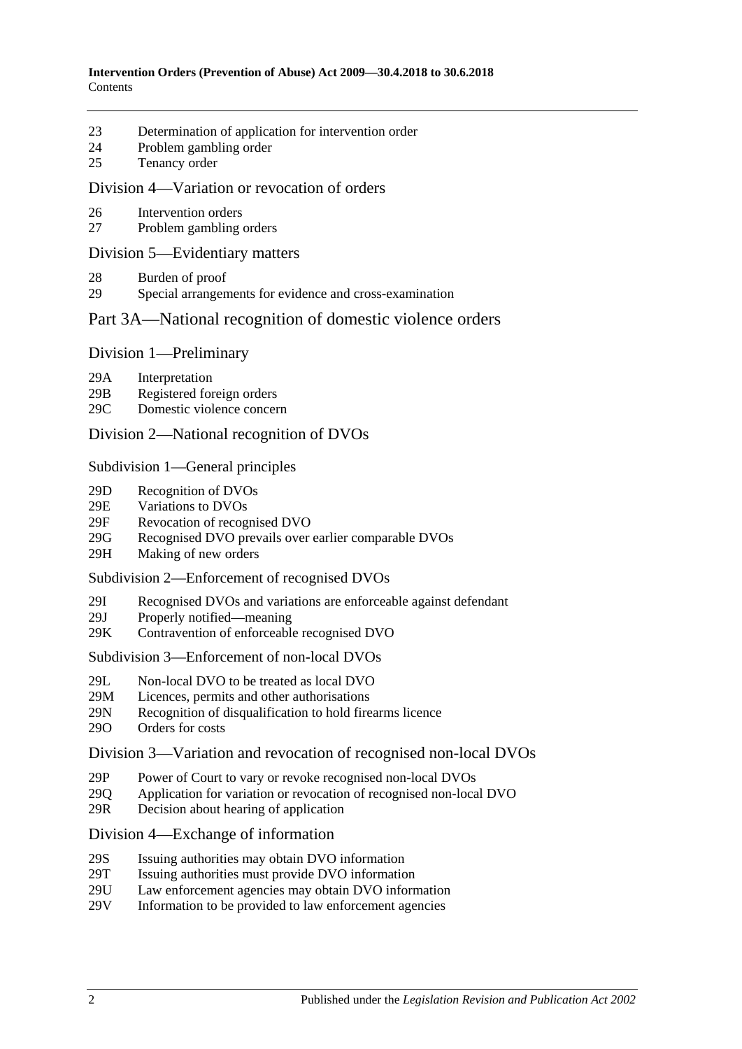- 23 [Determination of application for intervention order](#page-19-1)
- 24 [Problem gambling order](#page-21-0)
- 25 [Tenancy order](#page-22-0)

#### [Division 4—Variation or revocation of orders](#page-23-0)

- 26 [Intervention orders](#page-23-1)
- 27 [Problem gambling orders](#page-25-0)

#### [Division 5—Evidentiary matters](#page-25-1)

- 28 [Burden of proof](#page-25-2)
- 29 [Special arrangements for evidence and cross-examination](#page-25-3)

## [Part 3A—National recognition of domestic violence orders](#page-26-0)

#### Division [1—Preliminary](#page-26-1)

- 29A [Interpretation](#page-26-2)
- 29B [Registered foreign orders](#page-27-0)
- 29C [Domestic violence concern](#page-28-0)

#### Division [2—National recognition of DVOs](#page-28-1)

#### Subdivision [1—General principles](#page-28-2)

- 29D [Recognition of DVOs](#page-28-3)
- 29E [Variations to DVOs](#page-29-0)
- 29F [Revocation of recognised DVO](#page-29-1)
- 29G [Recognised DVO prevails over earlier comparable DVOs](#page-29-2)
- 29H [Making of new orders](#page-30-0)

#### Subdivision [2—Enforcement of recognised DVOs](#page-30-1)

- 29I [Recognised DVOs and variations are enforceable against defendant](#page-30-2)
- 29J [Properly notified—meaning](#page-31-0)
- 29K [Contravention of enforceable recognised DVO](#page-31-1)

#### Subdivision [3—Enforcement of non-local DVOs](#page-31-2)

- 29L [Non-local DVO to be treated as local DVO](#page-31-3)
- 29M [Licences, permits and other authorisations](#page-32-0)<br>29N Recognition of disqualification to hold fire
- [Recognition of disqualification to hold firearms licence](#page-32-1)
- 29O [Orders for costs](#page-32-2)

#### Division [3—Variation and revocation of recognised non-local DVOs](#page-33-0)

- 29P [Power of Court to vary or revoke recognised non-local DVOs](#page-33-1)
- 29Q [Application for variation or revocation of recognised non-local DVO](#page-33-2)
- 29R [Decision about hearing of application](#page-33-3)

#### Division [4—Exchange of information](#page-34-0)

- 29S [Issuing authorities may obtain DVO information](#page-34-1)
- 29T [Issuing authorities must provide DVO information](#page-34-2)
- 29U [Law enforcement agencies may obtain DVO information](#page-35-0)
- 29V [Information to be provided to law enforcement agencies](#page-35-1)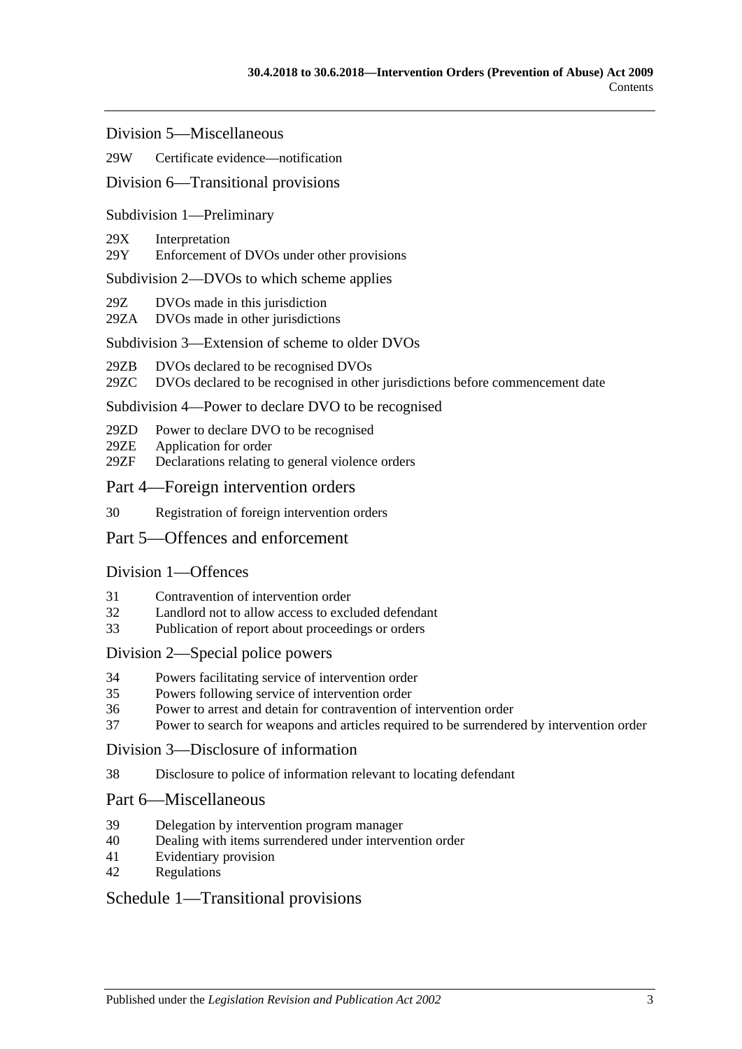Division [5—Miscellaneous](#page-35-2)

#### 29W [Certificate evidence—notification](#page-35-3)

#### Division [6—Transitional provisions](#page-36-0)

#### Subdivision [1—Preliminary](#page-36-1)

#### 29X [Interpretation](#page-36-2)

29Y [Enforcement of DVOs under other provisions](#page-36-3)

#### Subdivision [2—DVOs to which scheme applies](#page-36-4)

- 29Z [DVOs made in this jurisdiction](#page-36-5)
- 29ZA [DVOs made in other jurisdictions](#page-36-6)

#### Subdivision [3—Extension of scheme to older DVOs](#page-37-0)

- 29ZB [DVOs declared to be recognised DVOs](#page-37-1)
- 29ZC [DVOs declared to be recognised in other jurisdictions before commencement date](#page-37-2)

#### Subdivision [4—Power to declare DVO to be recognised](#page-37-3)

- 29ZD [Power to declare DVO to be recognised](#page-37-4)
- 29ZE [Application for order](#page-38-0)
- 29ZF [Declarations relating to general violence orders](#page-38-1)

#### [Part 4—Foreign intervention orders](#page-38-2)

30 [Registration of foreign intervention orders](#page-38-3)

#### [Part 5—Offences and enforcement](#page-39-0)

#### [Division 1—Offences](#page-39-1)

- 31 [Contravention of intervention order](#page-39-2)
- 32 [Landlord not to allow access to excluded defendant](#page-39-3)
- 33 [Publication of report about proceedings or orders](#page-40-0)

#### [Division 2—Special police powers](#page-40-1)

- 34 [Powers facilitating service of intervention order](#page-40-2)
- 35 [Powers following service of intervention order](#page-41-0)
- 36 [Power to arrest and detain for contravention of intervention order](#page-42-0)
- 37 [Power to search for weapons and articles required to be surrendered by intervention order](#page-42-1)

#### [Division 3—Disclosure of information](#page-42-2)

38 [Disclosure to police of information relevant to locating defendant](#page-42-3)

#### [Part 6—Miscellaneous](#page-42-4)

- 39 [Delegation by intervention program manager](#page-42-5)
- 40 [Dealing with items surrendered under intervention order](#page-43-0)
- 41 [Evidentiary provision](#page-43-1)
- 42 [Regulations](#page-43-2)

#### [Schedule 1—Transitional provisions](#page-43-3)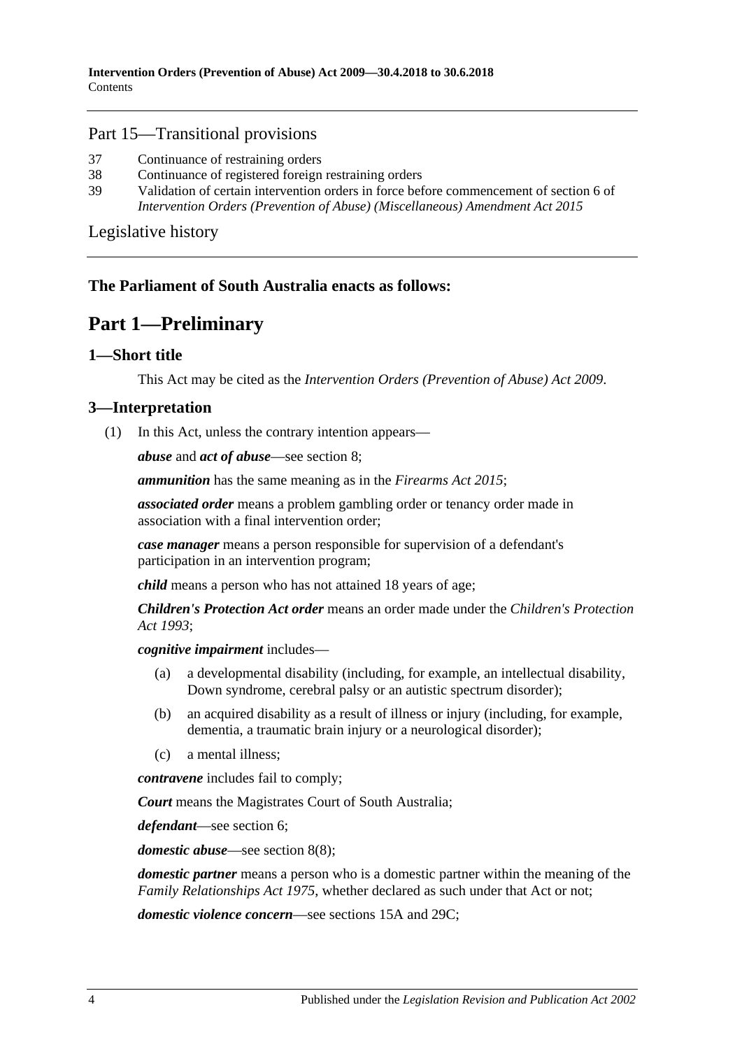#### Part 15—Transitional provisions

- 37 [Continuance of restraining orders](#page-43-4)
- 38 [Continuance of registered foreign restraining orders](#page-43-5)
- 39 [Validation of certain intervention orders in force before commencement of section](#page-44-0) 6 of *[Intervention Orders \(Prevention of Abuse\) \(Miscellaneous\) Amendment Act](#page-44-0) 2015*

[Legislative history](#page-45-0)

## <span id="page-3-0"></span>**The Parliament of South Australia enacts as follows:**

## **Part 1—Preliminary**

## <span id="page-3-1"></span>**1—Short title**

This Act may be cited as the *Intervention Orders (Prevention of Abuse) Act 2009*.

## <span id="page-3-3"></span><span id="page-3-2"></span>**3—Interpretation**

(1) In this Act, unless the contrary intention appears—

*abuse* and *act of abuse*—see [section](#page-7-0) 8;

*ammunition* has the same meaning as in the *[Firearms Act 2015](http://www.legislation.sa.gov.au/index.aspx?action=legref&type=act&legtitle=Firearms%20Act%202015)*;

*associated order* means a problem gambling order or tenancy order made in association with a final intervention order;

*case manager* means a person responsible for supervision of a defendant's participation in an intervention program;

*child* means a person who has not attained 18 years of age;

*Children's Protection Act order* means an order made under the *[Children's Protection](http://www.legislation.sa.gov.au/index.aspx?action=legref&type=act&legtitle=Childrens%20Protection%20Act%201993)  Act [1993](http://www.legislation.sa.gov.au/index.aspx?action=legref&type=act&legtitle=Childrens%20Protection%20Act%201993)*;

*cognitive impairment* includes—

- (a) a developmental disability (including, for example, an intellectual disability, Down syndrome, cerebral palsy or an autistic spectrum disorder);
- (b) an acquired disability as a result of illness or injury (including, for example, dementia, a traumatic brain injury or a neurological disorder);
- (c) a mental illness;

*contravene* includes fail to comply;

*Court* means the Magistrates Court of South Australia;

*defendant*—see [section](#page-6-5) 6;

*domestic abuse*—see [section](#page-9-0) 8(8);

*domestic partner* means a person who is a domestic partner within the meaning of the *[Family Relationships Act](http://www.legislation.sa.gov.au/index.aspx?action=legref&type=act&legtitle=Family%20Relationships%20Act%201975) 1975*, whether declared as such under that Act or not;

*domestic violence concern*—see [sections](#page-14-1) 15A and [29C;](#page-28-0)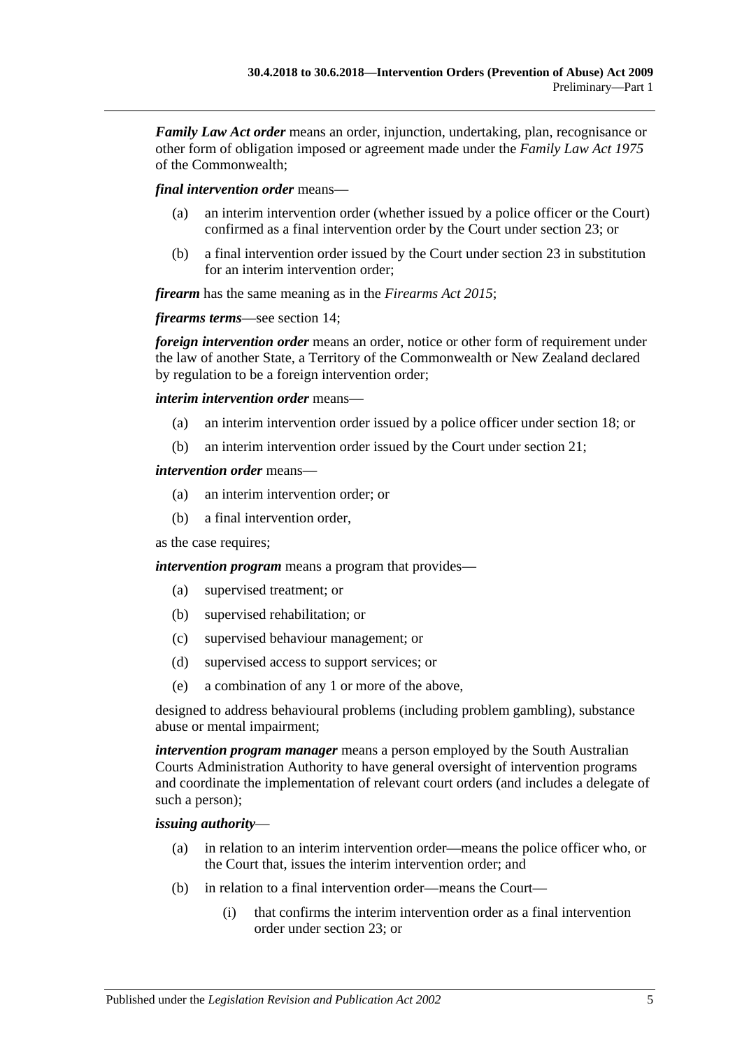*Family Law Act order* means an order, injunction, undertaking, plan, recognisance or other form of obligation imposed or agreement made under the *Family Law Act 1975* of the Commonwealth;

*final intervention order* means—

- (a) an interim intervention order (whether issued by a police officer or the Court) confirmed as a final intervention order by the Court under [section](#page-19-1) 23; or
- (b) a final intervention order issued by the Court under [section](#page-19-1) 23 in substitution for an interim intervention order;

*firearm* has the same meaning as in the *[Firearms Act](http://www.legislation.sa.gov.au/index.aspx?action=legref&type=act&legtitle=Firearms%20Act%202015) 2015*;

*firearms terms*—see [section](#page-13-1) 14;

*foreign intervention order* means an order, notice or other form of requirement under the law of another State, a Territory of the Commonwealth or New Zealand declared by regulation to be a foreign intervention order;

*interim intervention order* means—

- (a) an interim intervention order issued by a police officer under [section](#page-15-1) 18; or
- (b) an interim intervention order issued by the Court under [section](#page-17-0) 21;

#### *intervention order* means—

- (a) an interim intervention order; or
- (b) a final intervention order,

as the case requires;

*intervention program* means a program that provides—

- (a) supervised treatment; or
- (b) supervised rehabilitation; or
- (c) supervised behaviour management; or
- (d) supervised access to support services; or
- (e) a combination of any 1 or more of the above,

designed to address behavioural problems (including problem gambling), substance abuse or mental impairment;

*intervention program manager* means a person employed by the South Australian Courts Administration Authority to have general oversight of intervention programs and coordinate the implementation of relevant court orders (and includes a delegate of such a person);

#### *issuing authority*—

- (a) in relation to an interim intervention order—means the police officer who, or the Court that, issues the interim intervention order; and
- (b) in relation to a final intervention order—means the Court—
	- (i) that confirms the interim intervention order as a final intervention order under [section](#page-19-1) 23; or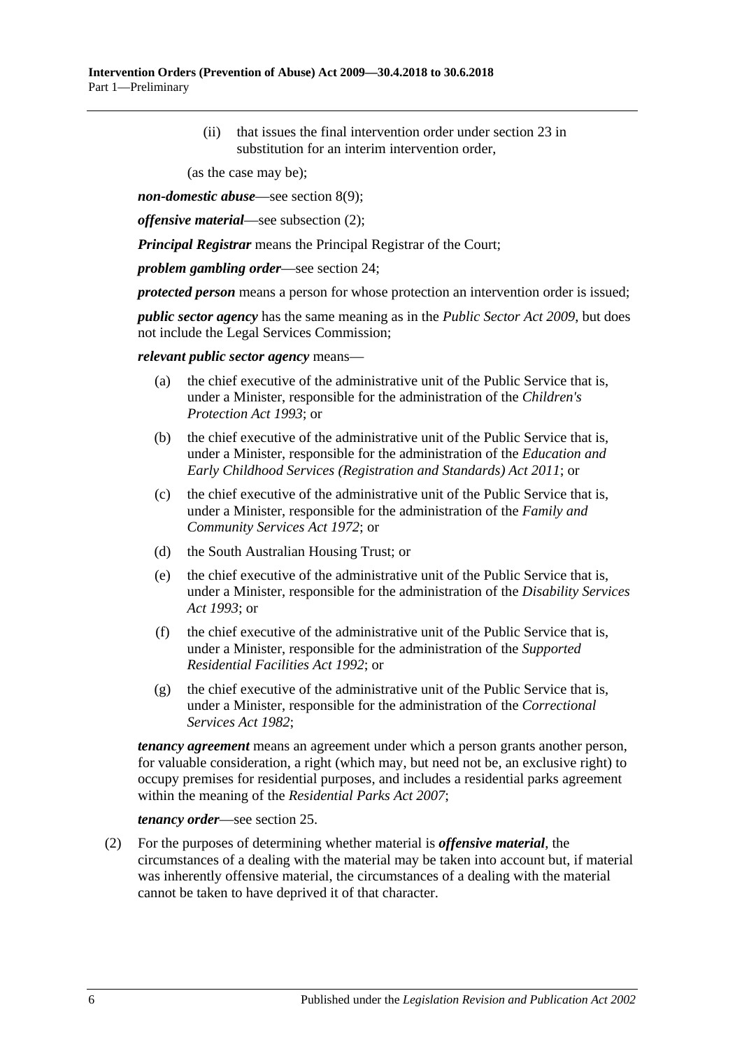(ii) that issues the final intervention order under [section](#page-19-1) 23 in substitution for an interim intervention order,

(as the case may be);

*non-domestic abuse*—see [section](#page-10-2) 8(9);

*offensive material*—see [subsection](#page-5-0) (2);

*Principal Registrar* means the Principal Registrar of the Court;

*problem gambling order*—see [section](#page-21-0) 24;

*protected person* means a person for whose protection an intervention order is issued;

*public sector agency* has the same meaning as in the *[Public Sector Act](http://www.legislation.sa.gov.au/index.aspx?action=legref&type=act&legtitle=Public%20Sector%20Act%202009) 2009*, but does not include the Legal Services Commission;

*relevant public sector agency* means—

- (a) the chief executive of the administrative unit of the Public Service that is, under a Minister, responsible for the administration of the *[Children's](http://www.legislation.sa.gov.au/index.aspx?action=legref&type=act&legtitle=Childrens%20Protection%20Act%201993)  [Protection Act](http://www.legislation.sa.gov.au/index.aspx?action=legref&type=act&legtitle=Childrens%20Protection%20Act%201993) 1993*; or
- (b) the chief executive of the administrative unit of the Public Service that is, under a Minister, responsible for the administration of the *[Education and](http://www.legislation.sa.gov.au/index.aspx?action=legref&type=act&legtitle=Education%20and%20Early%20Childhood%20Services%20(Registration%20and%20Standards)%20Act%202011)  [Early Childhood Services \(Registration and Standards\) Act](http://www.legislation.sa.gov.au/index.aspx?action=legref&type=act&legtitle=Education%20and%20Early%20Childhood%20Services%20(Registration%20and%20Standards)%20Act%202011) 2011*; or
- (c) the chief executive of the administrative unit of the Public Service that is, under a Minister, responsible for the administration of the *[Family and](http://www.legislation.sa.gov.au/index.aspx?action=legref&type=act&legtitle=Family%20and%20Community%20Services%20Act%201972)  [Community Services Act](http://www.legislation.sa.gov.au/index.aspx?action=legref&type=act&legtitle=Family%20and%20Community%20Services%20Act%201972) 1972*; or
- (d) the South Australian Housing Trust; or
- (e) the chief executive of the administrative unit of the Public Service that is, under a Minister, responsible for the administration of the *[Disability Services](http://www.legislation.sa.gov.au/index.aspx?action=legref&type=act&legtitle=Disability%20Services%20Act%201993)  Act [1993](http://www.legislation.sa.gov.au/index.aspx?action=legref&type=act&legtitle=Disability%20Services%20Act%201993)*; or
- (f) the chief executive of the administrative unit of the Public Service that is, under a Minister, responsible for the administration of the *[Supported](http://www.legislation.sa.gov.au/index.aspx?action=legref&type=act&legtitle=Supported%20Residential%20Facilities%20Act%201992)  [Residential Facilities Act](http://www.legislation.sa.gov.au/index.aspx?action=legref&type=act&legtitle=Supported%20Residential%20Facilities%20Act%201992) 1992*; or
- (g) the chief executive of the administrative unit of the Public Service that is, under a Minister, responsible for the administration of the *[Correctional](http://www.legislation.sa.gov.au/index.aspx?action=legref&type=act&legtitle=Correctional%20Services%20Act%201982)  [Services Act](http://www.legislation.sa.gov.au/index.aspx?action=legref&type=act&legtitle=Correctional%20Services%20Act%201982) 1982*;

*tenancy agreement* means an agreement under which a person grants another person, for valuable consideration, a right (which may, but need not be, an exclusive right) to occupy premises for residential purposes, and includes a residential parks agreement within the meaning of the *[Residential Parks Act](http://www.legislation.sa.gov.au/index.aspx?action=legref&type=act&legtitle=Residential%20Parks%20Act%202007) 2007*;

*tenancy order*—see [section](#page-22-0) 25.

<span id="page-5-0"></span>(2) For the purposes of determining whether material is *offensive material*, the circumstances of a dealing with the material may be taken into account but, if material was inherently offensive material, the circumstances of a dealing with the material cannot be taken to have deprived it of that character.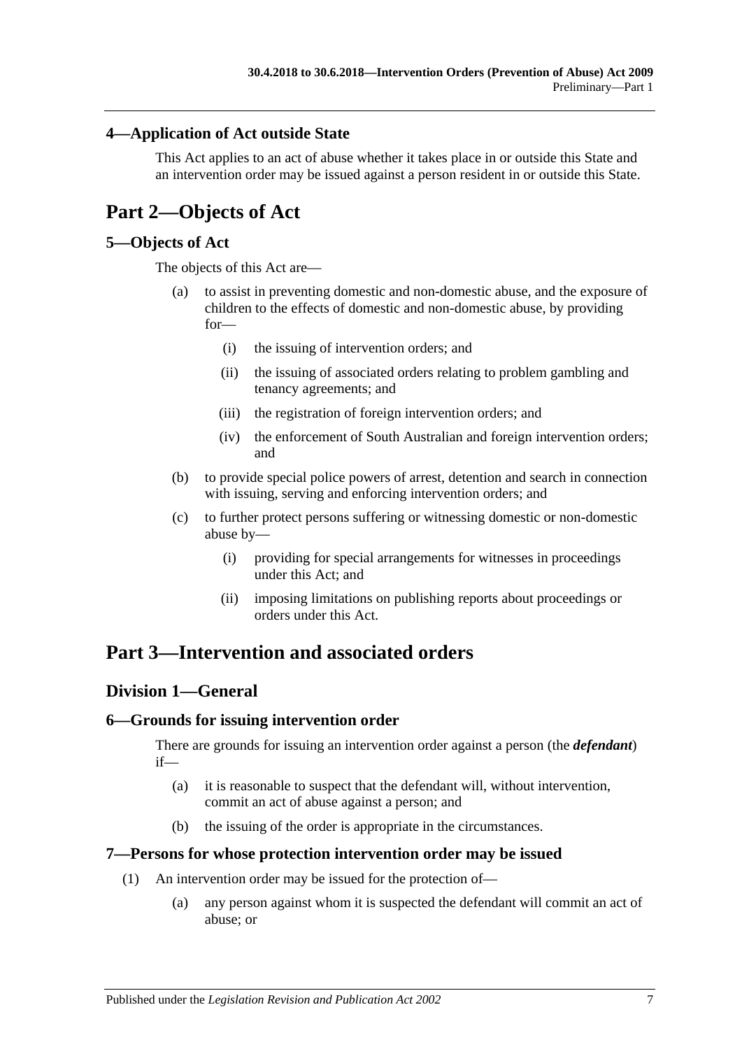## <span id="page-6-0"></span>**4—Application of Act outside State**

This Act applies to an act of abuse whether it takes place in or outside this State and an intervention order may be issued against a person resident in or outside this State.

## <span id="page-6-1"></span>**Part 2—Objects of Act**

## <span id="page-6-2"></span>**5—Objects of Act**

The objects of this Act are—

- (a) to assist in preventing domestic and non-domestic abuse, and the exposure of children to the effects of domestic and non-domestic abuse, by providing for—
	- (i) the issuing of intervention orders; and
	- (ii) the issuing of associated orders relating to problem gambling and tenancy agreements; and
	- (iii) the registration of foreign intervention orders; and
	- (iv) the enforcement of South Australian and foreign intervention orders; and
- (b) to provide special police powers of arrest, detention and search in connection with issuing, serving and enforcing intervention orders; and
- (c) to further protect persons suffering or witnessing domestic or non-domestic abuse by—
	- (i) providing for special arrangements for witnesses in proceedings under this Act; and
	- (ii) imposing limitations on publishing reports about proceedings or orders under this Act.

## <span id="page-6-4"></span><span id="page-6-3"></span>**Part 3—Intervention and associated orders**

## **Division 1—General**

## <span id="page-6-5"></span>**6—Grounds for issuing intervention order**

There are grounds for issuing an intervention order against a person (the *defendant*) if—

- (a) it is reasonable to suspect that the defendant will, without intervention, commit an act of abuse against a person; and
- (b) the issuing of the order is appropriate in the circumstances.

#### <span id="page-6-6"></span>**7—Persons for whose protection intervention order may be issued**

- (1) An intervention order may be issued for the protection of—
	- (a) any person against whom it is suspected the defendant will commit an act of abuse; or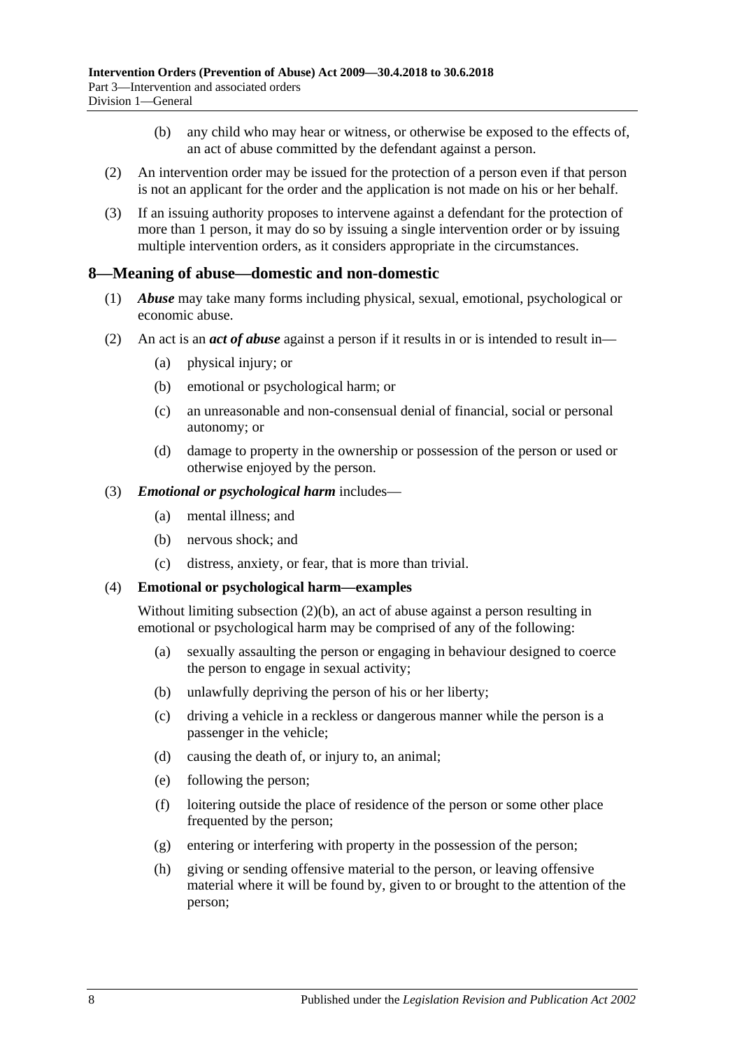- (b) any child who may hear or witness, or otherwise be exposed to the effects of, an act of abuse committed by the defendant against a person.
- (2) An intervention order may be issued for the protection of a person even if that person is not an applicant for the order and the application is not made on his or her behalf.
- (3) If an issuing authority proposes to intervene against a defendant for the protection of more than 1 person, it may do so by issuing a single intervention order or by issuing multiple intervention orders, as it considers appropriate in the circumstances.

#### <span id="page-7-0"></span>**8—Meaning of abuse—domestic and non-domestic**

- (1) *Abuse* may take many forms including physical, sexual, emotional, psychological or economic abuse.
- <span id="page-7-2"></span><span id="page-7-1"></span>(2) An act is an *act of abuse* against a person if it results in or is intended to result in—
	- (a) physical injury; or
	- (b) emotional or psychological harm; or
	- (c) an unreasonable and non-consensual denial of financial, social or personal autonomy; or
	- (d) damage to property in the ownership or possession of the person or used or otherwise enjoyed by the person.
- (3) *Emotional or psychological harm* includes—
	- (a) mental illness; and
	- (b) nervous shock; and
	- (c) distress, anxiety, or fear, that is more than trivial.

#### (4) **Emotional or psychological harm—examples**

Without limiting [subsection](#page-7-1) (2)(b), an act of abuse against a person resulting in emotional or psychological harm may be comprised of any of the following:

- (a) sexually assaulting the person or engaging in behaviour designed to coerce the person to engage in sexual activity;
- (b) unlawfully depriving the person of his or her liberty;
- (c) driving a vehicle in a reckless or dangerous manner while the person is a passenger in the vehicle;
- (d) causing the death of, or injury to, an animal;
- (e) following the person;
- (f) loitering outside the place of residence of the person or some other place frequented by the person;
- (g) entering or interfering with property in the possession of the person;
- (h) giving or sending offensive material to the person, or leaving offensive material where it will be found by, given to or brought to the attention of the person;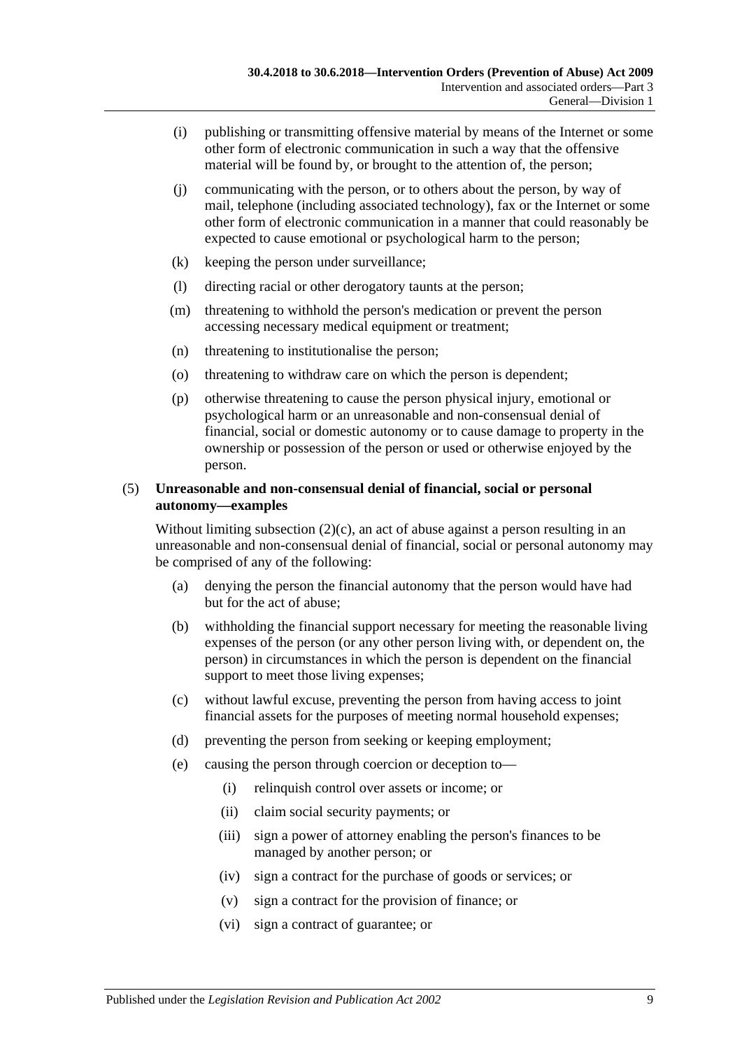- (i) publishing or transmitting offensive material by means of the Internet or some other form of electronic communication in such a way that the offensive material will be found by, or brought to the attention of, the person;
- (j) communicating with the person, or to others about the person, by way of mail, telephone (including associated technology), fax or the Internet or some other form of electronic communication in a manner that could reasonably be expected to cause emotional or psychological harm to the person;
- (k) keeping the person under surveillance;
- (l) directing racial or other derogatory taunts at the person;
- (m) threatening to withhold the person's medication or prevent the person accessing necessary medical equipment or treatment;
- (n) threatening to institutionalise the person;
- (o) threatening to withdraw care on which the person is dependent;
- (p) otherwise threatening to cause the person physical injury, emotional or psychological harm or an unreasonable and non-consensual denial of financial, social or domestic autonomy or to cause damage to property in the ownership or possession of the person or used or otherwise enjoyed by the person.

#### (5) **Unreasonable and non-consensual denial of financial, social or personal autonomy—examples**

Without limiting [subsection](#page-7-2)  $(2)(c)$ , an act of abuse against a person resulting in an unreasonable and non-consensual denial of financial, social or personal autonomy may be comprised of any of the following:

- (a) denying the person the financial autonomy that the person would have had but for the act of abuse;
- (b) withholding the financial support necessary for meeting the reasonable living expenses of the person (or any other person living with, or dependent on, the person) in circumstances in which the person is dependent on the financial support to meet those living expenses;
- (c) without lawful excuse, preventing the person from having access to joint financial assets for the purposes of meeting normal household expenses;
- (d) preventing the person from seeking or keeping employment;
- (e) causing the person through coercion or deception to—
	- (i) relinquish control over assets or income; or
	- (ii) claim social security payments; or
	- (iii) sign a power of attorney enabling the person's finances to be managed by another person; or
	- (iv) sign a contract for the purchase of goods or services; or
	- (v) sign a contract for the provision of finance; or
	- (vi) sign a contract of guarantee; or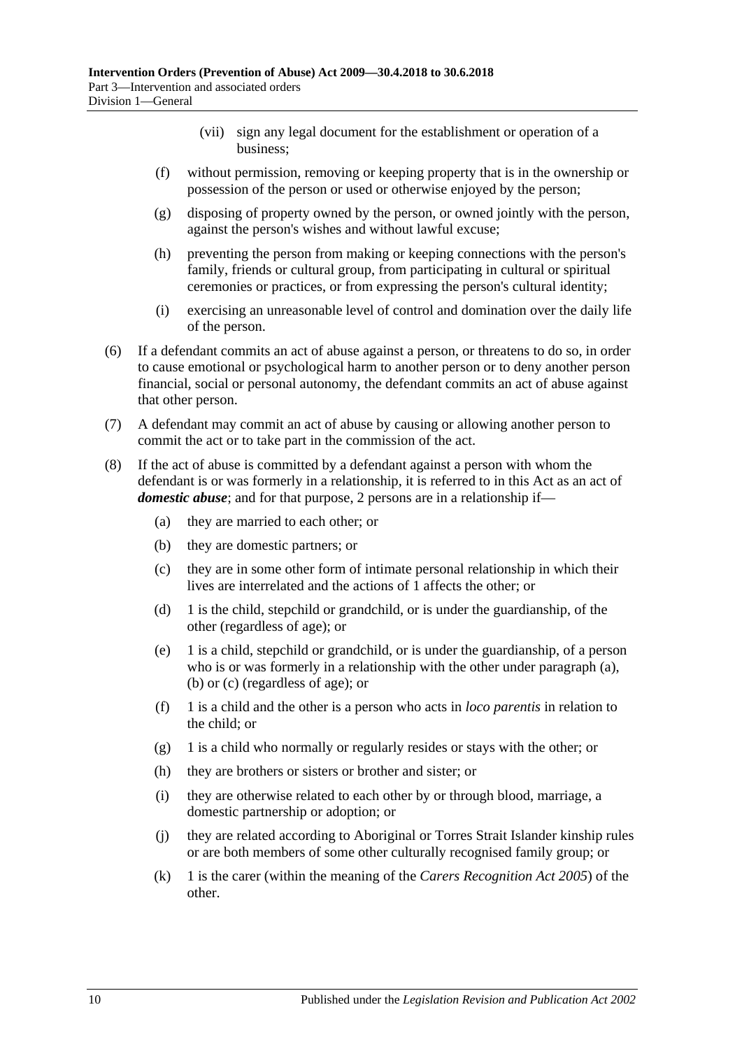- (vii) sign any legal document for the establishment or operation of a business;
- (f) without permission, removing or keeping property that is in the ownership or possession of the person or used or otherwise enjoyed by the person;
- (g) disposing of property owned by the person, or owned jointly with the person, against the person's wishes and without lawful excuse;
- (h) preventing the person from making or keeping connections with the person's family, friends or cultural group, from participating in cultural or spiritual ceremonies or practices, or from expressing the person's cultural identity;
- (i) exercising an unreasonable level of control and domination over the daily life of the person.
- (6) If a defendant commits an act of abuse against a person, or threatens to do so, in order to cause emotional or psychological harm to another person or to deny another person financial, social or personal autonomy, the defendant commits an act of abuse against that other person.
- (7) A defendant may commit an act of abuse by causing or allowing another person to commit the act or to take part in the commission of the act.
- <span id="page-9-3"></span><span id="page-9-2"></span><span id="page-9-1"></span><span id="page-9-0"></span>(8) If the act of abuse is committed by a defendant against a person with whom the defendant is or was formerly in a relationship, it is referred to in this Act as an act of *domestic abuse*; and for that purpose, 2 persons are in a relationship if—
	- (a) they are married to each other; or
	- (b) they are domestic partners; or
	- (c) they are in some other form of intimate personal relationship in which their lives are interrelated and the actions of 1 affects the other; or
	- (d) 1 is the child, stepchild or grandchild, or is under the guardianship, of the other (regardless of age); or
	- (e) 1 is a child, stepchild or grandchild, or is under the guardianship, of a person who is or was formerly in a relationship with the other under [paragraph](#page-9-1) (a), [\(b\)](#page-9-2) or [\(c\)](#page-9-3) (regardless of age); or
	- (f) 1 is a child and the other is a person who acts in *loco parentis* in relation to the child; or
	- (g) 1 is a child who normally or regularly resides or stays with the other; or
	- (h) they are brothers or sisters or brother and sister; or
	- (i) they are otherwise related to each other by or through blood, marriage, a domestic partnership or adoption; or
	- (j) they are related according to Aboriginal or Torres Strait Islander kinship rules or are both members of some other culturally recognised family group; or
	- (k) 1 is the carer (within the meaning of the *[Carers Recognition Act](http://www.legislation.sa.gov.au/index.aspx?action=legref&type=act&legtitle=Carers%20Recognition%20Act%202005) 2005*) of the other.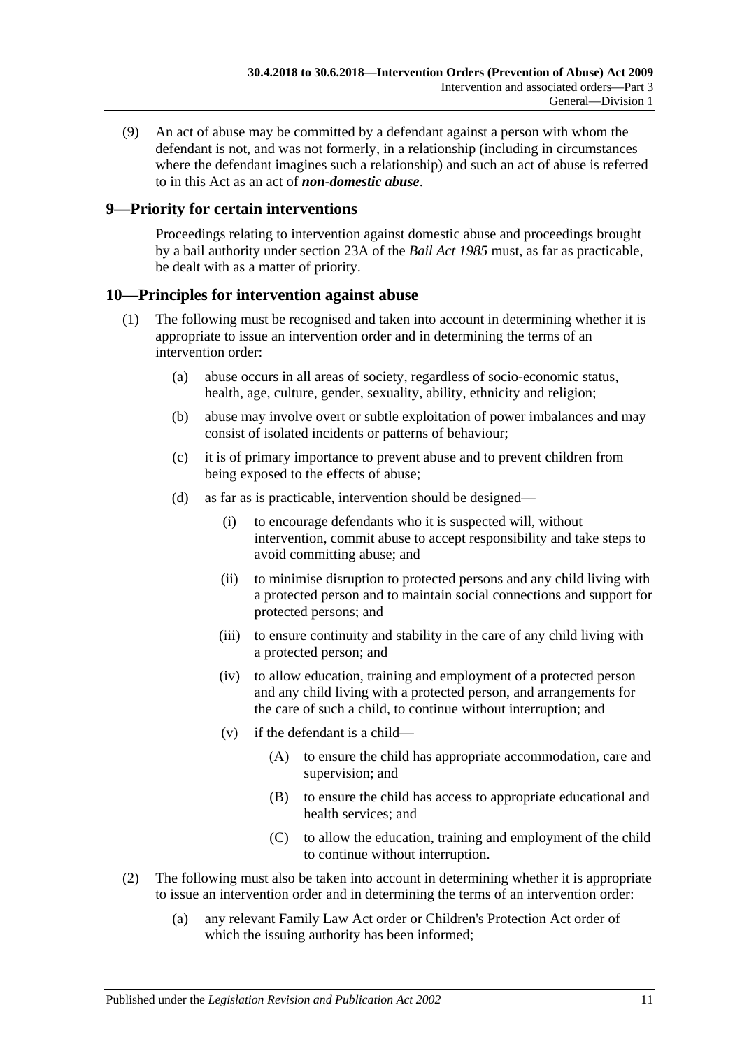<span id="page-10-2"></span>(9) An act of abuse may be committed by a defendant against a person with whom the defendant is not, and was not formerly, in a relationship (including in circumstances where the defendant imagines such a relationship) and such an act of abuse is referred to in this Act as an act of *non-domestic abuse*.

## <span id="page-10-0"></span>**9—Priority for certain interventions**

Proceedings relating to intervention against domestic abuse and proceedings brought by a bail authority under section 23A of the *[Bail Act](http://www.legislation.sa.gov.au/index.aspx?action=legref&type=act&legtitle=Bail%20Act%201985) 1985* must, as far as practicable, be dealt with as a matter of priority.

## <span id="page-10-1"></span>**10—Principles for intervention against abuse**

- (1) The following must be recognised and taken into account in determining whether it is appropriate to issue an intervention order and in determining the terms of an intervention order:
	- (a) abuse occurs in all areas of society, regardless of socio-economic status, health, age, culture, gender, sexuality, ability, ethnicity and religion;
	- (b) abuse may involve overt or subtle exploitation of power imbalances and may consist of isolated incidents or patterns of behaviour;
	- (c) it is of primary importance to prevent abuse and to prevent children from being exposed to the effects of abuse;
	- (d) as far as is practicable, intervention should be designed—
		- (i) to encourage defendants who it is suspected will, without intervention, commit abuse to accept responsibility and take steps to avoid committing abuse; and
		- (ii) to minimise disruption to protected persons and any child living with a protected person and to maintain social connections and support for protected persons; and
		- (iii) to ensure continuity and stability in the care of any child living with a protected person; and
		- (iv) to allow education, training and employment of a protected person and any child living with a protected person, and arrangements for the care of such a child, to continue without interruption; and
		- (v) if the defendant is a child—
			- (A) to ensure the child has appropriate accommodation, care and supervision; and
			- (B) to ensure the child has access to appropriate educational and health services; and
			- (C) to allow the education, training and employment of the child to continue without interruption.
- (2) The following must also be taken into account in determining whether it is appropriate to issue an intervention order and in determining the terms of an intervention order:
	- (a) any relevant Family Law Act order or Children's Protection Act order of which the issuing authority has been informed;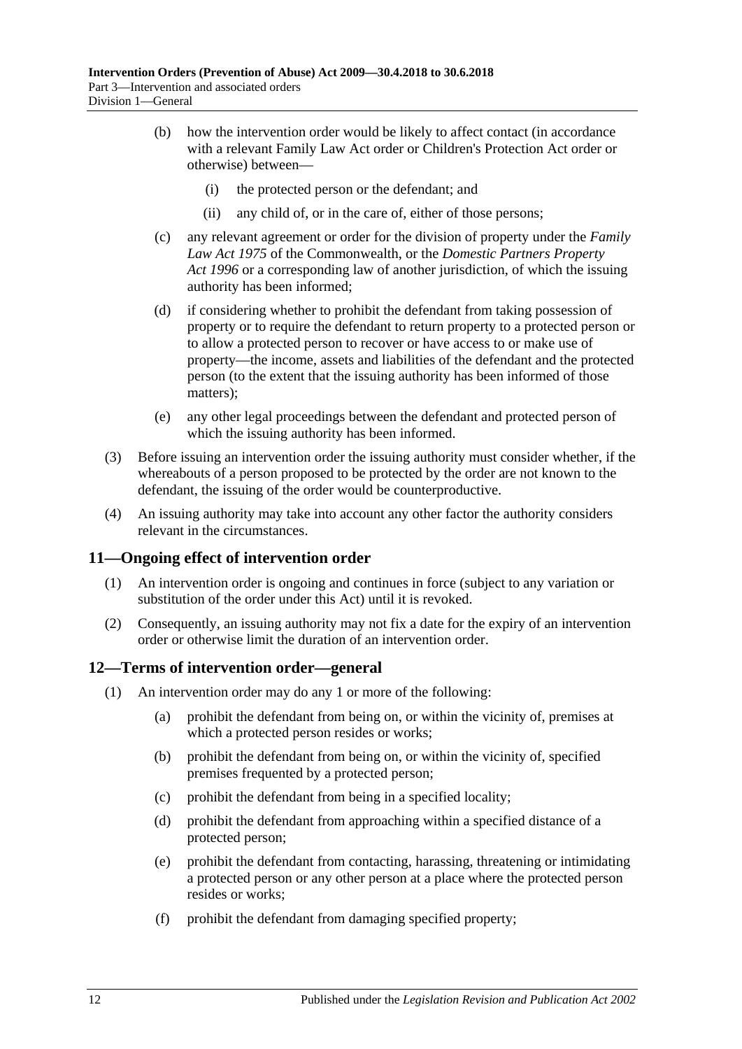- (b) how the intervention order would be likely to affect contact (in accordance with a relevant Family Law Act order or Children's Protection Act order or otherwise) between—
	- (i) the protected person or the defendant; and
	- (ii) any child of, or in the care of, either of those persons;
- (c) any relevant agreement or order for the division of property under the *Family Law Act 1975* of the Commonwealth, or the *[Domestic Partners Property](http://www.legislation.sa.gov.au/index.aspx?action=legref&type=act&legtitle=Domestic%20Partners%20Property%20Act%201996)  Act [1996](http://www.legislation.sa.gov.au/index.aspx?action=legref&type=act&legtitle=Domestic%20Partners%20Property%20Act%201996)* or a corresponding law of another jurisdiction, of which the issuing authority has been informed;
- (d) if considering whether to prohibit the defendant from taking possession of property or to require the defendant to return property to a protected person or to allow a protected person to recover or have access to or make use of property—the income, assets and liabilities of the defendant and the protected person (to the extent that the issuing authority has been informed of those matters);
- (e) any other legal proceedings between the defendant and protected person of which the issuing authority has been informed.
- (3) Before issuing an intervention order the issuing authority must consider whether, if the whereabouts of a person proposed to be protected by the order are not known to the defendant, the issuing of the order would be counterproductive.
- (4) An issuing authority may take into account any other factor the authority considers relevant in the circumstances.

## <span id="page-11-0"></span>**11—Ongoing effect of intervention order**

- (1) An intervention order is ongoing and continues in force (subject to any variation or substitution of the order under this Act) until it is revoked.
- (2) Consequently, an issuing authority may not fix a date for the expiry of an intervention order or otherwise limit the duration of an intervention order.

## <span id="page-11-1"></span>**12—Terms of intervention order—general**

- <span id="page-11-2"></span>(1) An intervention order may do any 1 or more of the following:
	- (a) prohibit the defendant from being on, or within the vicinity of, premises at which a protected person resides or works;
	- (b) prohibit the defendant from being on, or within the vicinity of, specified premises frequented by a protected person;
	- (c) prohibit the defendant from being in a specified locality;
	- (d) prohibit the defendant from approaching within a specified distance of a protected person;
	- (e) prohibit the defendant from contacting, harassing, threatening or intimidating a protected person or any other person at a place where the protected person resides or works;
	- (f) prohibit the defendant from damaging specified property;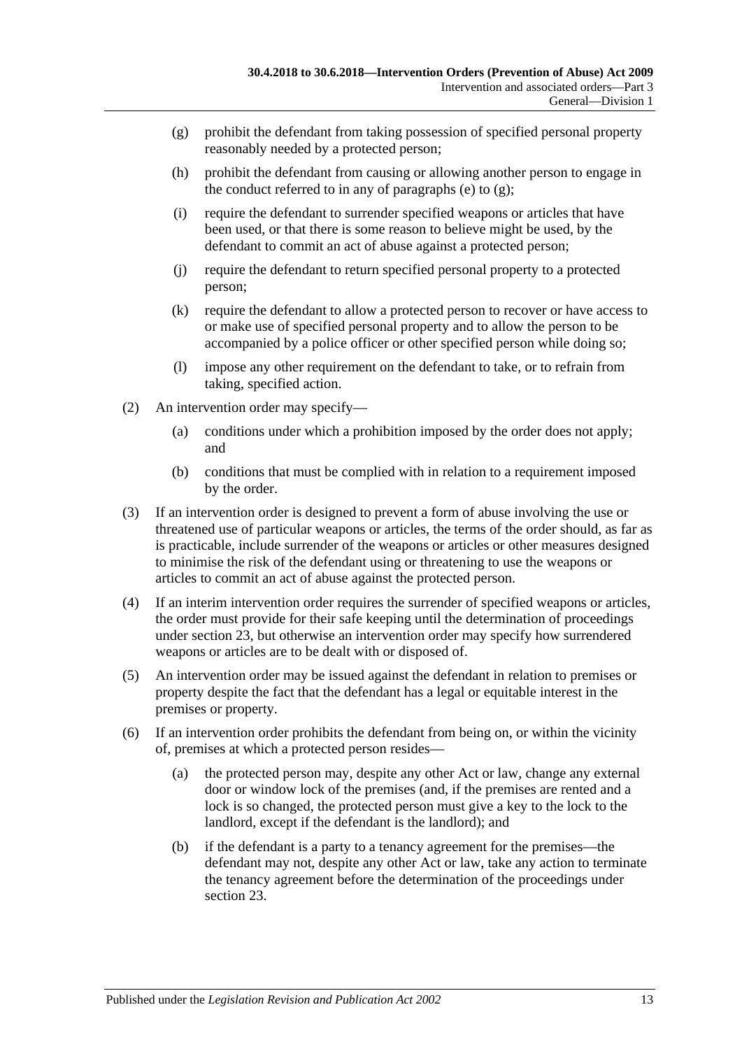- <span id="page-12-0"></span>(g) prohibit the defendant from taking possession of specified personal property reasonably needed by a protected person;
- (h) prohibit the defendant from causing or allowing another person to engage in the conduct referred to in any of [paragraphs](#page-11-2) (e) to  $(g)$ ;
- (i) require the defendant to surrender specified weapons or articles that have been used, or that there is some reason to believe might be used, by the defendant to commit an act of abuse against a protected person;
- (j) require the defendant to return specified personal property to a protected person;
- (k) require the defendant to allow a protected person to recover or have access to or make use of specified personal property and to allow the person to be accompanied by a police officer or other specified person while doing so;
- (l) impose any other requirement on the defendant to take, or to refrain from taking, specified action.
- (2) An intervention order may specify—
	- (a) conditions under which a prohibition imposed by the order does not apply; and
	- (b) conditions that must be complied with in relation to a requirement imposed by the order.
- (3) If an intervention order is designed to prevent a form of abuse involving the use or threatened use of particular weapons or articles, the terms of the order should, as far as is practicable, include surrender of the weapons or articles or other measures designed to minimise the risk of the defendant using or threatening to use the weapons or articles to commit an act of abuse against the protected person.
- (4) If an interim intervention order requires the surrender of specified weapons or articles, the order must provide for their safe keeping until the determination of proceedings under [section](#page-19-1) 23, but otherwise an intervention order may specify how surrendered weapons or articles are to be dealt with or disposed of.
- (5) An intervention order may be issued against the defendant in relation to premises or property despite the fact that the defendant has a legal or equitable interest in the premises or property.
- (6) If an intervention order prohibits the defendant from being on, or within the vicinity of, premises at which a protected person resides—
	- (a) the protected person may, despite any other Act or law, change any external door or window lock of the premises (and, if the premises are rented and a lock is so changed, the protected person must give a key to the lock to the landlord, except if the defendant is the landlord); and
	- (b) if the defendant is a party to a tenancy agreement for the premises—the defendant may not, despite any other Act or law, take any action to terminate the tenancy agreement before the determination of the proceedings under [section](#page-19-1) 23.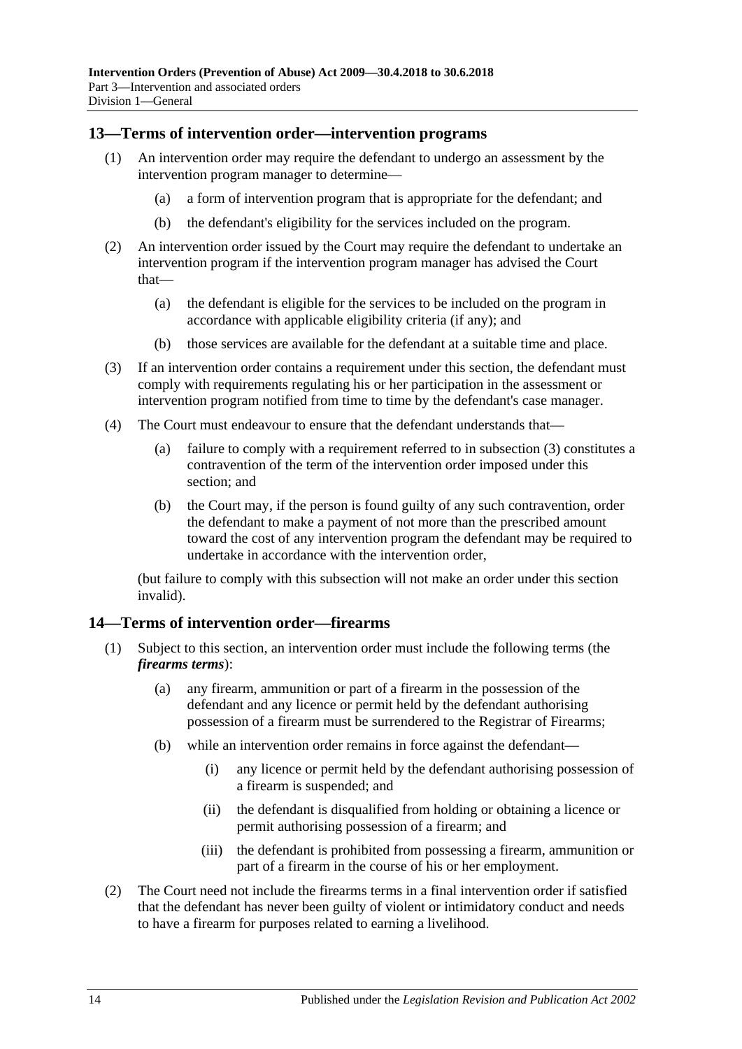#### <span id="page-13-0"></span>**13—Terms of intervention order—intervention programs**

- (1) An intervention order may require the defendant to undergo an assessment by the intervention program manager to determine—
	- (a) a form of intervention program that is appropriate for the defendant; and
	- (b) the defendant's eligibility for the services included on the program.
- (2) An intervention order issued by the Court may require the defendant to undertake an intervention program if the intervention program manager has advised the Court that—
	- (a) the defendant is eligible for the services to be included on the program in accordance with applicable eligibility criteria (if any); and
	- (b) those services are available for the defendant at a suitable time and place.
- <span id="page-13-2"></span>(3) If an intervention order contains a requirement under this section, the defendant must comply with requirements regulating his or her participation in the assessment or intervention program notified from time to time by the defendant's case manager.
- (4) The Court must endeavour to ensure that the defendant understands that—
	- (a) failure to comply with a requirement referred to in [subsection](#page-13-2) (3) constitutes a contravention of the term of the intervention order imposed under this section; and
	- (b) the Court may, if the person is found guilty of any such contravention, order the defendant to make a payment of not more than the prescribed amount toward the cost of any intervention program the defendant may be required to undertake in accordance with the intervention order,

(but failure to comply with this subsection will not make an order under this section invalid).

#### <span id="page-13-1"></span>**14—Terms of intervention order—firearms**

- (1) Subject to this section, an intervention order must include the following terms (the *firearms terms*):
	- (a) any firearm, ammunition or part of a firearm in the possession of the defendant and any licence or permit held by the defendant authorising possession of a firearm must be surrendered to the Registrar of Firearms;
	- (b) while an intervention order remains in force against the defendant—
		- (i) any licence or permit held by the defendant authorising possession of a firearm is suspended; and
		- (ii) the defendant is disqualified from holding or obtaining a licence or permit authorising possession of a firearm; and
		- (iii) the defendant is prohibited from possessing a firearm, ammunition or part of a firearm in the course of his or her employment.
- (2) The Court need not include the firearms terms in a final intervention order if satisfied that the defendant has never been guilty of violent or intimidatory conduct and needs to have a firearm for purposes related to earning a livelihood.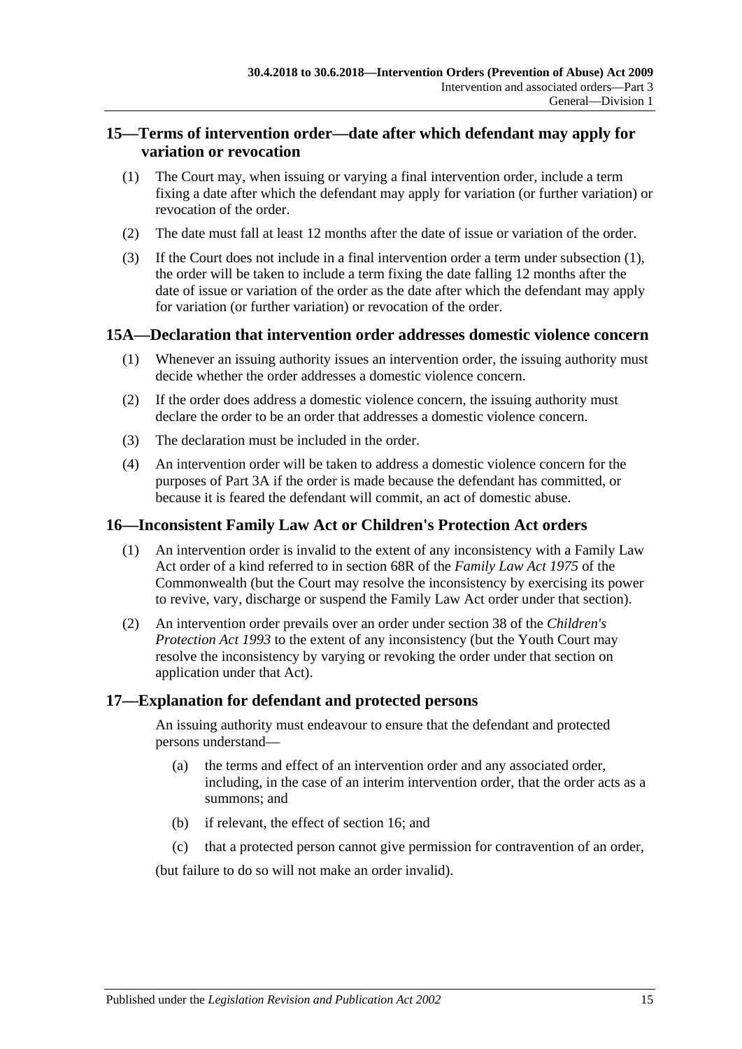## <span id="page-14-0"></span>**15—Terms of intervention order—date after which defendant may apply for variation or revocation**

- <span id="page-14-4"></span>(1) The Court may, when issuing or varying a final intervention order, include a term fixing a date after which the defendant may apply for variation (or further variation) or revocation of the order.
- (2) The date must fall at least 12 months after the date of issue or variation of the order.
- (3) If the Court does not include in a final intervention order a term under [subsection](#page-14-4) (1), the order will be taken to include a term fixing the date falling 12 months after the date of issue or variation of the order as the date after which the defendant may apply for variation (or further variation) or revocation of the order.

## <span id="page-14-1"></span>**15A—Declaration that intervention order addresses domestic violence concern**

- (1) Whenever an issuing authority issues an intervention order, the issuing authority must decide whether the order addresses a domestic violence concern.
- (2) If the order does address a domestic violence concern, the issuing authority must declare the order to be an order that addresses a domestic violence concern.
- (3) The declaration must be included in the order.
- (4) An intervention order will be taken to address a domestic violence concern for the purposes of [Part 3A](#page-26-0) if the order is made because the defendant has committed, or because it is feared the defendant will commit, an act of domestic abuse.

## <span id="page-14-2"></span>**16—Inconsistent Family Law Act or Children's Protection Act orders**

- (1) An intervention order is invalid to the extent of any inconsistency with a Family Law Act order of a kind referred to in section 68R of the *Family Law Act 1975* of the Commonwealth (but the Court may resolve the inconsistency by exercising its power to revive, vary, discharge or suspend the Family Law Act order under that section).
- (2) An intervention order prevails over an order under section 38 of the *[Children's](http://www.legislation.sa.gov.au/index.aspx?action=legref&type=act&legtitle=Childrens%20Protection%20Act%201993)  [Protection Act](http://www.legislation.sa.gov.au/index.aspx?action=legref&type=act&legtitle=Childrens%20Protection%20Act%201993) 1993* to the extent of any inconsistency (but the Youth Court may resolve the inconsistency by varying or revoking the order under that section on application under that Act).

## <span id="page-14-3"></span>**17—Explanation for defendant and protected persons**

An issuing authority must endeavour to ensure that the defendant and protected persons understand—

- (a) the terms and effect of an intervention order and any associated order, including, in the case of an interim intervention order, that the order acts as a summons; and
- (b) if relevant, the effect of [section](#page-14-2) 16; and
- (c) that a protected person cannot give permission for contravention of an order,

(but failure to do so will not make an order invalid).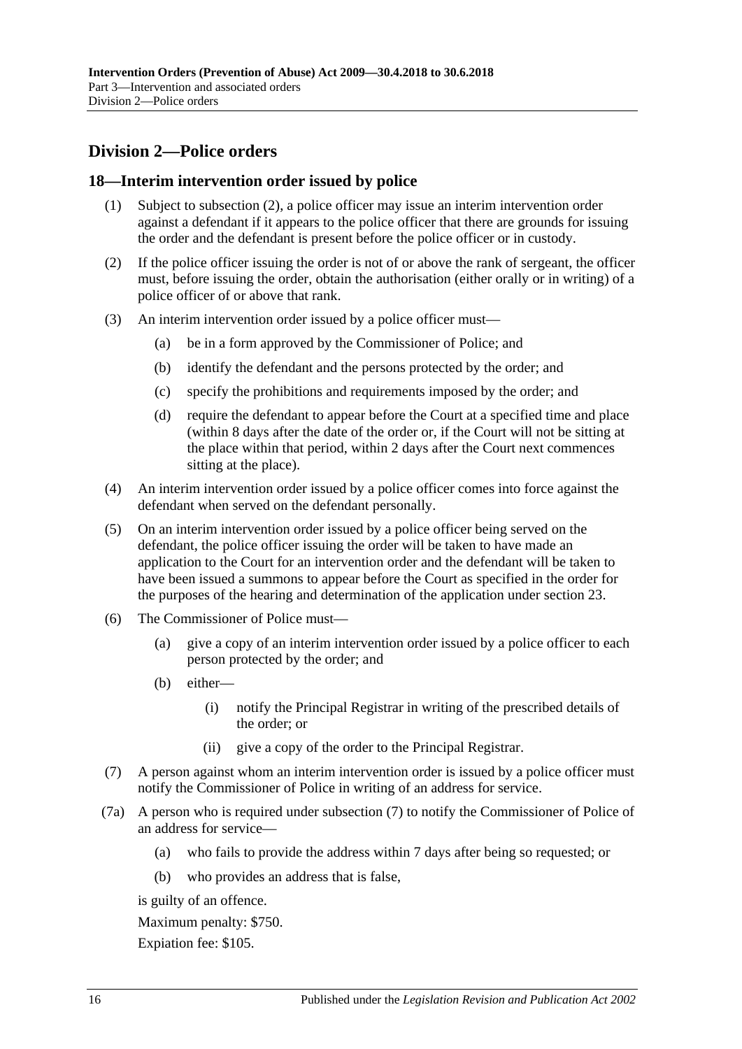## <span id="page-15-0"></span>**Division 2—Police orders**

## <span id="page-15-1"></span>**18—Interim intervention order issued by police**

- (1) Subject to [subsection](#page-15-2) (2), a police officer may issue an interim intervention order against a defendant if it appears to the police officer that there are grounds for issuing the order and the defendant is present before the police officer or in custody.
- <span id="page-15-2"></span>(2) If the police officer issuing the order is not of or above the rank of sergeant, the officer must, before issuing the order, obtain the authorisation (either orally or in writing) of a police officer of or above that rank.
- (3) An interim intervention order issued by a police officer must—
	- (a) be in a form approved by the Commissioner of Police; and
	- (b) identify the defendant and the persons protected by the order; and
	- (c) specify the prohibitions and requirements imposed by the order; and
	- (d) require the defendant to appear before the Court at a specified time and place (within 8 days after the date of the order or, if the Court will not be sitting at the place within that period, within 2 days after the Court next commences sitting at the place).
- (4) An interim intervention order issued by a police officer comes into force against the defendant when served on the defendant personally.
- (5) On an interim intervention order issued by a police officer being served on the defendant, the police officer issuing the order will be taken to have made an application to the Court for an intervention order and the defendant will be taken to have been issued a summons to appear before the Court as specified in the order for the purposes of the hearing and determination of the application under [section](#page-19-1) 23.
- (6) The Commissioner of Police must—
	- (a) give a copy of an interim intervention order issued by a police officer to each person protected by the order; and
	- (b) either—
		- (i) notify the Principal Registrar in writing of the prescribed details of the order; or
		- (ii) give a copy of the order to the Principal Registrar.
- <span id="page-15-3"></span>(7) A person against whom an interim intervention order is issued by a police officer must notify the Commissioner of Police in writing of an address for service.
- (7a) A person who is required under [subsection](#page-15-3) (7) to notify the Commissioner of Police of an address for service—
	- (a) who fails to provide the address within 7 days after being so requested; or
	- (b) who provides an address that is false,

is guilty of an offence.

Maximum penalty: \$750.

Expiation fee: \$105.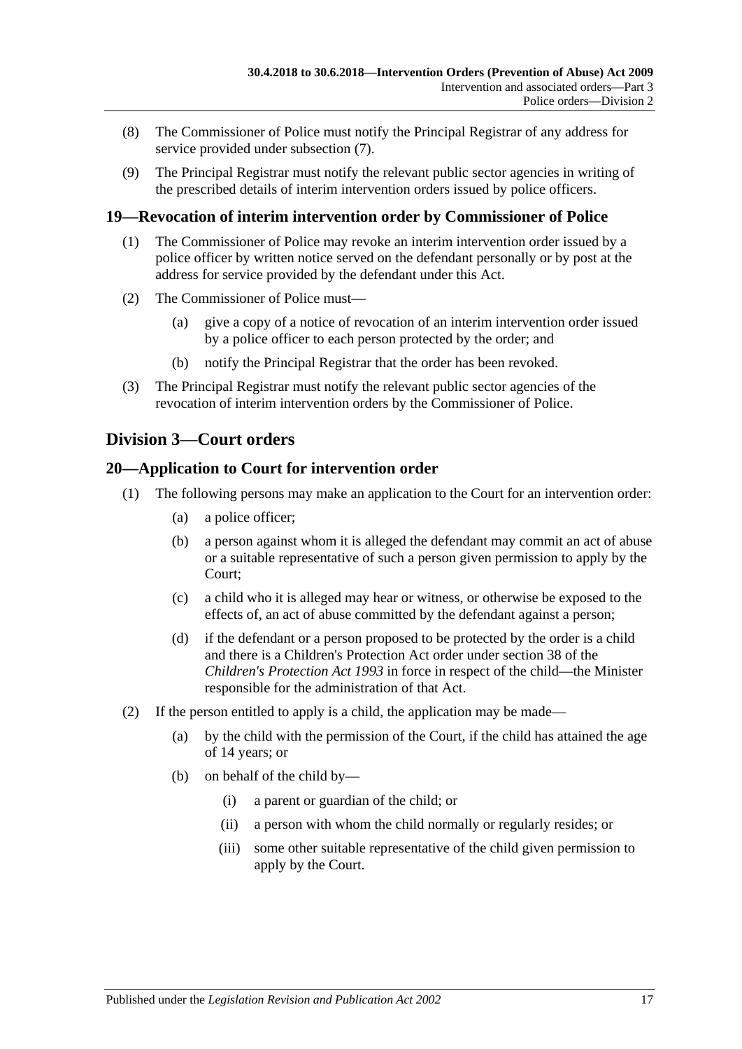- (8) The Commissioner of Police must notify the Principal Registrar of any address for service provided under [subsection](#page-15-3) (7).
- (9) The Principal Registrar must notify the relevant public sector agencies in writing of the prescribed details of interim intervention orders issued by police officers.

## <span id="page-16-0"></span>**19—Revocation of interim intervention order by Commissioner of Police**

- (1) The Commissioner of Police may revoke an interim intervention order issued by a police officer by written notice served on the defendant personally or by post at the address for service provided by the defendant under this Act.
- (2) The Commissioner of Police must—
	- (a) give a copy of a notice of revocation of an interim intervention order issued by a police officer to each person protected by the order; and
	- (b) notify the Principal Registrar that the order has been revoked.
- (3) The Principal Registrar must notify the relevant public sector agencies of the revocation of interim intervention orders by the Commissioner of Police.

## <span id="page-16-1"></span>**Division 3—Court orders**

## <span id="page-16-2"></span>**20—Application to Court for intervention order**

- (1) The following persons may make an application to the Court for an intervention order:
	- (a) a police officer;
	- (b) a person against whom it is alleged the defendant may commit an act of abuse or a suitable representative of such a person given permission to apply by the Court;
	- (c) a child who it is alleged may hear or witness, or otherwise be exposed to the effects of, an act of abuse committed by the defendant against a person;
	- (d) if the defendant or a person proposed to be protected by the order is a child and there is a Children's Protection Act order under section 38 of the *[Children's Protection Act](http://www.legislation.sa.gov.au/index.aspx?action=legref&type=act&legtitle=Childrens%20Protection%20Act%201993) 1993* in force in respect of the child—the Minister responsible for the administration of that Act.
- (2) If the person entitled to apply is a child, the application may be made—
	- (a) by the child with the permission of the Court, if the child has attained the age of 14 years; or
	- (b) on behalf of the child by—
		- (i) a parent or guardian of the child; or
		- (ii) a person with whom the child normally or regularly resides; or
		- (iii) some other suitable representative of the child given permission to apply by the Court.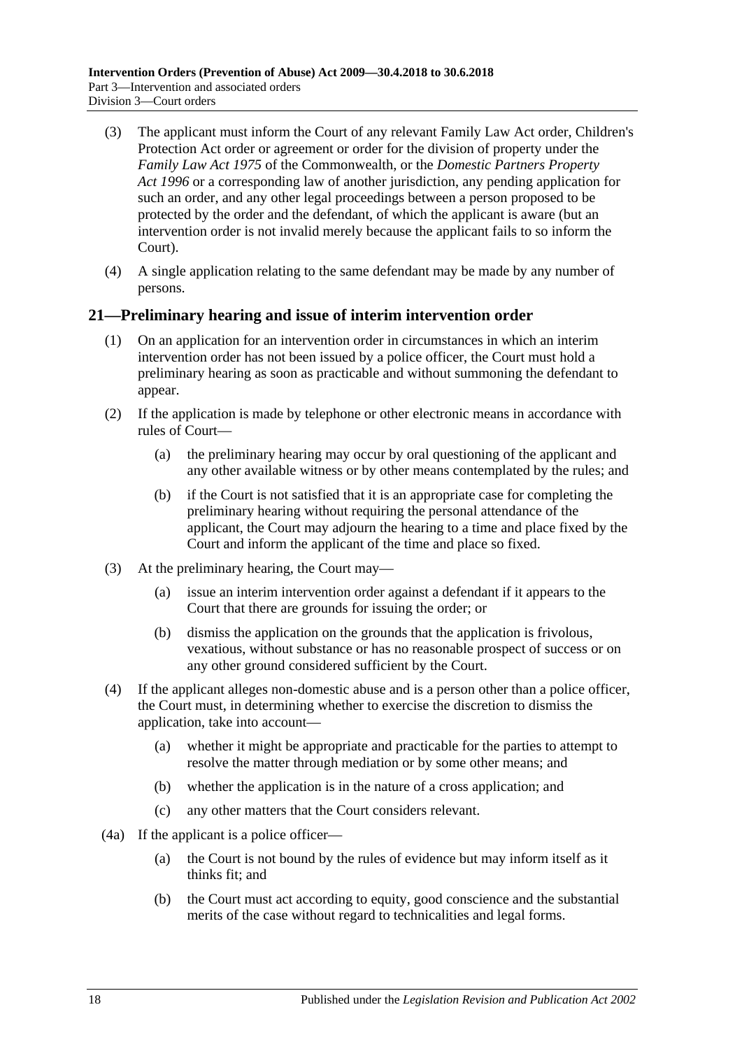- (3) The applicant must inform the Court of any relevant Family Law Act order, Children's Protection Act order or agreement or order for the division of property under the *Family Law Act 1975* of the Commonwealth, or the *[Domestic Partners Property](http://www.legislation.sa.gov.au/index.aspx?action=legref&type=act&legtitle=Domestic%20Partners%20Property%20Act%201996)  Act [1996](http://www.legislation.sa.gov.au/index.aspx?action=legref&type=act&legtitle=Domestic%20Partners%20Property%20Act%201996)* or a corresponding law of another jurisdiction, any pending application for such an order, and any other legal proceedings between a person proposed to be protected by the order and the defendant, of which the applicant is aware (but an intervention order is not invalid merely because the applicant fails to so inform the Court).
- (4) A single application relating to the same defendant may be made by any number of persons.

## <span id="page-17-0"></span>**21—Preliminary hearing and issue of interim intervention order**

- (1) On an application for an intervention order in circumstances in which an interim intervention order has not been issued by a police officer, the Court must hold a preliminary hearing as soon as practicable and without summoning the defendant to appear.
- (2) If the application is made by telephone or other electronic means in accordance with rules of Court—
	- (a) the preliminary hearing may occur by oral questioning of the applicant and any other available witness or by other means contemplated by the rules; and
	- (b) if the Court is not satisfied that it is an appropriate case for completing the preliminary hearing without requiring the personal attendance of the applicant, the Court may adjourn the hearing to a time and place fixed by the Court and inform the applicant of the time and place so fixed.
- (3) At the preliminary hearing, the Court may—
	- (a) issue an interim intervention order against a defendant if it appears to the Court that there are grounds for issuing the order; or
	- (b) dismiss the application on the grounds that the application is frivolous, vexatious, without substance or has no reasonable prospect of success or on any other ground considered sufficient by the Court.
- (4) If the applicant alleges non-domestic abuse and is a person other than a police officer, the Court must, in determining whether to exercise the discretion to dismiss the application, take into account—
	- (a) whether it might be appropriate and practicable for the parties to attempt to resolve the matter through mediation or by some other means; and
	- (b) whether the application is in the nature of a cross application; and
	- (c) any other matters that the Court considers relevant.
- (4a) If the applicant is a police officer—
	- (a) the Court is not bound by the rules of evidence but may inform itself as it thinks fit; and
	- (b) the Court must act according to equity, good conscience and the substantial merits of the case without regard to technicalities and legal forms.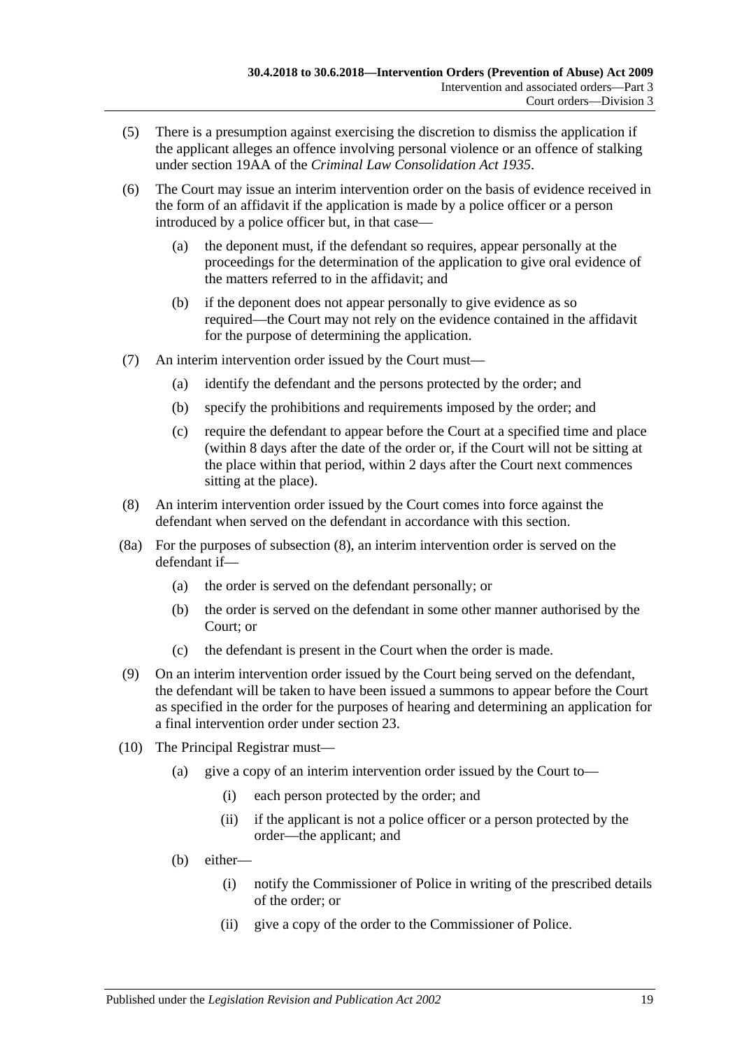- (5) There is a presumption against exercising the discretion to dismiss the application if the applicant alleges an offence involving personal violence or an offence of stalking under section 19AA of the *[Criminal Law Consolidation Act](http://www.legislation.sa.gov.au/index.aspx?action=legref&type=act&legtitle=Criminal%20Law%20Consolidation%20Act%201935) 1935*.
- (6) The Court may issue an interim intervention order on the basis of evidence received in the form of an affidavit if the application is made by a police officer or a person introduced by a police officer but, in that case—
	- (a) the deponent must, if the defendant so requires, appear personally at the proceedings for the determination of the application to give oral evidence of the matters referred to in the affidavit; and
	- (b) if the deponent does not appear personally to give evidence as so required—the Court may not rely on the evidence contained in the affidavit for the purpose of determining the application.
- (7) An interim intervention order issued by the Court must—
	- (a) identify the defendant and the persons protected by the order; and
	- (b) specify the prohibitions and requirements imposed by the order; and
	- (c) require the defendant to appear before the Court at a specified time and place (within 8 days after the date of the order or, if the Court will not be sitting at the place within that period, within 2 days after the Court next commences sitting at the place).
- <span id="page-18-0"></span>(8) An interim intervention order issued by the Court comes into force against the defendant when served on the defendant in accordance with this section.
- (8a) For the purposes of [subsection](#page-18-0) (8), an interim intervention order is served on the defendant if—
	- (a) the order is served on the defendant personally; or
	- (b) the order is served on the defendant in some other manner authorised by the Court; or
	- (c) the defendant is present in the Court when the order is made.
- (9) On an interim intervention order issued by the Court being served on the defendant, the defendant will be taken to have been issued a summons to appear before the Court as specified in the order for the purposes of hearing and determining an application for a final intervention order under [section](#page-19-1) 23.
- (10) The Principal Registrar must—
	- (a) give a copy of an interim intervention order issued by the Court to—
		- (i) each person protected by the order; and
		- (ii) if the applicant is not a police officer or a person protected by the order—the applicant; and
	- (b) either—
		- (i) notify the Commissioner of Police in writing of the prescribed details of the order; or
		- (ii) give a copy of the order to the Commissioner of Police.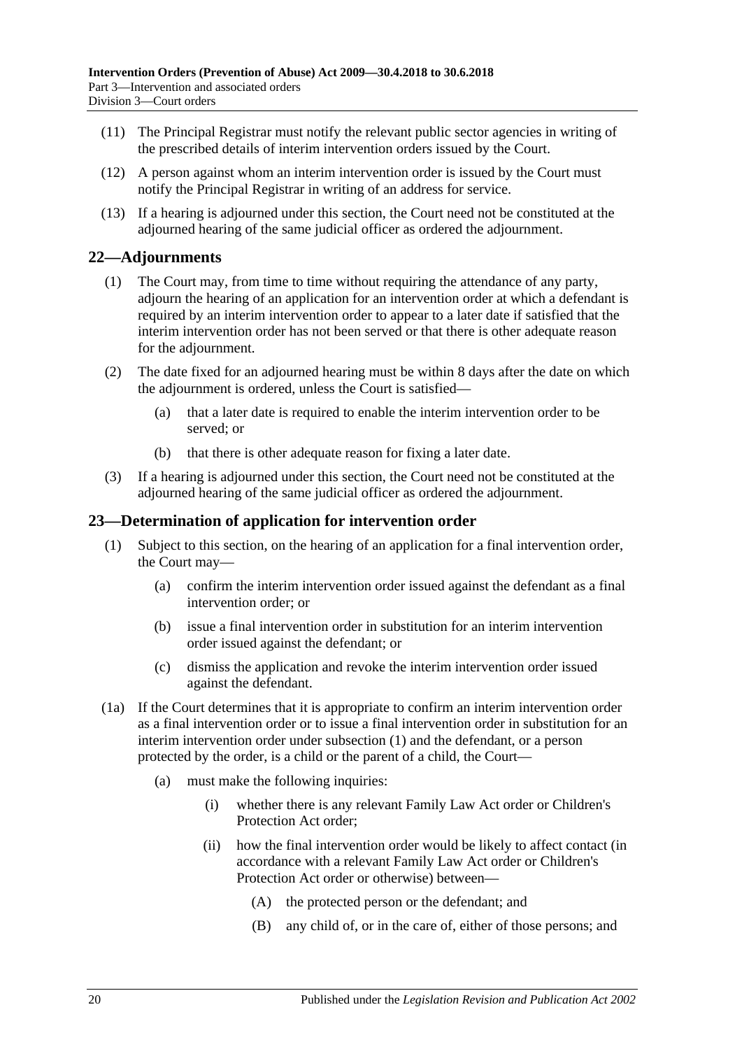- (11) The Principal Registrar must notify the relevant public sector agencies in writing of the prescribed details of interim intervention orders issued by the Court.
- (12) A person against whom an interim intervention order is issued by the Court must notify the Principal Registrar in writing of an address for service.
- (13) If a hearing is adjourned under this section, the Court need not be constituted at the adjourned hearing of the same judicial officer as ordered the adjournment.

#### <span id="page-19-0"></span>**22—Adjournments**

- (1) The Court may, from time to time without requiring the attendance of any party, adjourn the hearing of an application for an intervention order at which a defendant is required by an interim intervention order to appear to a later date if satisfied that the interim intervention order has not been served or that there is other adequate reason for the adjournment.
- (2) The date fixed for an adjourned hearing must be within 8 days after the date on which the adjournment is ordered, unless the Court is satisfied—
	- (a) that a later date is required to enable the interim intervention order to be served; or
	- (b) that there is other adequate reason for fixing a later date.
- (3) If a hearing is adjourned under this section, the Court need not be constituted at the adjourned hearing of the same judicial officer as ordered the adjournment.

#### <span id="page-19-2"></span><span id="page-19-1"></span>**23—Determination of application for intervention order**

- (1) Subject to this section, on the hearing of an application for a final intervention order, the Court may—
	- (a) confirm the interim intervention order issued against the defendant as a final intervention order; or
	- (b) issue a final intervention order in substitution for an interim intervention order issued against the defendant; or
	- (c) dismiss the application and revoke the interim intervention order issued against the defendant.
- (1a) If the Court determines that it is appropriate to confirm an interim intervention order as a final intervention order or to issue a final intervention order in substitution for an interim intervention order under [subsection](#page-19-2) (1) and the defendant, or a person protected by the order, is a child or the parent of a child, the Court—
	- (a) must make the following inquiries:
		- (i) whether there is any relevant Family Law Act order or Children's Protection Act order;
		- (ii) how the final intervention order would be likely to affect contact (in accordance with a relevant Family Law Act order or Children's Protection Act order or otherwise) between—
			- (A) the protected person or the defendant; and
			- (B) any child of, or in the care of, either of those persons; and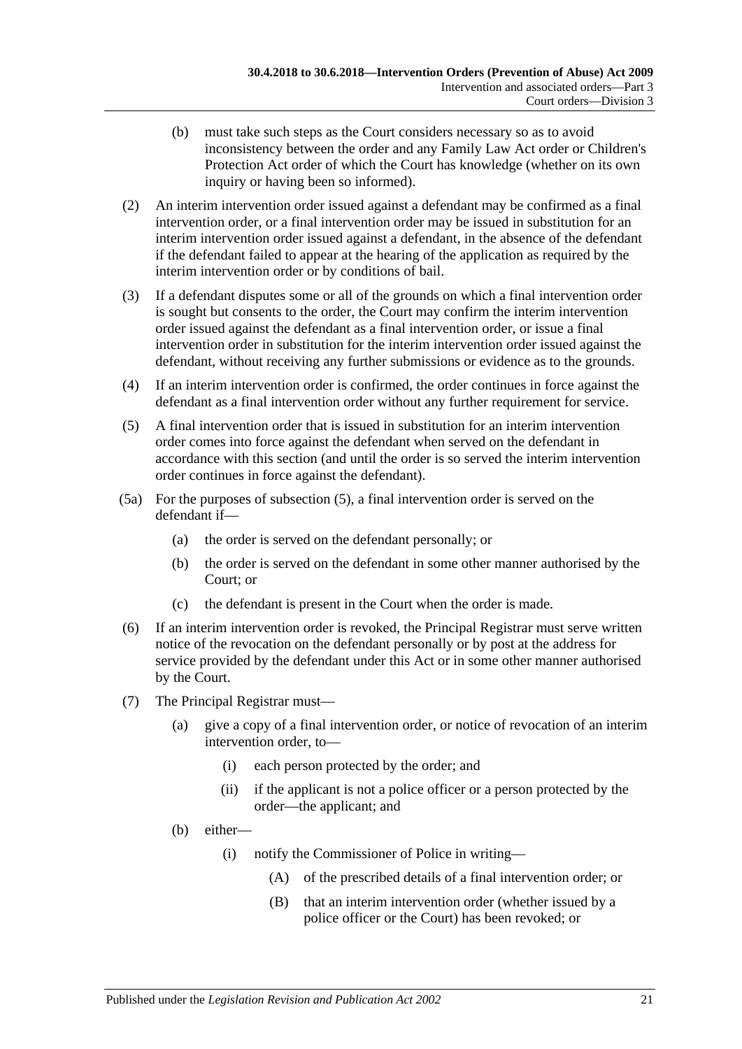- (b) must take such steps as the Court considers necessary so as to avoid inconsistency between the order and any Family Law Act order or Children's Protection Act order of which the Court has knowledge (whether on its own inquiry or having been so informed).
- (2) An interim intervention order issued against a defendant may be confirmed as a final intervention order, or a final intervention order may be issued in substitution for an interim intervention order issued against a defendant, in the absence of the defendant if the defendant failed to appear at the hearing of the application as required by the interim intervention order or by conditions of bail.
- (3) If a defendant disputes some or all of the grounds on which a final intervention order is sought but consents to the order, the Court may confirm the interim intervention order issued against the defendant as a final intervention order, or issue a final intervention order in substitution for the interim intervention order issued against the defendant, without receiving any further submissions or evidence as to the grounds.
- (4) If an interim intervention order is confirmed, the order continues in force against the defendant as a final intervention order without any further requirement for service.
- <span id="page-20-0"></span>(5) A final intervention order that is issued in substitution for an interim intervention order comes into force against the defendant when served on the defendant in accordance with this section (and until the order is so served the interim intervention order continues in force against the defendant).
- (5a) For the purposes of [subsection](#page-20-0) (5), a final intervention order is served on the defendant if—
	- (a) the order is served on the defendant personally; or
	- (b) the order is served on the defendant in some other manner authorised by the Court; or
	- (c) the defendant is present in the Court when the order is made.
- (6) If an interim intervention order is revoked, the Principal Registrar must serve written notice of the revocation on the defendant personally or by post at the address for service provided by the defendant under this Act or in some other manner authorised by the Court.
- (7) The Principal Registrar must—
	- (a) give a copy of a final intervention order, or notice of revocation of an interim intervention order, to—
		- (i) each person protected by the order; and
		- (ii) if the applicant is not a police officer or a person protected by the order—the applicant; and
	- (b) either—
		- (i) notify the Commissioner of Police in writing—
			- (A) of the prescribed details of a final intervention order; or
			- (B) that an interim intervention order (whether issued by a police officer or the Court) has been revoked; or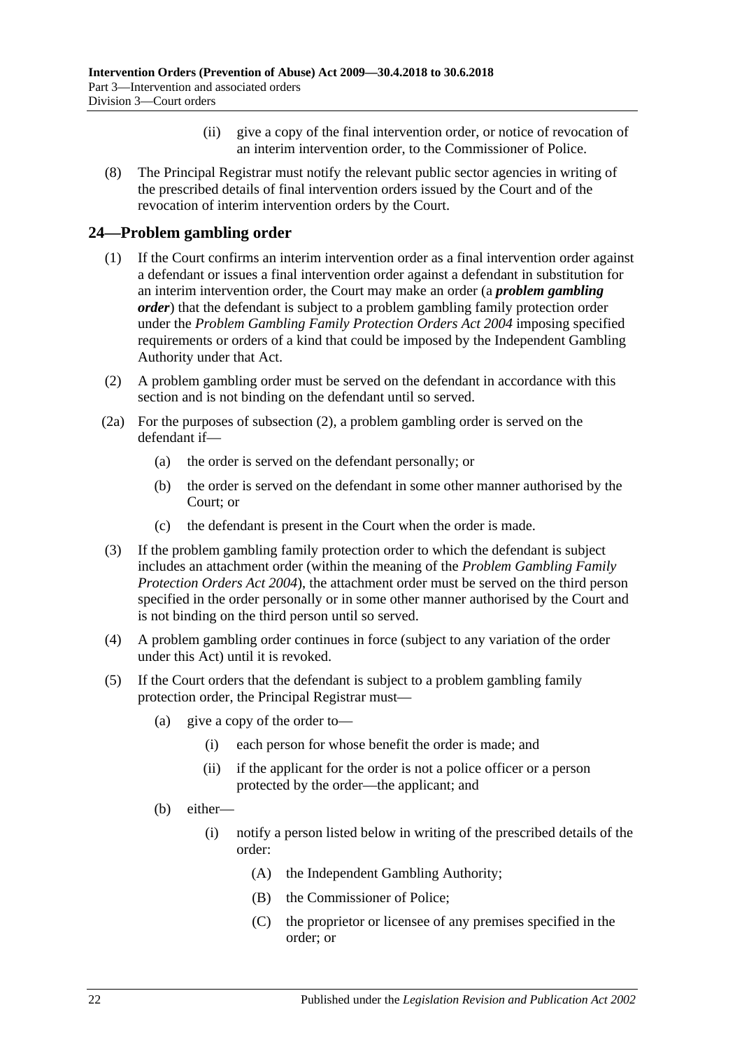- (ii) give a copy of the final intervention order, or notice of revocation of an interim intervention order, to the Commissioner of Police.
- (8) The Principal Registrar must notify the relevant public sector agencies in writing of the prescribed details of final intervention orders issued by the Court and of the revocation of interim intervention orders by the Court.

## <span id="page-21-0"></span>**24—Problem gambling order**

- (1) If the Court confirms an interim intervention order as a final intervention order against a defendant or issues a final intervention order against a defendant in substitution for an interim intervention order, the Court may make an order (a *problem gambling order*) that the defendant is subject to a problem gambling family protection order under the *[Problem Gambling Family Protection Orders Act](http://www.legislation.sa.gov.au/index.aspx?action=legref&type=act&legtitle=Problem%20Gambling%20Family%20Protection%20Orders%20Act%202004) 2004* imposing specified requirements or orders of a kind that could be imposed by the Independent Gambling Authority under that Act.
- <span id="page-21-1"></span>(2) A problem gambling order must be served on the defendant in accordance with this section and is not binding on the defendant until so served.
- (2a) For the purposes of [subsection](#page-21-1) (2), a problem gambling order is served on the defendant if—
	- (a) the order is served on the defendant personally; or
	- (b) the order is served on the defendant in some other manner authorised by the Court; or
	- (c) the defendant is present in the Court when the order is made.
- (3) If the problem gambling family protection order to which the defendant is subject includes an attachment order (within the meaning of the *[Problem Gambling Family](http://www.legislation.sa.gov.au/index.aspx?action=legref&type=act&legtitle=Problem%20Gambling%20Family%20Protection%20Orders%20Act%202004)  [Protection Orders Act](http://www.legislation.sa.gov.au/index.aspx?action=legref&type=act&legtitle=Problem%20Gambling%20Family%20Protection%20Orders%20Act%202004) 2004*), the attachment order must be served on the third person specified in the order personally or in some other manner authorised by the Court and is not binding on the third person until so served.
- (4) A problem gambling order continues in force (subject to any variation of the order under this Act) until it is revoked.
- <span id="page-21-2"></span>(5) If the Court orders that the defendant is subject to a problem gambling family protection order, the Principal Registrar must—
	- (a) give a copy of the order to—
		- (i) each person for whose benefit the order is made; and
		- (ii) if the applicant for the order is not a police officer or a person protected by the order—the applicant; and
	- (b) either—
		- (i) notify a person listed below in writing of the prescribed details of the order:
			- (A) the Independent Gambling Authority;
			- (B) the Commissioner of Police;
			- (C) the proprietor or licensee of any premises specified in the order; or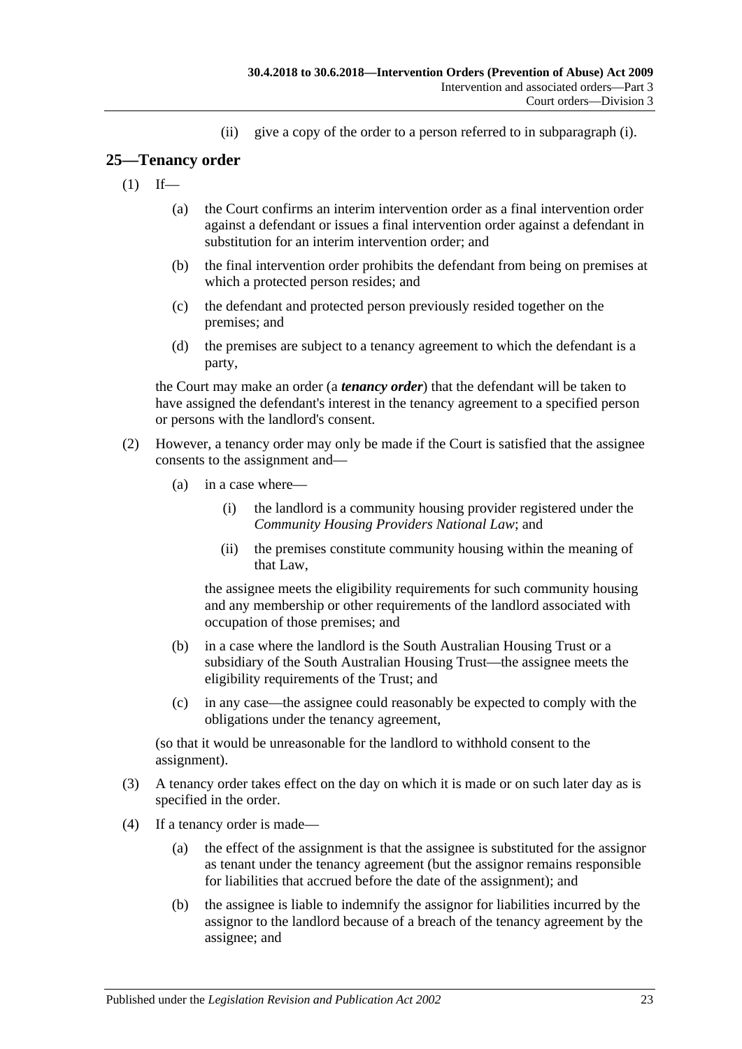(ii) give a copy of the order to a person referred to in [subparagraph](#page-21-2) (i).

## <span id="page-22-0"></span>**25—Tenancy order**

- $(1)$  If—
	- (a) the Court confirms an interim intervention order as a final intervention order against a defendant or issues a final intervention order against a defendant in substitution for an interim intervention order; and
	- (b) the final intervention order prohibits the defendant from being on premises at which a protected person resides; and
	- (c) the defendant and protected person previously resided together on the premises; and
	- (d) the premises are subject to a tenancy agreement to which the defendant is a party,

the Court may make an order (a *tenancy order*) that the defendant will be taken to have assigned the defendant's interest in the tenancy agreement to a specified person or persons with the landlord's consent.

- (2) However, a tenancy order may only be made if the Court is satisfied that the assignee consents to the assignment and—
	- (a) in a case where—
		- (i) the landlord is a community housing provider registered under the *Community Housing Providers National Law*; and
		- (ii) the premises constitute community housing within the meaning of that Law,

the assignee meets the eligibility requirements for such community housing and any membership or other requirements of the landlord associated with occupation of those premises; and

- (b) in a case where the landlord is the South Australian Housing Trust or a subsidiary of the South Australian Housing Trust—the assignee meets the eligibility requirements of the Trust; and
- (c) in any case—the assignee could reasonably be expected to comply with the obligations under the tenancy agreement,

(so that it would be unreasonable for the landlord to withhold consent to the assignment).

- (3) A tenancy order takes effect on the day on which it is made or on such later day as is specified in the order.
- (4) If a tenancy order is made—
	- (a) the effect of the assignment is that the assignee is substituted for the assignor as tenant under the tenancy agreement (but the assignor remains responsible for liabilities that accrued before the date of the assignment); and
	- (b) the assignee is liable to indemnify the assignor for liabilities incurred by the assignor to the landlord because of a breach of the tenancy agreement by the assignee; and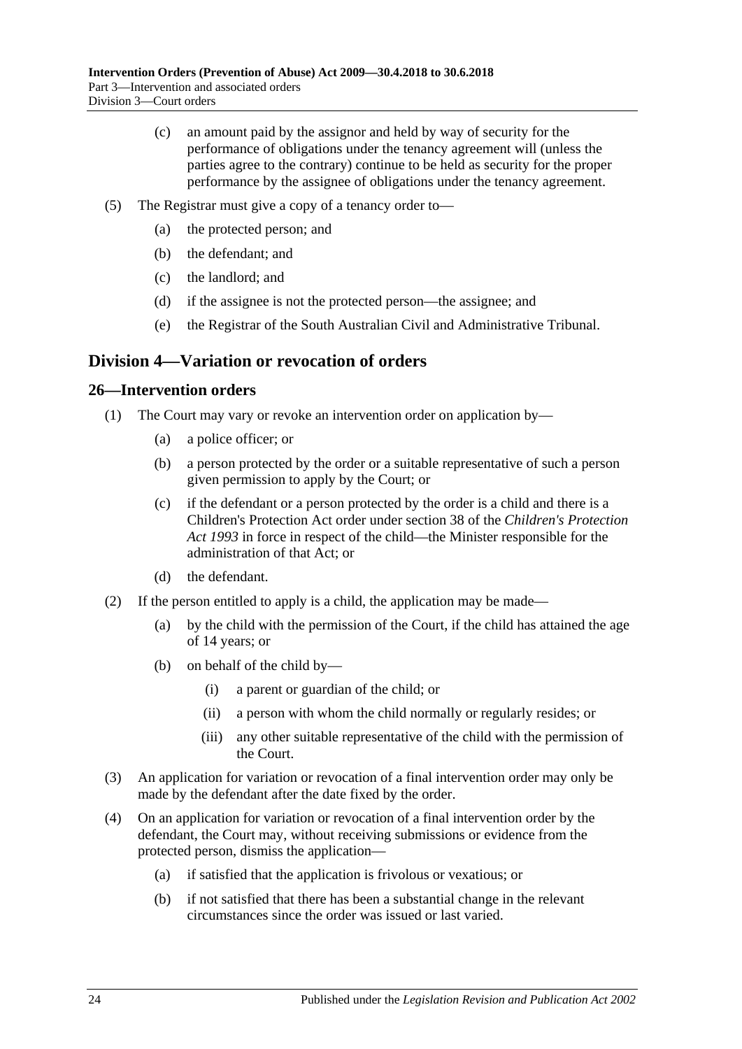- (c) an amount paid by the assignor and held by way of security for the performance of obligations under the tenancy agreement will (unless the parties agree to the contrary) continue to be held as security for the proper performance by the assignee of obligations under the tenancy agreement.
- (5) The Registrar must give a copy of a tenancy order to—
	- (a) the protected person; and
	- (b) the defendant; and
	- (c) the landlord; and
	- (d) if the assignee is not the protected person—the assignee; and
	- (e) the Registrar of the South Australian Civil and Administrative Tribunal.

## <span id="page-23-0"></span>**Division 4—Variation or revocation of orders**

#### <span id="page-23-1"></span>**26—Intervention orders**

- (1) The Court may vary or revoke an intervention order on application by—
	- (a) a police officer; or
	- (b) a person protected by the order or a suitable representative of such a person given permission to apply by the Court; or
	- (c) if the defendant or a person protected by the order is a child and there is a Children's Protection Act order under section 38 of the *[Children's Protection](http://www.legislation.sa.gov.au/index.aspx?action=legref&type=act&legtitle=Childrens%20Protection%20Act%201993)  Act [1993](http://www.legislation.sa.gov.au/index.aspx?action=legref&type=act&legtitle=Childrens%20Protection%20Act%201993)* in force in respect of the child—the Minister responsible for the administration of that Act; or
	- (d) the defendant.
- (2) If the person entitled to apply is a child, the application may be made—
	- (a) by the child with the permission of the Court, if the child has attained the age of 14 years; or
	- (b) on behalf of the child by—
		- (i) a parent or guardian of the child; or
		- (ii) a person with whom the child normally or regularly resides; or
		- (iii) any other suitable representative of the child with the permission of the Court.
- (3) An application for variation or revocation of a final intervention order may only be made by the defendant after the date fixed by the order.
- (4) On an application for variation or revocation of a final intervention order by the defendant, the Court may, without receiving submissions or evidence from the protected person, dismiss the application—
	- (a) if satisfied that the application is frivolous or vexatious; or
	- (b) if not satisfied that there has been a substantial change in the relevant circumstances since the order was issued or last varied.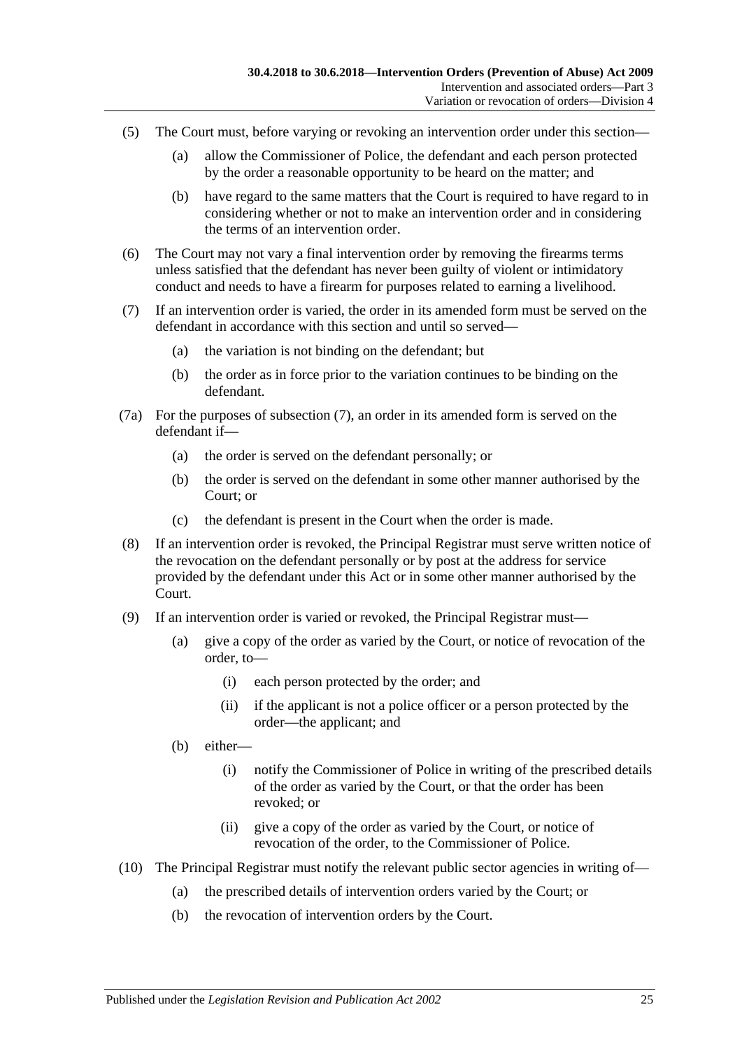- (5) The Court must, before varying or revoking an intervention order under this section—
	- (a) allow the Commissioner of Police, the defendant and each person protected by the order a reasonable opportunity to be heard on the matter; and
	- (b) have regard to the same matters that the Court is required to have regard to in considering whether or not to make an intervention order and in considering the terms of an intervention order.
- (6) The Court may not vary a final intervention order by removing the firearms terms unless satisfied that the defendant has never been guilty of violent or intimidatory conduct and needs to have a firearm for purposes related to earning a livelihood.
- <span id="page-24-0"></span>(7) If an intervention order is varied, the order in its amended form must be served on the defendant in accordance with this section and until so served—
	- (a) the variation is not binding on the defendant; but
	- (b) the order as in force prior to the variation continues to be binding on the defendant.
- (7a) For the purposes of [subsection](#page-24-0) (7), an order in its amended form is served on the defendant if—
	- (a) the order is served on the defendant personally; or
	- (b) the order is served on the defendant in some other manner authorised by the Court; or
	- (c) the defendant is present in the Court when the order is made.
- (8) If an intervention order is revoked, the Principal Registrar must serve written notice of the revocation on the defendant personally or by post at the address for service provided by the defendant under this Act or in some other manner authorised by the Court.
- (9) If an intervention order is varied or revoked, the Principal Registrar must—
	- (a) give a copy of the order as varied by the Court, or notice of revocation of the order, to—
		- (i) each person protected by the order; and
		- (ii) if the applicant is not a police officer or a person protected by the order—the applicant; and
	- (b) either—
		- (i) notify the Commissioner of Police in writing of the prescribed details of the order as varied by the Court, or that the order has been revoked; or
		- (ii) give a copy of the order as varied by the Court, or notice of revocation of the order, to the Commissioner of Police.
- (10) The Principal Registrar must notify the relevant public sector agencies in writing of—
	- (a) the prescribed details of intervention orders varied by the Court; or
	- (b) the revocation of intervention orders by the Court.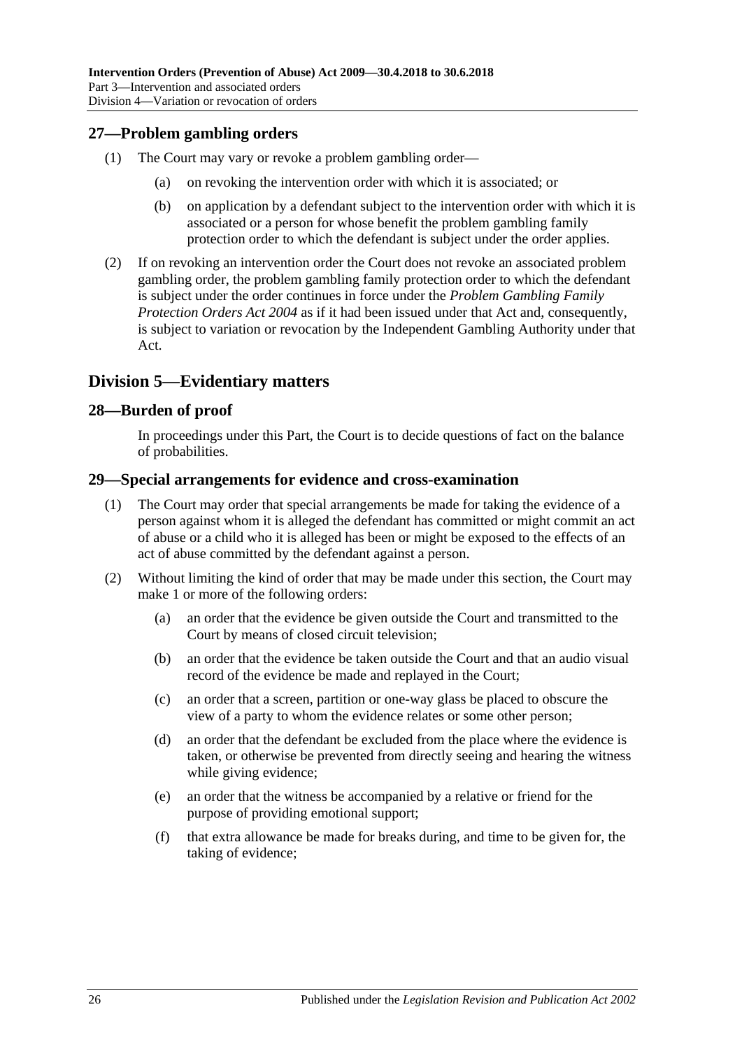## <span id="page-25-0"></span>**27—Problem gambling orders**

- (1) The Court may vary or revoke a problem gambling order—
	- (a) on revoking the intervention order with which it is associated; or
	- (b) on application by a defendant subject to the intervention order with which it is associated or a person for whose benefit the problem gambling family protection order to which the defendant is subject under the order applies.
- (2) If on revoking an intervention order the Court does not revoke an associated problem gambling order, the problem gambling family protection order to which the defendant is subject under the order continues in force under the *[Problem Gambling Family](http://www.legislation.sa.gov.au/index.aspx?action=legref&type=act&legtitle=Problem%20Gambling%20Family%20Protection%20Orders%20Act%202004)  [Protection Orders Act](http://www.legislation.sa.gov.au/index.aspx?action=legref&type=act&legtitle=Problem%20Gambling%20Family%20Protection%20Orders%20Act%202004) 2004* as if it had been issued under that Act and, consequently, is subject to variation or revocation by the Independent Gambling Authority under that Act.

## <span id="page-25-1"></span>**Division 5—Evidentiary matters**

#### <span id="page-25-2"></span>**28—Burden of proof**

In proceedings under this Part, the Court is to decide questions of fact on the balance of probabilities.

#### <span id="page-25-3"></span>**29—Special arrangements for evidence and cross-examination**

- (1) The Court may order that special arrangements be made for taking the evidence of a person against whom it is alleged the defendant has committed or might commit an act of abuse or a child who it is alleged has been or might be exposed to the effects of an act of abuse committed by the defendant against a person.
- (2) Without limiting the kind of order that may be made under this section, the Court may make 1 or more of the following orders:
	- (a) an order that the evidence be given outside the Court and transmitted to the Court by means of closed circuit television;
	- (b) an order that the evidence be taken outside the Court and that an audio visual record of the evidence be made and replayed in the Court;
	- (c) an order that a screen, partition or one-way glass be placed to obscure the view of a party to whom the evidence relates or some other person;
	- (d) an order that the defendant be excluded from the place where the evidence is taken, or otherwise be prevented from directly seeing and hearing the witness while giving evidence;
	- (e) an order that the witness be accompanied by a relative or friend for the purpose of providing emotional support;
	- (f) that extra allowance be made for breaks during, and time to be given for, the taking of evidence;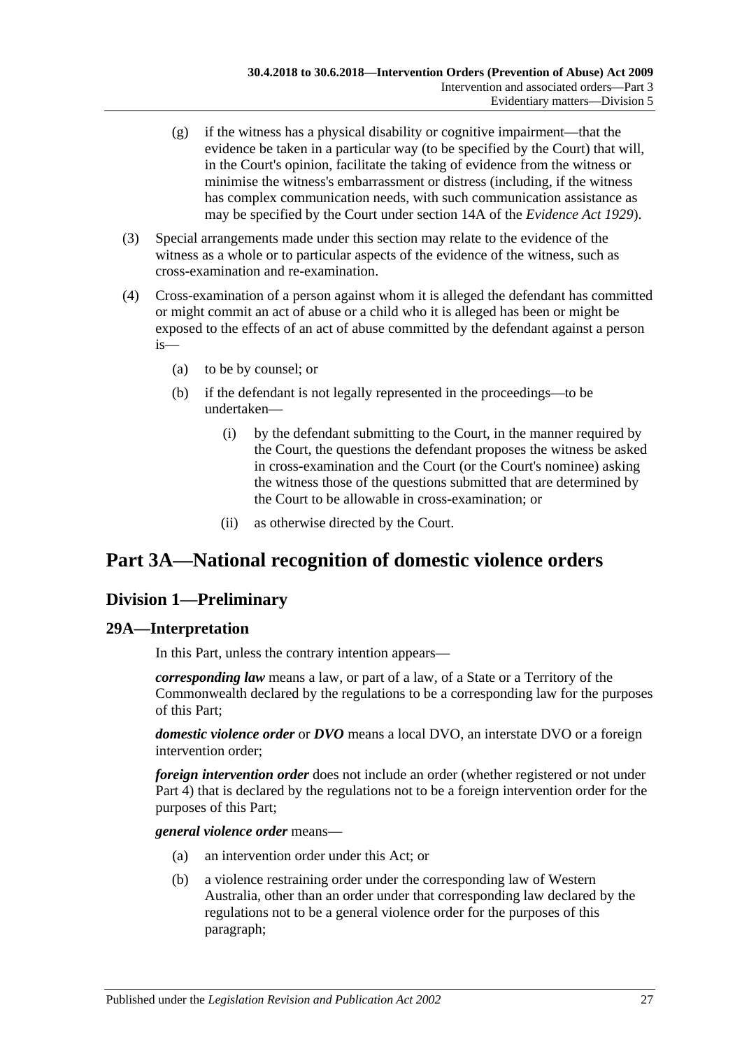- (g) if the witness has a physical disability or cognitive impairment—that the evidence be taken in a particular way (to be specified by the Court) that will, in the Court's opinion, facilitate the taking of evidence from the witness or minimise the witness's embarrassment or distress (including, if the witness has complex communication needs, with such communication assistance as may be specified by the Court under section 14A of the *[Evidence Act](http://www.legislation.sa.gov.au/index.aspx?action=legref&type=act&legtitle=Evidence%20Act%201929) 1929*).
- (3) Special arrangements made under this section may relate to the evidence of the witness as a whole or to particular aspects of the evidence of the witness, such as cross-examination and re-examination.
- (4) Cross-examination of a person against whom it is alleged the defendant has committed or might commit an act of abuse or a child who it is alleged has been or might be exposed to the effects of an act of abuse committed by the defendant against a person is—
	- (a) to be by counsel; or
	- (b) if the defendant is not legally represented in the proceedings—to be undertaken—
		- (i) by the defendant submitting to the Court, in the manner required by the Court, the questions the defendant proposes the witness be asked in cross-examination and the Court (or the Court's nominee) asking the witness those of the questions submitted that are determined by the Court to be allowable in cross-examination; or
		- (ii) as otherwise directed by the Court.

## <span id="page-26-0"></span>**Part 3A—National recognition of domestic violence orders**

## <span id="page-26-1"></span>**Division 1—Preliminary**

## <span id="page-26-2"></span>**29A—Interpretation**

In this Part, unless the contrary intention appears—

*corresponding law* means a law, or part of a law, of a State or a Territory of the Commonwealth declared by the regulations to be a corresponding law for the purposes of this Part;

*domestic violence order* or *DVO* means a local DVO, an interstate DVO or a foreign intervention order;

*foreign intervention order* does not include an order (whether registered or not under [Part 4\)](#page-38-2) that is declared by the regulations not to be a foreign intervention order for the purposes of this Part;

*general violence order* means—

- (a) an intervention order under this Act; or
- (b) a violence restraining order under the corresponding law of Western Australia, other than an order under that corresponding law declared by the regulations not to be a general violence order for the purposes of this paragraph;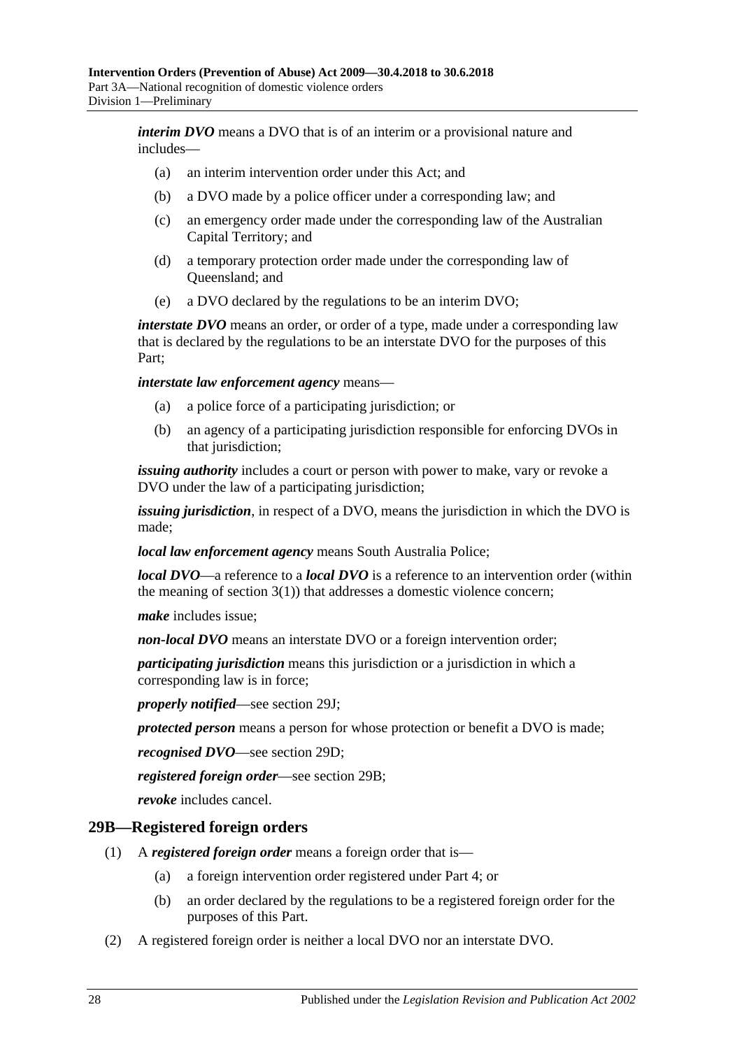*interim DVO* means a DVO that is of an interim or a provisional nature and includes—

- (a) an interim intervention order under this Act; and
- (b) a DVO made by a police officer under a corresponding law; and
- (c) an emergency order made under the corresponding law of the Australian Capital Territory; and
- (d) a temporary protection order made under the corresponding law of Queensland; and
- (e) a DVO declared by the regulations to be an interim DVO;

*interstate DVO* means an order, or order of a type, made under a corresponding law that is declared by the regulations to be an interstate DVO for the purposes of this Part;

*interstate law enforcement agency* means—

- (a) a police force of a participating jurisdiction; or
- (b) an agency of a participating jurisdiction responsible for enforcing DVOs in that jurisdiction;

*issuing authority* includes a court or person with power to make, vary or revoke a DVO under the law of a participating jurisdiction;

*issuing jurisdiction*, in respect of a DVO, means the jurisdiction in which the DVO is made;

*local law enforcement agency* means South Australia Police;

*local DVO*—a reference to a *local DVO* is a reference to an intervention order (within the meaning of [section](#page-3-3)  $3(1)$ ) that addresses a domestic violence concern;

*make* includes issue;

*non-local DVO* means an interstate DVO or a foreign intervention order;

*participating jurisdiction* means this jurisdiction or a jurisdiction in which a corresponding law is in force;

*properly notified*—see [section](#page-31-0) 29J;

*protected person* means a person for whose protection or benefit a DVO is made;

*recognised DVO*—see [section](#page-28-3) 29D;

*registered foreign order*—see [section](#page-27-0) 29B;

*revoke* includes cancel.

#### <span id="page-27-0"></span>**29B—Registered foreign orders**

- (1) A *registered foreign order* means a foreign order that is—
	- (a) a foreign intervention order registered under [Part 4;](#page-38-2) or
	- (b) an order declared by the regulations to be a registered foreign order for the purposes of this Part.
- (2) A registered foreign order is neither a local DVO nor an interstate DVO.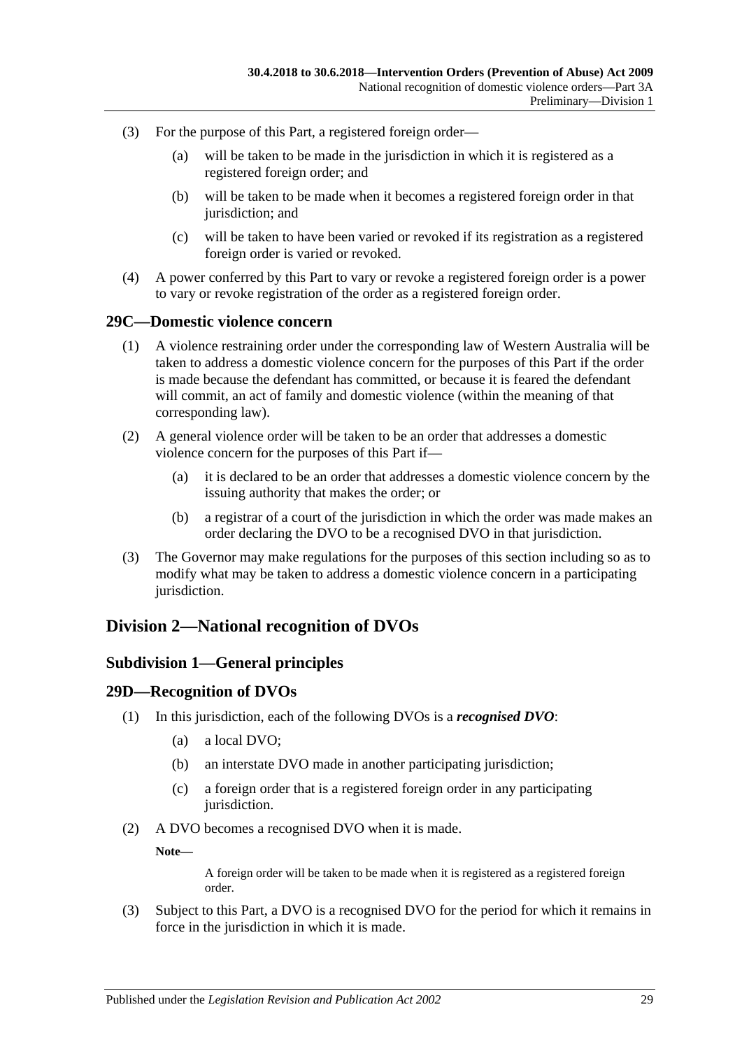- (3) For the purpose of this Part, a registered foreign order—
	- (a) will be taken to be made in the jurisdiction in which it is registered as a registered foreign order; and
	- (b) will be taken to be made when it becomes a registered foreign order in that jurisdiction; and
	- (c) will be taken to have been varied or revoked if its registration as a registered foreign order is varied or revoked.
- (4) A power conferred by this Part to vary or revoke a registered foreign order is a power to vary or revoke registration of the order as a registered foreign order.

#### <span id="page-28-0"></span>**29C—Domestic violence concern**

- (1) A violence restraining order under the corresponding law of Western Australia will be taken to address a domestic violence concern for the purposes of this Part if the order is made because the defendant has committed, or because it is feared the defendant will commit, an act of family and domestic violence (within the meaning of that corresponding law).
- (2) A general violence order will be taken to be an order that addresses a domestic violence concern for the purposes of this Part if—
	- (a) it is declared to be an order that addresses a domestic violence concern by the issuing authority that makes the order; or
	- (b) a registrar of a court of the jurisdiction in which the order was made makes an order declaring the DVO to be a recognised DVO in that jurisdiction.
- (3) The Governor may make regulations for the purposes of this section including so as to modify what may be taken to address a domestic violence concern in a participating jurisdiction.

## <span id="page-28-2"></span><span id="page-28-1"></span>**Division 2—National recognition of DVOs**

#### **Subdivision 1—General principles**

#### <span id="page-28-3"></span>**29D—Recognition of DVOs**

- (1) In this jurisdiction, each of the following DVOs is a *recognised DVO*:
	- (a) a local DVO;
	- (b) an interstate DVO made in another participating jurisdiction;
	- (c) a foreign order that is a registered foreign order in any participating jurisdiction.
- (2) A DVO becomes a recognised DVO when it is made.

**Note—**

A foreign order will be taken to be made when it is registered as a registered foreign order.

(3) Subject to this Part, a DVO is a recognised DVO for the period for which it remains in force in the jurisdiction in which it is made.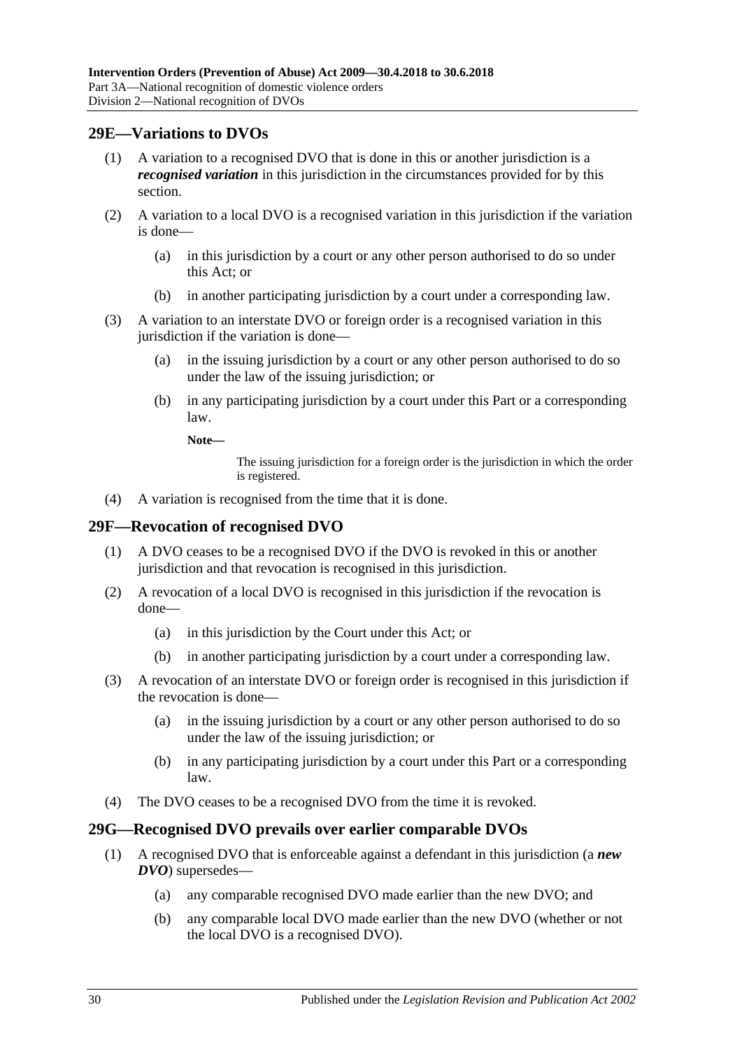## <span id="page-29-0"></span>**29E—Variations to DVOs**

- (1) A variation to a recognised DVO that is done in this or another jurisdiction is a *recognised variation* in this jurisdiction in the circumstances provided for by this section.
- (2) A variation to a local DVO is a recognised variation in this jurisdiction if the variation is done—
	- (a) in this jurisdiction by a court or any other person authorised to do so under this Act; or
	- (b) in another participating jurisdiction by a court under a corresponding law.
- (3) A variation to an interstate DVO or foreign order is a recognised variation in this jurisdiction if the variation is done—
	- (a) in the issuing jurisdiction by a court or any other person authorised to do so under the law of the issuing jurisdiction; or
	- (b) in any participating jurisdiction by a court under this Part or a corresponding law.
		- **Note—**

The issuing jurisdiction for a foreign order is the jurisdiction in which the order is registered.

(4) A variation is recognised from the time that it is done.

## <span id="page-29-1"></span>**29F—Revocation of recognised DVO**

- (1) A DVO ceases to be a recognised DVO if the DVO is revoked in this or another jurisdiction and that revocation is recognised in this jurisdiction.
- (2) A revocation of a local DVO is recognised in this jurisdiction if the revocation is done—
	- (a) in this jurisdiction by the Court under this Act; or
	- (b) in another participating jurisdiction by a court under a corresponding law.
- (3) A revocation of an interstate DVO or foreign order is recognised in this jurisdiction if the revocation is done—
	- (a) in the issuing jurisdiction by a court or any other person authorised to do so under the law of the issuing jurisdiction; or
	- (b) in any participating jurisdiction by a court under this Part or a corresponding law.
- (4) The DVO ceases to be a recognised DVO from the time it is revoked.

## <span id="page-29-2"></span>**29G—Recognised DVO prevails over earlier comparable DVOs**

- (1) A recognised DVO that is enforceable against a defendant in this jurisdiction (a *new DVO*) supersedes—
	- (a) any comparable recognised DVO made earlier than the new DVO; and
	- (b) any comparable local DVO made earlier than the new DVO (whether or not the local DVO is a recognised DVO).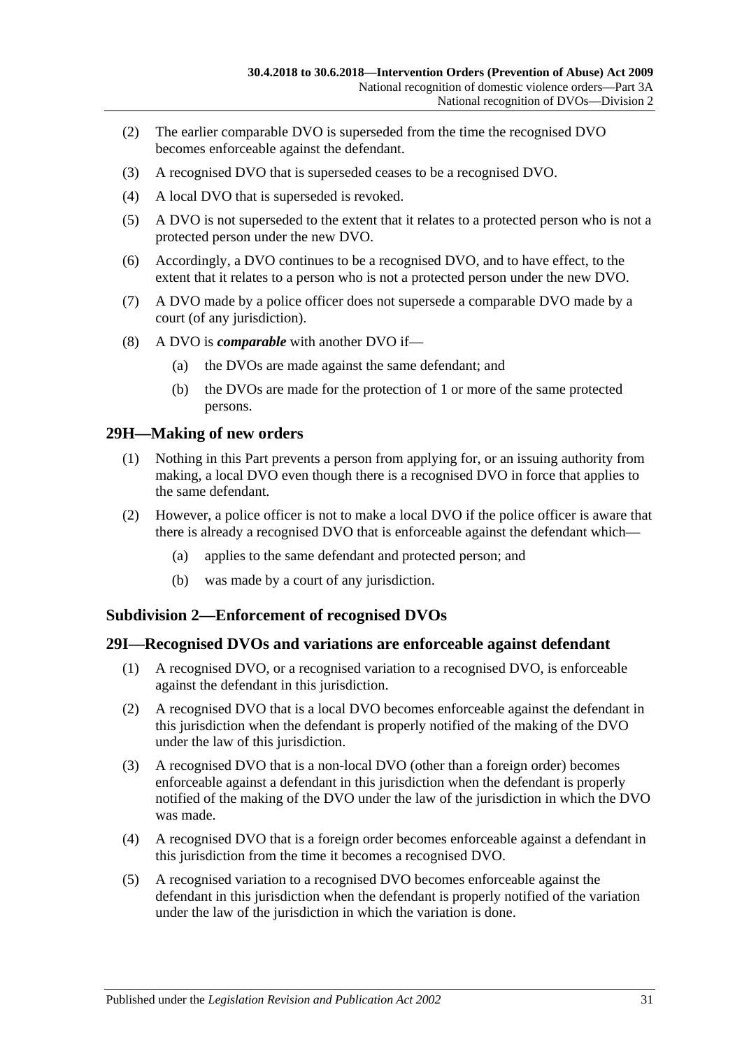- (2) The earlier comparable DVO is superseded from the time the recognised DVO becomes enforceable against the defendant.
- (3) A recognised DVO that is superseded ceases to be a recognised DVO.
- (4) A local DVO that is superseded is revoked.
- (5) A DVO is not superseded to the extent that it relates to a protected person who is not a protected person under the new DVO.
- (6) Accordingly, a DVO continues to be a recognised DVO, and to have effect, to the extent that it relates to a person who is not a protected person under the new DVO.
- (7) A DVO made by a police officer does not supersede a comparable DVO made by a court (of any jurisdiction).
- (8) A DVO is *comparable* with another DVO if—
	- (a) the DVOs are made against the same defendant; and
	- (b) the DVOs are made for the protection of 1 or more of the same protected persons.

#### <span id="page-30-0"></span>**29H—Making of new orders**

- (1) Nothing in this Part prevents a person from applying for, or an issuing authority from making, a local DVO even though there is a recognised DVO in force that applies to the same defendant.
- (2) However, a police officer is not to make a local DVO if the police officer is aware that there is already a recognised DVO that is enforceable against the defendant which—
	- (a) applies to the same defendant and protected person; and
	- (b) was made by a court of any jurisdiction.

#### <span id="page-30-1"></span>**Subdivision 2—Enforcement of recognised DVOs**

#### <span id="page-30-2"></span>**29I—Recognised DVOs and variations are enforceable against defendant**

- (1) A recognised DVO, or a recognised variation to a recognised DVO, is enforceable against the defendant in this jurisdiction.
- (2) A recognised DVO that is a local DVO becomes enforceable against the defendant in this jurisdiction when the defendant is properly notified of the making of the DVO under the law of this jurisdiction.
- (3) A recognised DVO that is a non-local DVO (other than a foreign order) becomes enforceable against a defendant in this jurisdiction when the defendant is properly notified of the making of the DVO under the law of the jurisdiction in which the DVO was made.
- (4) A recognised DVO that is a foreign order becomes enforceable against a defendant in this jurisdiction from the time it becomes a recognised DVO.
- (5) A recognised variation to a recognised DVO becomes enforceable against the defendant in this jurisdiction when the defendant is properly notified of the variation under the law of the jurisdiction in which the variation is done.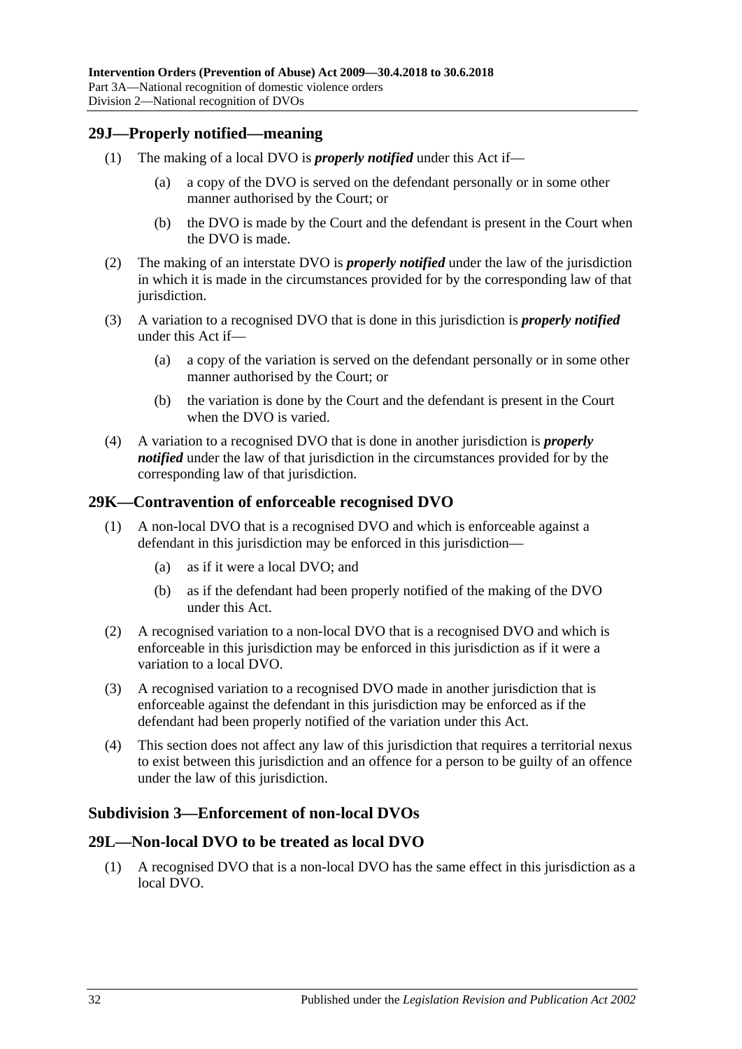#### <span id="page-31-0"></span>**29J—Properly notified—meaning**

- (1) The making of a local DVO is *properly notified* under this Act if—
	- (a) a copy of the DVO is served on the defendant personally or in some other manner authorised by the Court; or
	- (b) the DVO is made by the Court and the defendant is present in the Court when the DVO is made.
- (2) The making of an interstate DVO is *properly notified* under the law of the jurisdiction in which it is made in the circumstances provided for by the corresponding law of that jurisdiction.
- (3) A variation to a recognised DVO that is done in this jurisdiction is *properly notified* under this Act if—
	- (a) a copy of the variation is served on the defendant personally or in some other manner authorised by the Court; or
	- (b) the variation is done by the Court and the defendant is present in the Court when the DVO is varied.
- (4) A variation to a recognised DVO that is done in another jurisdiction is *properly notified* under the law of that jurisdiction in the circumstances provided for by the corresponding law of that jurisdiction.

#### <span id="page-31-1"></span>**29K—Contravention of enforceable recognised DVO**

- (1) A non-local DVO that is a recognised DVO and which is enforceable against a defendant in this jurisdiction may be enforced in this jurisdiction—
	- (a) as if it were a local DVO; and
	- (b) as if the defendant had been properly notified of the making of the DVO under this Act.
- (2) A recognised variation to a non-local DVO that is a recognised DVO and which is enforceable in this jurisdiction may be enforced in this jurisdiction as if it were a variation to a local DVO.
- (3) A recognised variation to a recognised DVO made in another jurisdiction that is enforceable against the defendant in this jurisdiction may be enforced as if the defendant had been properly notified of the variation under this Act.
- (4) This section does not affect any law of this jurisdiction that requires a territorial nexus to exist between this jurisdiction and an offence for a person to be guilty of an offence under the law of this jurisdiction.

## <span id="page-31-2"></span>**Subdivision 3—Enforcement of non-local DVOs**

## <span id="page-31-3"></span>**29L—Non-local DVO to be treated as local DVO**

(1) A recognised DVO that is a non-local DVO has the same effect in this jurisdiction as a local DVO.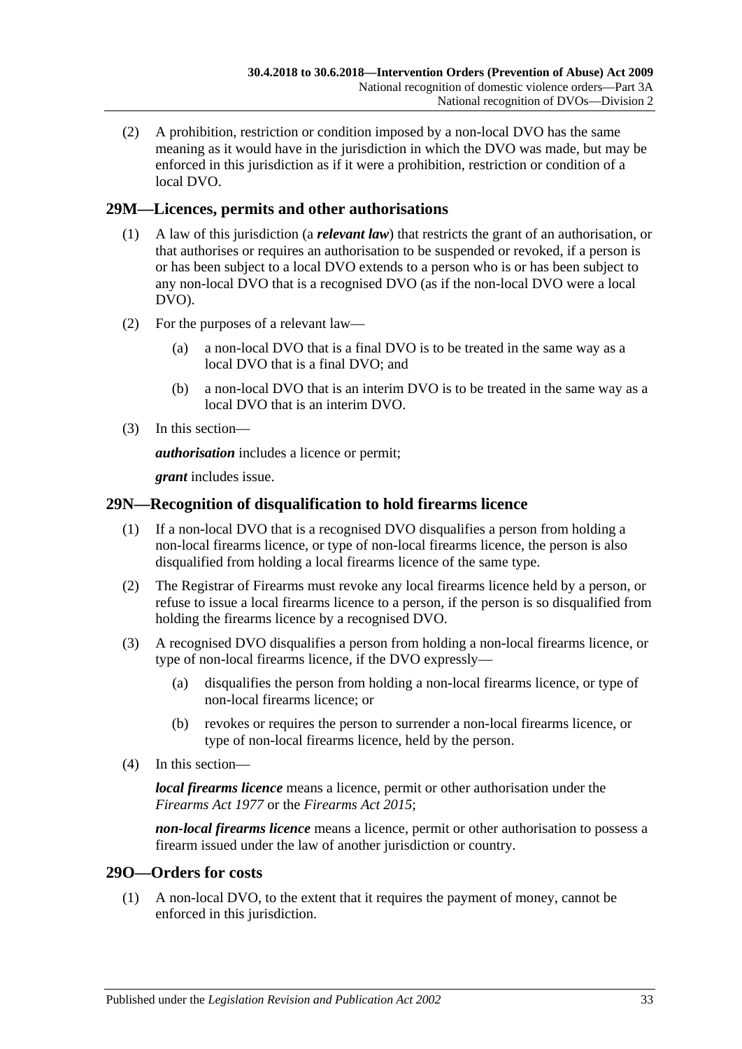(2) A prohibition, restriction or condition imposed by a non-local DVO has the same meaning as it would have in the jurisdiction in which the DVO was made, but may be enforced in this jurisdiction as if it were a prohibition, restriction or condition of a local DVO.

## <span id="page-32-0"></span>**29M—Licences, permits and other authorisations**

- (1) A law of this jurisdiction (a *relevant law*) that restricts the grant of an authorisation, or that authorises or requires an authorisation to be suspended or revoked, if a person is or has been subject to a local DVO extends to a person who is or has been subject to any non-local DVO that is a recognised DVO (as if the non-local DVO were a local DVO).
- (2) For the purposes of a relevant law—
	- (a) a non-local DVO that is a final DVO is to be treated in the same way as a local DVO that is a final DVO; and
	- (b) a non-local DVO that is an interim DVO is to be treated in the same way as a local DVO that is an interim DVO.
- (3) In this section—

*authorisation* includes a licence or permit;

*grant* includes issue.

## <span id="page-32-1"></span>**29N—Recognition of disqualification to hold firearms licence**

- (1) If a non-local DVO that is a recognised DVO disqualifies a person from holding a non-local firearms licence, or type of non-local firearms licence, the person is also disqualified from holding a local firearms licence of the same type.
- (2) The Registrar of Firearms must revoke any local firearms licence held by a person, or refuse to issue a local firearms licence to a person, if the person is so disqualified from holding the firearms licence by a recognised DVO.
- (3) A recognised DVO disqualifies a person from holding a non-local firearms licence, or type of non-local firearms licence, if the DVO expressly—
	- (a) disqualifies the person from holding a non-local firearms licence, or type of non-local firearms licence; or
	- (b) revokes or requires the person to surrender a non-local firearms licence, or type of non-local firearms licence, held by the person.
- (4) In this section—

*local firearms licence* means a licence, permit or other authorisation under the *[Firearms Act](http://www.legislation.sa.gov.au/index.aspx?action=legref&type=act&legtitle=Firearms%20Act%201977) 1977* or the *[Firearms Act](http://www.legislation.sa.gov.au/index.aspx?action=legref&type=act&legtitle=Firearms%20Act%202015) 2015*;

*non-local firearms licence* means a licence, permit or other authorisation to possess a firearm issued under the law of another jurisdiction or country.

## <span id="page-32-2"></span>**29O—Orders for costs**

(1) A non-local DVO, to the extent that it requires the payment of money, cannot be enforced in this jurisdiction.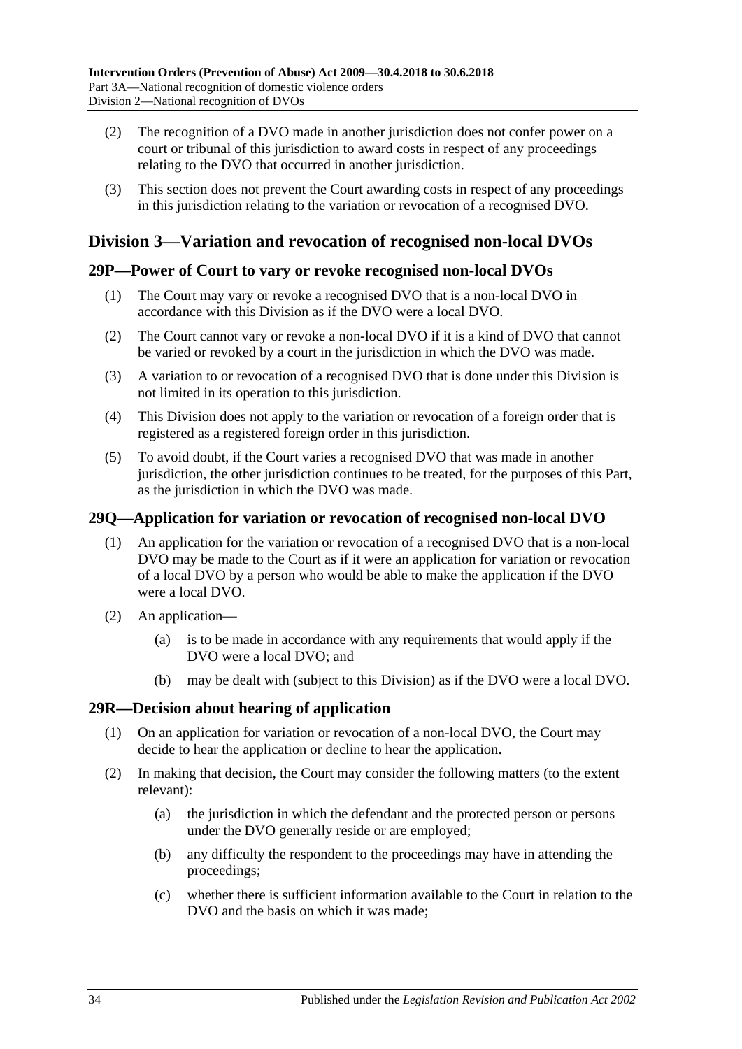- (2) The recognition of a DVO made in another jurisdiction does not confer power on a court or tribunal of this jurisdiction to award costs in respect of any proceedings relating to the DVO that occurred in another jurisdiction.
- (3) This section does not prevent the Court awarding costs in respect of any proceedings in this jurisdiction relating to the variation or revocation of a recognised DVO.

## <span id="page-33-0"></span>**Division 3—Variation and revocation of recognised non-local DVOs**

## <span id="page-33-1"></span>**29P—Power of Court to vary or revoke recognised non-local DVOs**

- (1) The Court may vary or revoke a recognised DVO that is a non-local DVO in accordance with this Division as if the DVO were a local DVO.
- (2) The Court cannot vary or revoke a non-local DVO if it is a kind of DVO that cannot be varied or revoked by a court in the jurisdiction in which the DVO was made.
- (3) A variation to or revocation of a recognised DVO that is done under this Division is not limited in its operation to this jurisdiction.
- (4) This Division does not apply to the variation or revocation of a foreign order that is registered as a registered foreign order in this jurisdiction.
- (5) To avoid doubt, if the Court varies a recognised DVO that was made in another jurisdiction, the other jurisdiction continues to be treated, for the purposes of this Part, as the jurisdiction in which the DVO was made.

## <span id="page-33-2"></span>**29Q—Application for variation or revocation of recognised non-local DVO**

- (1) An application for the variation or revocation of a recognised DVO that is a non-local DVO may be made to the Court as if it were an application for variation or revocation of a local DVO by a person who would be able to make the application if the DVO were a local DVO.
- (2) An application—
	- (a) is to be made in accordance with any requirements that would apply if the DVO were a local DVO; and
	- (b) may be dealt with (subject to this Division) as if the DVO were a local DVO.

## <span id="page-33-3"></span>**29R—Decision about hearing of application**

- (1) On an application for variation or revocation of a non-local DVO, the Court may decide to hear the application or decline to hear the application.
- (2) In making that decision, the Court may consider the following matters (to the extent relevant):
	- (a) the jurisdiction in which the defendant and the protected person or persons under the DVO generally reside or are employed;
	- (b) any difficulty the respondent to the proceedings may have in attending the proceedings;
	- (c) whether there is sufficient information available to the Court in relation to the DVO and the basis on which it was made;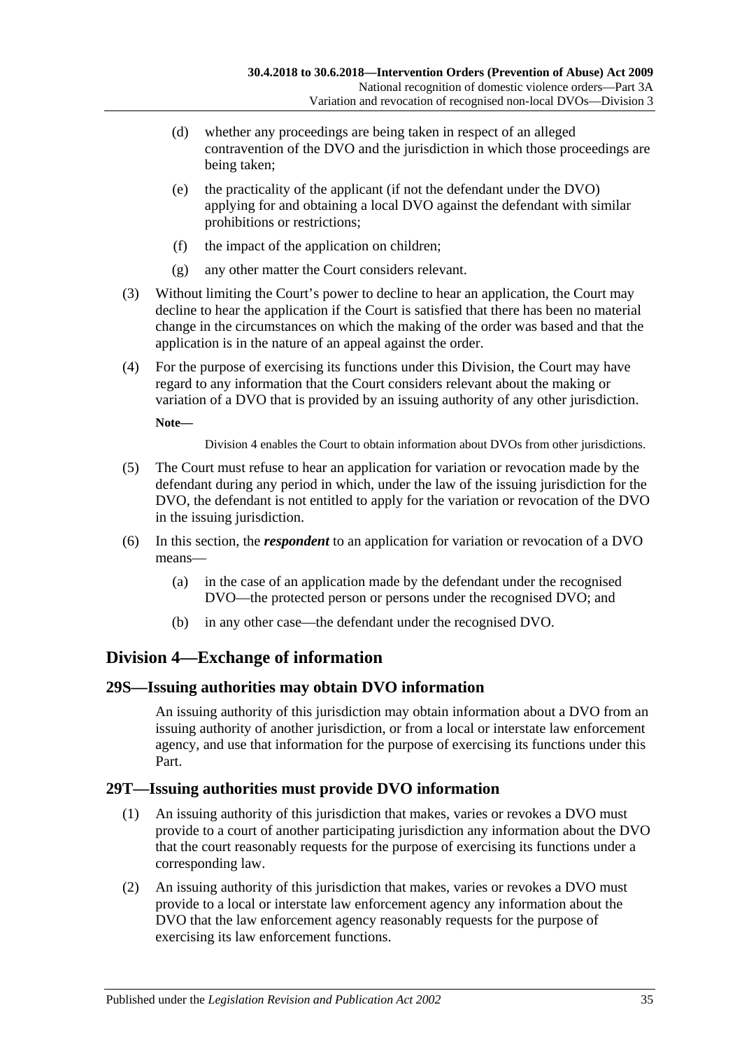- (d) whether any proceedings are being taken in respect of an alleged contravention of the DVO and the jurisdiction in which those proceedings are being taken;
- (e) the practicality of the applicant (if not the defendant under the DVO) applying for and obtaining a local DVO against the defendant with similar prohibitions or restrictions;
- (f) the impact of the application on children;
- (g) any other matter the Court considers relevant.
- (3) Without limiting the Court's power to decline to hear an application, the Court may decline to hear the application if the Court is satisfied that there has been no material change in the circumstances on which the making of the order was based and that the application is in the nature of an appeal against the order.
- (4) For the purpose of exercising its functions under this Division, the Court may have regard to any information that the Court considers relevant about the making or variation of a DVO that is provided by an issuing authority of any other jurisdiction.

**Note—**

[Division](#page-34-0) 4 enables the Court to obtain information about DVOs from other jurisdictions.

- (5) The Court must refuse to hear an application for variation or revocation made by the defendant during any period in which, under the law of the issuing jurisdiction for the DVO, the defendant is not entitled to apply for the variation or revocation of the DVO in the issuing jurisdiction.
- (6) In this section, the *respondent* to an application for variation or revocation of a DVO means—
	- (a) in the case of an application made by the defendant under the recognised DVO—the protected person or persons under the recognised DVO; and
	- (b) in any other case—the defendant under the recognised DVO.

## <span id="page-34-0"></span>**Division 4—Exchange of information**

## <span id="page-34-1"></span>**29S—Issuing authorities may obtain DVO information**

An issuing authority of this jurisdiction may obtain information about a DVO from an issuing authority of another jurisdiction, or from a local or interstate law enforcement agency, and use that information for the purpose of exercising its functions under this Part.

## <span id="page-34-2"></span>**29T—Issuing authorities must provide DVO information**

- (1) An issuing authority of this jurisdiction that makes, varies or revokes a DVO must provide to a court of another participating jurisdiction any information about the DVO that the court reasonably requests for the purpose of exercising its functions under a corresponding law.
- (2) An issuing authority of this jurisdiction that makes, varies or revokes a DVO must provide to a local or interstate law enforcement agency any information about the DVO that the law enforcement agency reasonably requests for the purpose of exercising its law enforcement functions.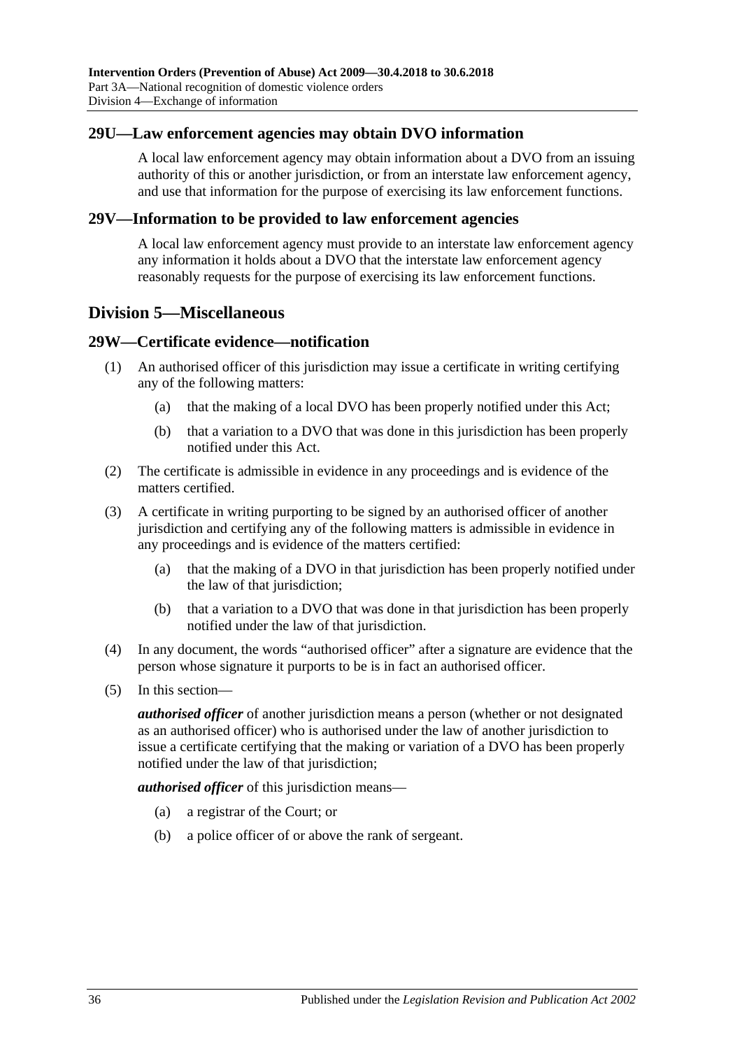#### <span id="page-35-0"></span>**29U—Law enforcement agencies may obtain DVO information**

A local law enforcement agency may obtain information about a DVO from an issuing authority of this or another jurisdiction, or from an interstate law enforcement agency, and use that information for the purpose of exercising its law enforcement functions.

#### <span id="page-35-1"></span>**29V—Information to be provided to law enforcement agencies**

A local law enforcement agency must provide to an interstate law enforcement agency any information it holds about a DVO that the interstate law enforcement agency reasonably requests for the purpose of exercising its law enforcement functions.

## <span id="page-35-2"></span>**Division 5—Miscellaneous**

#### <span id="page-35-3"></span>**29W—Certificate evidence—notification**

- (1) An authorised officer of this jurisdiction may issue a certificate in writing certifying any of the following matters:
	- (a) that the making of a local DVO has been properly notified under this Act;
	- (b) that a variation to a DVO that was done in this jurisdiction has been properly notified under this Act.
- (2) The certificate is admissible in evidence in any proceedings and is evidence of the matters certified.
- (3) A certificate in writing purporting to be signed by an authorised officer of another jurisdiction and certifying any of the following matters is admissible in evidence in any proceedings and is evidence of the matters certified:
	- (a) that the making of a DVO in that jurisdiction has been properly notified under the law of that jurisdiction;
	- (b) that a variation to a DVO that was done in that jurisdiction has been properly notified under the law of that jurisdiction.
- (4) In any document, the words "authorised officer" after a signature are evidence that the person whose signature it purports to be is in fact an authorised officer.
- (5) In this section—

*authorised officer* of another jurisdiction means a person (whether or not designated as an authorised officer) who is authorised under the law of another jurisdiction to issue a certificate certifying that the making or variation of a DVO has been properly notified under the law of that jurisdiction;

*authorised officer* of this jurisdiction means—

- (a) a registrar of the Court; or
- (b) a police officer of or above the rank of sergeant.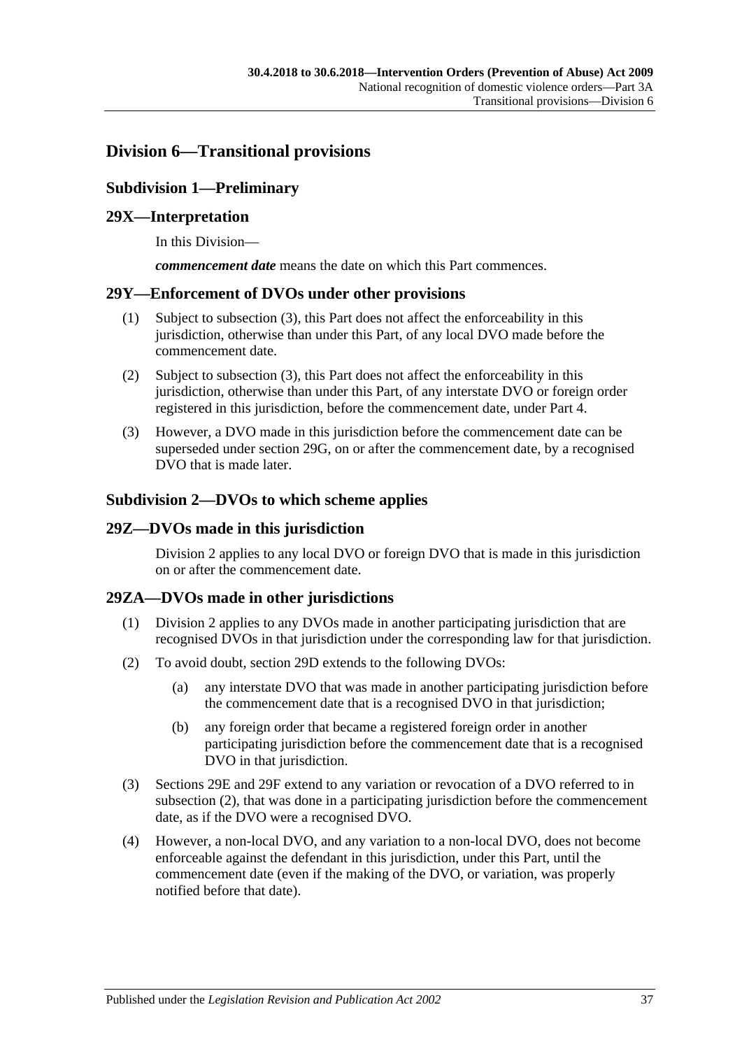## <span id="page-36-1"></span><span id="page-36-0"></span>**Division 6—Transitional provisions**

## **Subdivision 1—Preliminary**

## <span id="page-36-2"></span>**29X—Interpretation**

In this Division—

*commencement date* means the date on which this Part commences.

#### <span id="page-36-3"></span>**29Y—Enforcement of DVOs under other provisions**

- (1) Subject to [subsection](#page-36-7) (3), this Part does not affect the enforceability in this jurisdiction, otherwise than under this Part, of any local DVO made before the commencement date.
- (2) Subject to [subsection](#page-36-7) (3), this Part does not affect the enforceability in this jurisdiction, otherwise than under this Part, of any interstate DVO or foreign order registered in this jurisdiction, before the commencement date, under [Part 4.](#page-38-2)
- <span id="page-36-7"></span>(3) However, a DVO made in this jurisdiction before the commencement date can be superseded under [section](#page-29-2) 29G, on or after the commencement date, by a recognised DVO that is made later.

#### <span id="page-36-4"></span>**Subdivision 2—DVOs to which scheme applies**

#### <span id="page-36-5"></span>**29Z—DVOs made in this jurisdiction**

[Division](#page-28-1) 2 applies to any local DVO or foreign DVO that is made in this jurisdiction on or after the commencement date.

## <span id="page-36-6"></span>**29ZA—DVOs made in other jurisdictions**

- (1) [Division](#page-28-1) 2 applies to any DVOs made in another participating jurisdiction that are recognised DVOs in that jurisdiction under the corresponding law for that jurisdiction.
- <span id="page-36-8"></span>(2) To avoid doubt, [section](#page-28-3) 29D extends to the following DVOs:
	- (a) any interstate DVO that was made in another participating jurisdiction before the commencement date that is a recognised DVO in that jurisdiction;
	- (b) any foreign order that became a registered foreign order in another participating jurisdiction before the commencement date that is a recognised DVO in that jurisdiction.
- (3) [Sections 29E](#page-29-0) and [29F](#page-29-1) extend to any variation or revocation of a DVO referred to in [subsection](#page-36-8) (2), that was done in a participating jurisdiction before the commencement date, as if the DVO were a recognised DVO.
- (4) However, a non-local DVO, and any variation to a non-local DVO, does not become enforceable against the defendant in this jurisdiction, under this Part, until the commencement date (even if the making of the DVO, or variation, was properly notified before that date).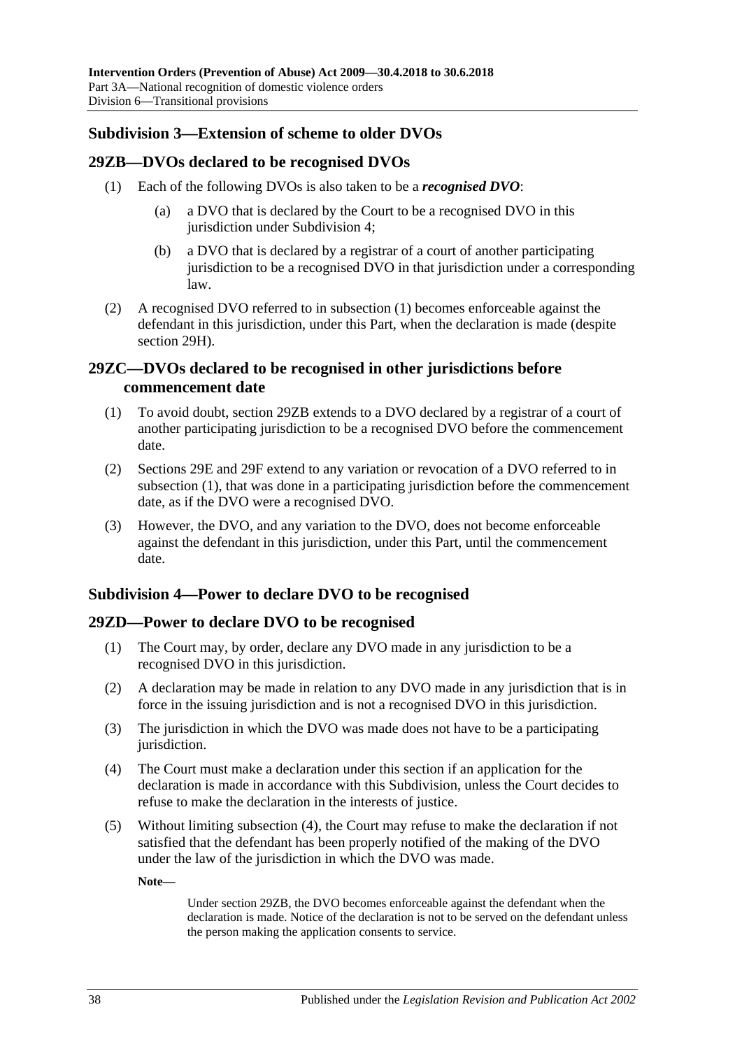## <span id="page-37-0"></span>**Subdivision 3—Extension of scheme to older DVOs**

#### <span id="page-37-5"></span><span id="page-37-1"></span>**29ZB—DVOs declared to be recognised DVOs**

- (1) Each of the following DVOs is also taken to be a *recognised DVO*:
	- (a) a DVO that is declared by the Court to be a recognised DVO in this jurisdiction under [Subdivision](#page-37-3) 4:
	- (b) a DVO that is declared by a registrar of a court of another participating jurisdiction to be a recognised DVO in that jurisdiction under a corresponding law.
- (2) A recognised DVO referred to in [subsection](#page-37-5) (1) becomes enforceable against the defendant in this jurisdiction, under this Part, when the declaration is made (despite [section](#page-30-0) 29H).

## <span id="page-37-2"></span>**29ZC—DVOs declared to be recognised in other jurisdictions before commencement date**

- <span id="page-37-6"></span>(1) To avoid doubt, [section](#page-37-1) 29ZB extends to a DVO declared by a registrar of a court of another participating jurisdiction to be a recognised DVO before the commencement date.
- (2) [Sections 29E](#page-29-0) and [29F](#page-29-1) extend to any variation or revocation of a DVO referred to in [subsection](#page-37-6) (1), that was done in a participating jurisdiction before the commencement date, as if the DVO were a recognised DVO.
- (3) However, the DVO, and any variation to the DVO, does not become enforceable against the defendant in this jurisdiction, under this Part, until the commencement date.

## <span id="page-37-3"></span>**Subdivision 4—Power to declare DVO to be recognised**

## <span id="page-37-4"></span>**29ZD—Power to declare DVO to be recognised**

- (1) The Court may, by order, declare any DVO made in any jurisdiction to be a recognised DVO in this jurisdiction.
- (2) A declaration may be made in relation to any DVO made in any jurisdiction that is in force in the issuing jurisdiction and is not a recognised DVO in this jurisdiction.
- (3) The jurisdiction in which the DVO was made does not have to be a participating jurisdiction.
- <span id="page-37-7"></span>(4) The Court must make a declaration under this section if an application for the declaration is made in accordance with this Subdivision, unless the Court decides to refuse to make the declaration in the interests of justice.
- (5) Without limiting [subsection](#page-37-7) (4), the Court may refuse to make the declaration if not satisfied that the defendant has been properly notified of the making of the DVO under the law of the jurisdiction in which the DVO was made.

**Note—**

Under [section](#page-37-1) 29ZB, the DVO becomes enforceable against the defendant when the declaration is made. Notice of the declaration is not to be served on the defendant unless the person making the application consents to service.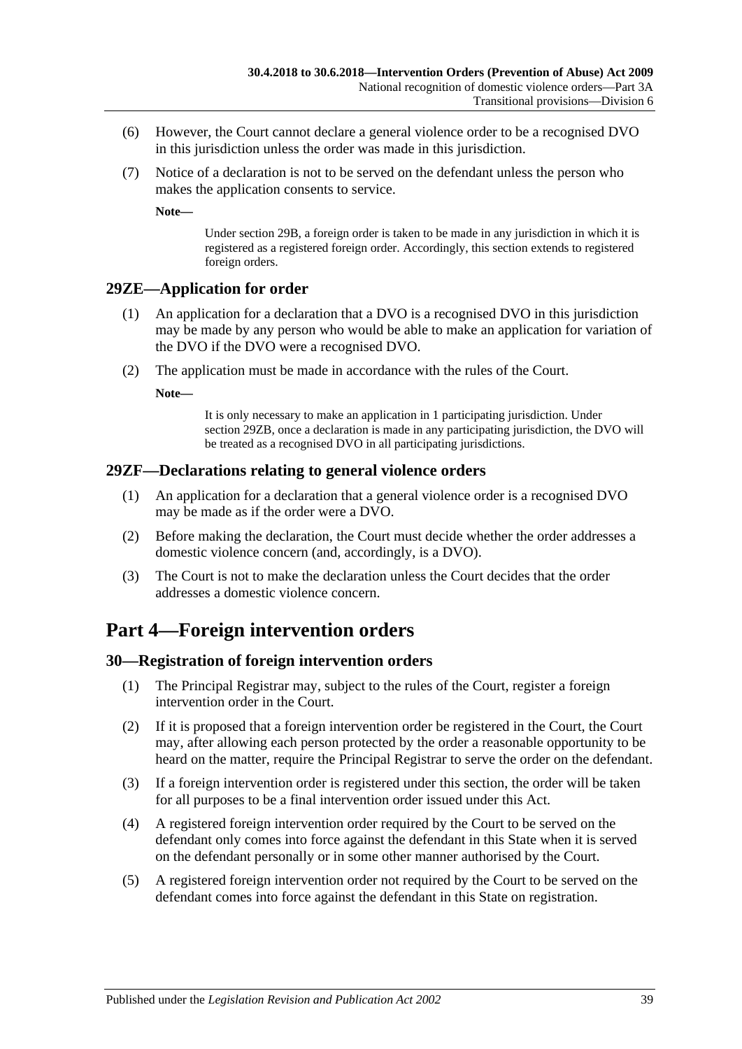- (6) However, the Court cannot declare a general violence order to be a recognised DVO in this jurisdiction unless the order was made in this jurisdiction.
- (7) Notice of a declaration is not to be served on the defendant unless the person who makes the application consents to service.

**Note—**

Under [section](#page-27-0) 29B, a foreign order is taken to be made in any jurisdiction in which it is registered as a registered foreign order. Accordingly, this section extends to registered foreign orders.

## <span id="page-38-0"></span>**29ZE—Application for order**

- (1) An application for a declaration that a DVO is a recognised DVO in this jurisdiction may be made by any person who would be able to make an application for variation of the DVO if the DVO were a recognised DVO.
- (2) The application must be made in accordance with the rules of the Court.

**Note—**

It is only necessary to make an application in 1 participating jurisdiction. Under [section](#page-37-1) 29ZB, once a declaration is made in any participating jurisdiction, the DVO will be treated as a recognised DVO in all participating jurisdictions.

#### <span id="page-38-1"></span>**29ZF—Declarations relating to general violence orders**

- (1) An application for a declaration that a general violence order is a recognised DVO may be made as if the order were a DVO.
- (2) Before making the declaration, the Court must decide whether the order addresses a domestic violence concern (and, accordingly, is a DVO).
- (3) The Court is not to make the declaration unless the Court decides that the order addresses a domestic violence concern.

## <span id="page-38-2"></span>**Part 4—Foreign intervention orders**

## <span id="page-38-3"></span>**30—Registration of foreign intervention orders**

- (1) The Principal Registrar may, subject to the rules of the Court, register a foreign intervention order in the Court.
- (2) If it is proposed that a foreign intervention order be registered in the Court, the Court may, after allowing each person protected by the order a reasonable opportunity to be heard on the matter, require the Principal Registrar to serve the order on the defendant.
- (3) If a foreign intervention order is registered under this section, the order will be taken for all purposes to be a final intervention order issued under this Act.
- (4) A registered foreign intervention order required by the Court to be served on the defendant only comes into force against the defendant in this State when it is served on the defendant personally or in some other manner authorised by the Court.
- (5) A registered foreign intervention order not required by the Court to be served on the defendant comes into force against the defendant in this State on registration.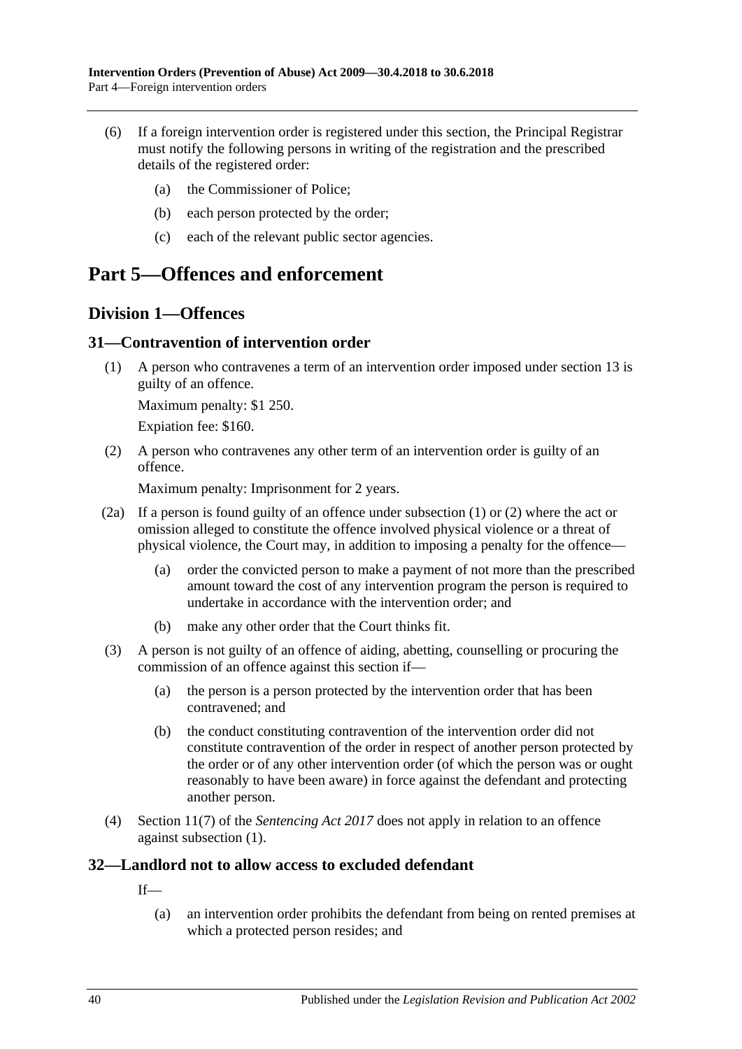- (6) If a foreign intervention order is registered under this section, the Principal Registrar must notify the following persons in writing of the registration and the prescribed details of the registered order:
	- (a) the Commissioner of Police;
	- (b) each person protected by the order;
	- (c) each of the relevant public sector agencies.

## <span id="page-39-0"></span>**Part 5—Offences and enforcement**

## <span id="page-39-1"></span>**Division 1—Offences**

## <span id="page-39-4"></span><span id="page-39-2"></span>**31—Contravention of intervention order**

(1) A person who contravenes a term of an intervention order imposed under [section](#page-13-0) 13 is guilty of an offence.

Maximum penalty: \$1 250.

Expiation fee: \$160.

<span id="page-39-5"></span>(2) A person who contravenes any other term of an intervention order is guilty of an offence.

Maximum penalty: Imprisonment for 2 years.

- (2a) If a person is found guilty of an offence under [subsection](#page-39-4) (1) or [\(2\)](#page-39-5) where the act or omission alleged to constitute the offence involved physical violence or a threat of physical violence, the Court may, in addition to imposing a penalty for the offence—
	- (a) order the convicted person to make a payment of not more than the prescribed amount toward the cost of any intervention program the person is required to undertake in accordance with the intervention order; and
	- (b) make any other order that the Court thinks fit.
- (3) A person is not guilty of an offence of aiding, abetting, counselling or procuring the commission of an offence against this section if—
	- (a) the person is a person protected by the intervention order that has been contravened; and
	- (b) the conduct constituting contravention of the intervention order did not constitute contravention of the order in respect of another person protected by the order or of any other intervention order (of which the person was or ought reasonably to have been aware) in force against the defendant and protecting another person.
- (4) Section 11(7) of the *[Sentencing Act](http://www.legislation.sa.gov.au/index.aspx?action=legref&type=act&legtitle=Sentencing%20Act%202017) 2017* does not apply in relation to an offence against [subsection](#page-39-4) (1).

## <span id="page-39-3"></span>**32—Landlord not to allow access to excluded defendant**

If—

(a) an intervention order prohibits the defendant from being on rented premises at which a protected person resides; and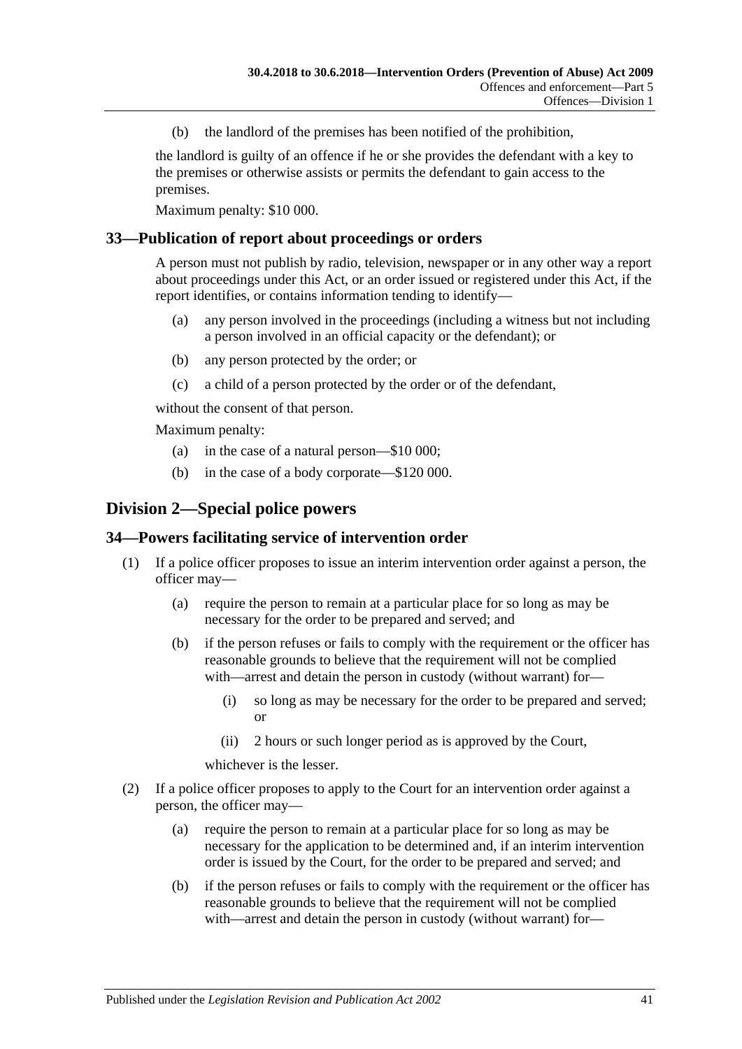(b) the landlord of the premises has been notified of the prohibition,

the landlord is guilty of an offence if he or she provides the defendant with a key to the premises or otherwise assists or permits the defendant to gain access to the premises.

Maximum penalty: \$10 000.

#### <span id="page-40-0"></span>**33—Publication of report about proceedings or orders**

A person must not publish by radio, television, newspaper or in any other way a report about proceedings under this Act, or an order issued or registered under this Act, if the report identifies, or contains information tending to identify—

- (a) any person involved in the proceedings (including a witness but not including a person involved in an official capacity or the defendant); or
- (b) any person protected by the order; or
- (c) a child of a person protected by the order or of the defendant,

without the consent of that person.

Maximum penalty:

- (a) in the case of a natural person—\$10 000;
- (b) in the case of a body corporate—\$120 000.

## <span id="page-40-1"></span>**Division 2—Special police powers**

#### <span id="page-40-2"></span>**34—Powers facilitating service of intervention order**

- (1) If a police officer proposes to issue an interim intervention order against a person, the officer may—
	- (a) require the person to remain at a particular place for so long as may be necessary for the order to be prepared and served; and
	- (b) if the person refuses or fails to comply with the requirement or the officer has reasonable grounds to believe that the requirement will not be complied with—arrest and detain the person in custody (without warrant) for—
		- (i) so long as may be necessary for the order to be prepared and served; or
		- (ii) 2 hours or such longer period as is approved by the Court,

whichever is the lesser.

- (2) If a police officer proposes to apply to the Court for an intervention order against a person, the officer may—
	- (a) require the person to remain at a particular place for so long as may be necessary for the application to be determined and, if an interim intervention order is issued by the Court, for the order to be prepared and served; and
	- (b) if the person refuses or fails to comply with the requirement or the officer has reasonable grounds to believe that the requirement will not be complied with—arrest and detain the person in custody (without warrant) for—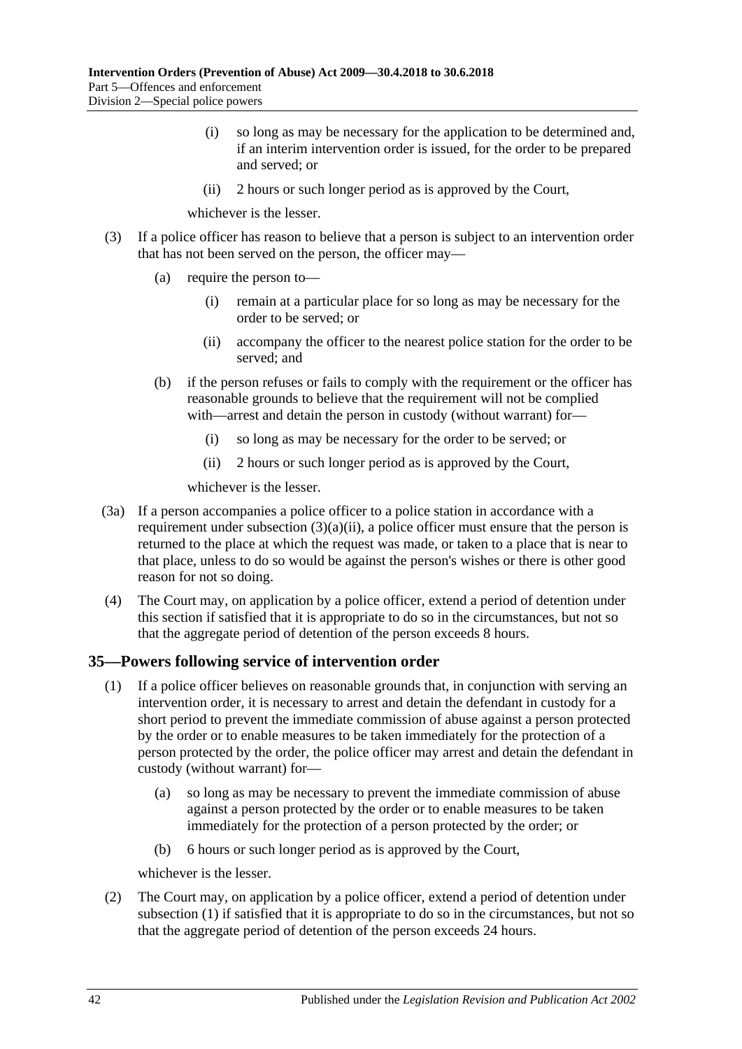- (i) so long as may be necessary for the application to be determined and, if an interim intervention order is issued, for the order to be prepared and served; or
- (ii) 2 hours or such longer period as is approved by the Court,

whichever is the lesser.

- <span id="page-41-1"></span>(3) If a police officer has reason to believe that a person is subject to an intervention order that has not been served on the person, the officer may—
	- (a) require the person to—
		- (i) remain at a particular place for so long as may be necessary for the order to be served; or
		- (ii) accompany the officer to the nearest police station for the order to be served; and
	- (b) if the person refuses or fails to comply with the requirement or the officer has reasonable grounds to believe that the requirement will not be complied with—arrest and detain the person in custody (without warrant) for—
		- (i) so long as may be necessary for the order to be served; or
		- (ii) 2 hours or such longer period as is approved by the Court,

whichever is the lesser.

- (3a) If a person accompanies a police officer to a police station in accordance with a requirement under [subsection](#page-41-1)  $(3)(a)(ii)$ , a police officer must ensure that the person is returned to the place at which the request was made, or taken to a place that is near to that place, unless to do so would be against the person's wishes or there is other good reason for not so doing.
- (4) The Court may, on application by a police officer, extend a period of detention under this section if satisfied that it is appropriate to do so in the circumstances, but not so that the aggregate period of detention of the person exceeds 8 hours.

## <span id="page-41-2"></span><span id="page-41-0"></span>**35—Powers following service of intervention order**

- (1) If a police officer believes on reasonable grounds that, in conjunction with serving an intervention order, it is necessary to arrest and detain the defendant in custody for a short period to prevent the immediate commission of abuse against a person protected by the order or to enable measures to be taken immediately for the protection of a person protected by the order, the police officer may arrest and detain the defendant in custody (without warrant) for—
	- (a) so long as may be necessary to prevent the immediate commission of abuse against a person protected by the order or to enable measures to be taken immediately for the protection of a person protected by the order; or
	- (b) 6 hours or such longer period as is approved by the Court,

whichever is the lesser.

(2) The Court may, on application by a police officer, extend a period of detention under [subsection](#page-41-2) (1) if satisfied that it is appropriate to do so in the circumstances, but not so that the aggregate period of detention of the person exceeds 24 hours.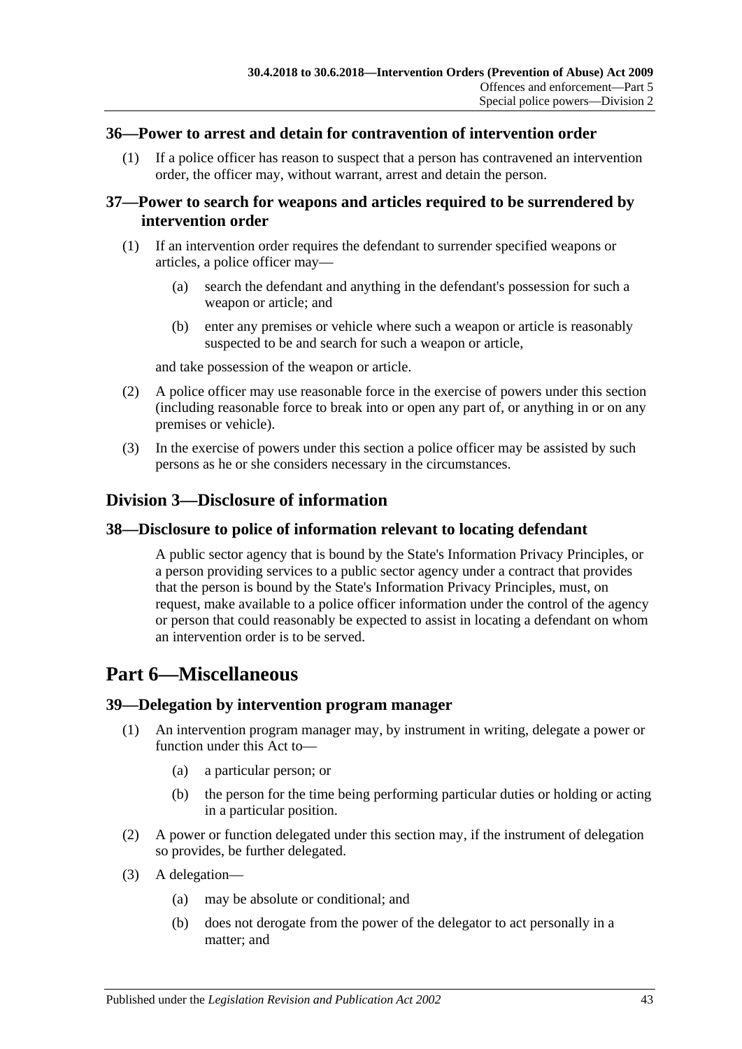#### <span id="page-42-0"></span>**36—Power to arrest and detain for contravention of intervention order**

(1) If a police officer has reason to suspect that a person has contravened an intervention order, the officer may, without warrant, arrest and detain the person.

## <span id="page-42-1"></span>**37—Power to search for weapons and articles required to be surrendered by intervention order**

- (1) If an intervention order requires the defendant to surrender specified weapons or articles, a police officer may—
	- (a) search the defendant and anything in the defendant's possession for such a weapon or article; and
	- (b) enter any premises or vehicle where such a weapon or article is reasonably suspected to be and search for such a weapon or article,

and take possession of the weapon or article.

- (2) A police officer may use reasonable force in the exercise of powers under this section (including reasonable force to break into or open any part of, or anything in or on any premises or vehicle).
- (3) In the exercise of powers under this section a police officer may be assisted by such persons as he or she considers necessary in the circumstances.

## <span id="page-42-2"></span>**Division 3—Disclosure of information**

#### <span id="page-42-3"></span>**38—Disclosure to police of information relevant to locating defendant**

A public sector agency that is bound by the State's Information Privacy Principles, or a person providing services to a public sector agency under a contract that provides that the person is bound by the State's Information Privacy Principles, must, on request, make available to a police officer information under the control of the agency or person that could reasonably be expected to assist in locating a defendant on whom an intervention order is to be served.

## <span id="page-42-4"></span>**Part 6—Miscellaneous**

#### <span id="page-42-5"></span>**39—Delegation by intervention program manager**

- (1) An intervention program manager may, by instrument in writing, delegate a power or function under this Act to—
	- (a) a particular person; or
	- (b) the person for the time being performing particular duties or holding or acting in a particular position.
- (2) A power or function delegated under this section may, if the instrument of delegation so provides, be further delegated.
- (3) A delegation—
	- (a) may be absolute or conditional; and
	- (b) does not derogate from the power of the delegator to act personally in a matter; and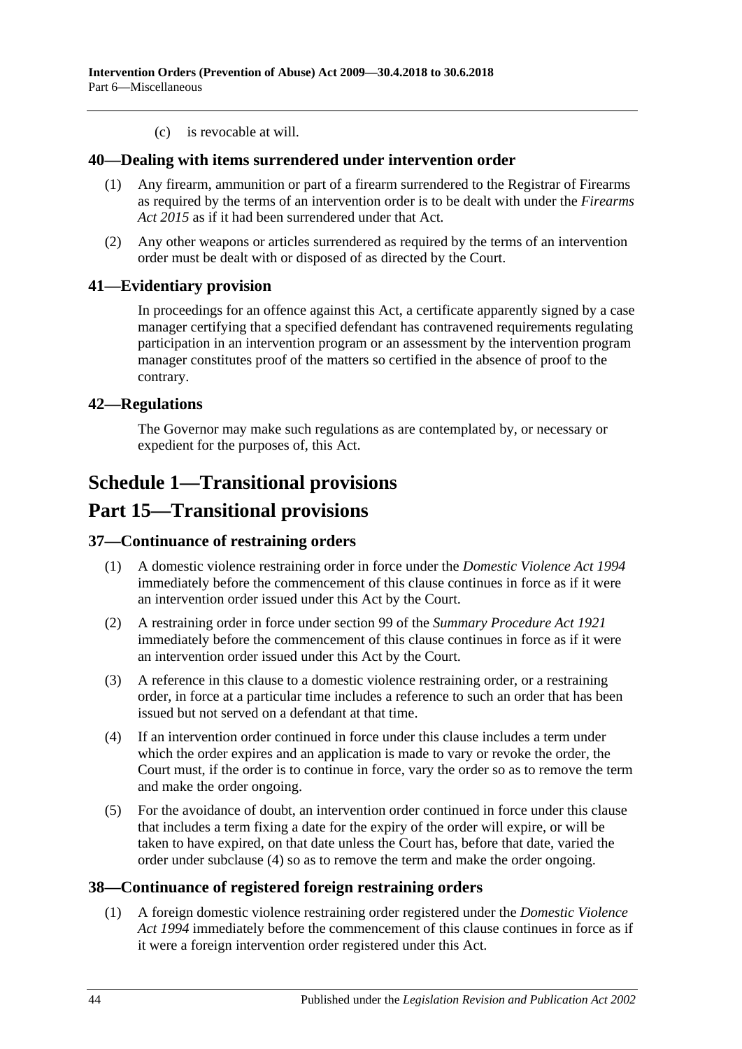(c) is revocable at will.

#### <span id="page-43-0"></span>**40—Dealing with items surrendered under intervention order**

- (1) Any firearm, ammunition or part of a firearm surrendered to the Registrar of Firearms as required by the terms of an intervention order is to be dealt with under the *[Firearms](http://www.legislation.sa.gov.au/index.aspx?action=legref&type=act&legtitle=Firearms%20Act%202015)  Act [2015](http://www.legislation.sa.gov.au/index.aspx?action=legref&type=act&legtitle=Firearms%20Act%202015)* as if it had been surrendered under that Act.
- (2) Any other weapons or articles surrendered as required by the terms of an intervention order must be dealt with or disposed of as directed by the Court.

## <span id="page-43-1"></span>**41—Evidentiary provision**

In proceedings for an offence against this Act, a certificate apparently signed by a case manager certifying that a specified defendant has contravened requirements regulating participation in an intervention program or an assessment by the intervention program manager constitutes proof of the matters so certified in the absence of proof to the contrary.

## <span id="page-43-2"></span>**42—Regulations**

The Governor may make such regulations as are contemplated by, or necessary or expedient for the purposes of, this Act.

## <span id="page-43-3"></span>**Schedule 1—Transitional provisions**

## **Part 15—Transitional provisions**

#### <span id="page-43-4"></span>**37—Continuance of restraining orders**

- (1) A domestic violence restraining order in force under the *[Domestic Violence Act](http://www.legislation.sa.gov.au/index.aspx?action=legref&type=act&legtitle=Domestic%20Violence%20Act%201994) 1994* immediately before the commencement of this clause continues in force as if it were an intervention order issued under this Act by the Court.
- (2) A restraining order in force under section 99 of the *[Summary Procedure Act](http://www.legislation.sa.gov.au/index.aspx?action=legref&type=act&legtitle=Summary%20Procedure%20Act%201921) 1921* immediately before the commencement of this clause continues in force as if it were an intervention order issued under this Act by the Court.
- (3) A reference in this clause to a domestic violence restraining order, or a restraining order, in force at a particular time includes a reference to such an order that has been issued but not served on a defendant at that time.
- <span id="page-43-6"></span>(4) If an intervention order continued in force under this clause includes a term under which the order expires and an application is made to vary or revoke the order, the Court must, if the order is to continue in force, vary the order so as to remove the term and make the order ongoing.
- (5) For the avoidance of doubt, an intervention order continued in force under this clause that includes a term fixing a date for the expiry of the order will expire, or will be taken to have expired, on that date unless the Court has, before that date, varied the order under [subclause](#page-43-6) (4) so as to remove the term and make the order ongoing.

## <span id="page-43-5"></span>**38—Continuance of registered foreign restraining orders**

(1) A foreign domestic violence restraining order registered under the *[Domestic Violence](http://www.legislation.sa.gov.au/index.aspx?action=legref&type=act&legtitle=Domestic%20Violence%20Act%201994)  Act [1994](http://www.legislation.sa.gov.au/index.aspx?action=legref&type=act&legtitle=Domestic%20Violence%20Act%201994)* immediately before the commencement of this clause continues in force as if it were a foreign intervention order registered under this Act.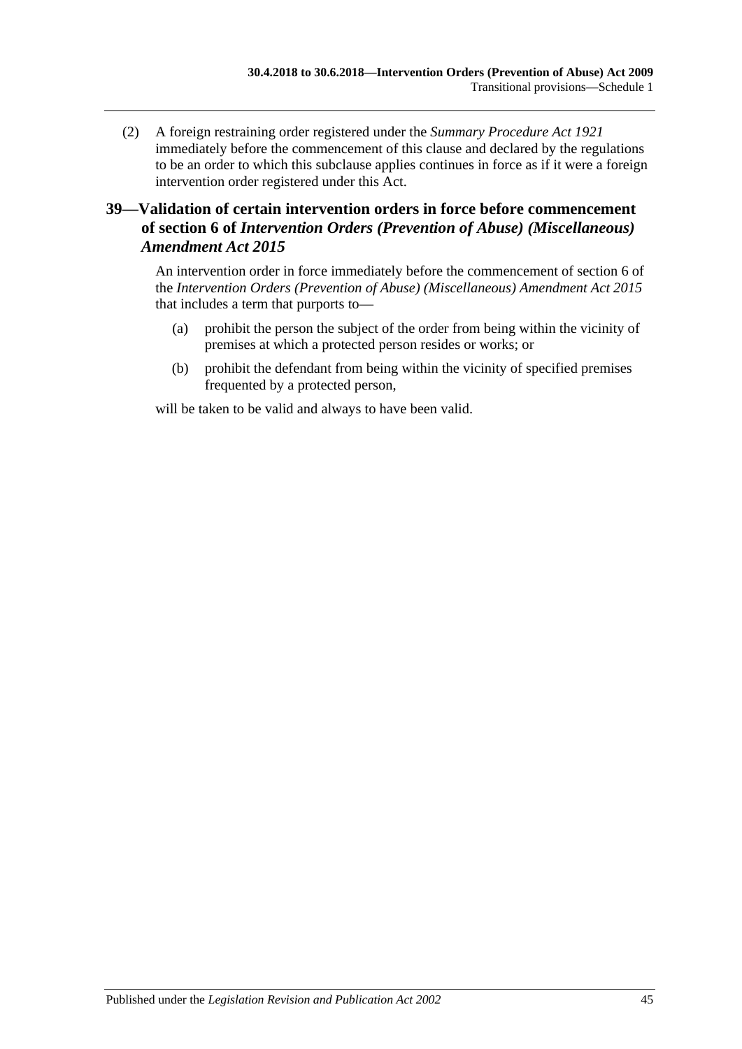(2) A foreign restraining order registered under the *[Summary Procedure Act](http://www.legislation.sa.gov.au/index.aspx?action=legref&type=act&legtitle=Summary%20Procedure%20Act%201921) 1921* immediately before the commencement of this clause and declared by the regulations to be an order to which this subclause applies continues in force as if it were a foreign intervention order registered under this Act.

## <span id="page-44-0"></span>**39—Validation of certain intervention orders in force before commencement of section 6 of** *Intervention Orders (Prevention of Abuse) (Miscellaneous) Amendment Act 2015*

An intervention order in force immediately before the commencement of section 6 of the *[Intervention Orders \(Prevention of Abuse\) \(Miscellaneous\) Amendment Act](http://www.legislation.sa.gov.au/index.aspx?action=legref&type=act&legtitle=Intervention%20Orders%20(Prevention%20of%20Abuse)%20(Miscellaneous)%20Amendment%20Act%202015) 2015* that includes a term that purports to—

- (a) prohibit the person the subject of the order from being within the vicinity of premises at which a protected person resides or works; or
- (b) prohibit the defendant from being within the vicinity of specified premises frequented by a protected person,

will be taken to be valid and always to have been valid.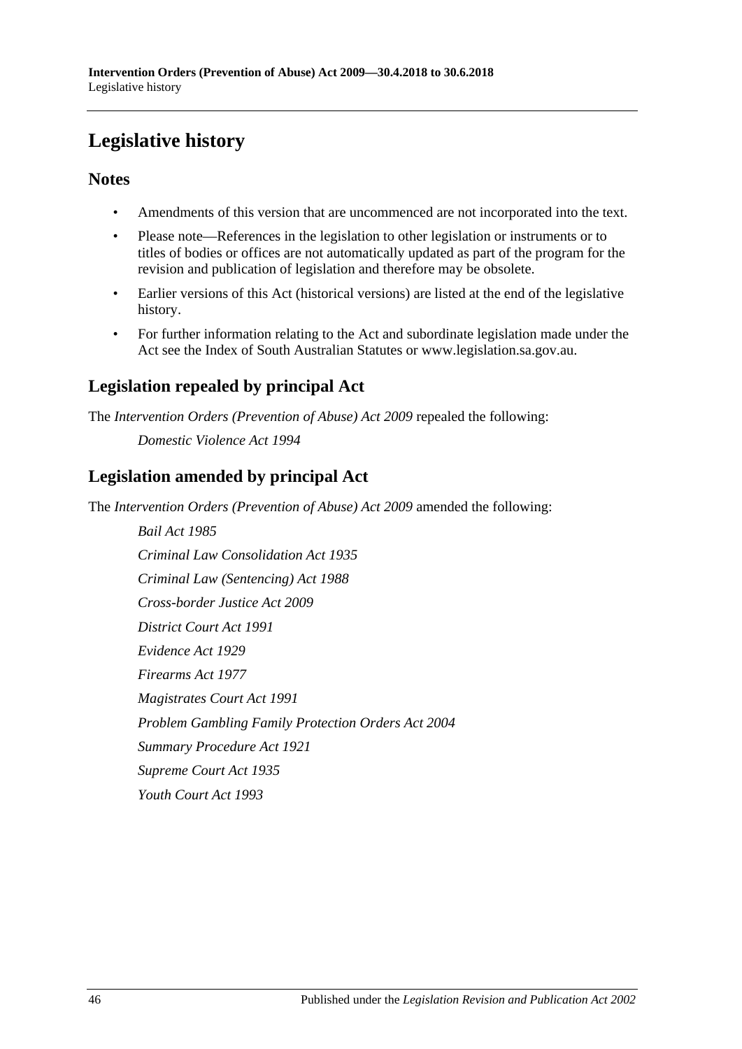# <span id="page-45-0"></span>**Legislative history**

## **Notes**

- Amendments of this version that are uncommenced are not incorporated into the text.
- Please note—References in the legislation to other legislation or instruments or to titles of bodies or offices are not automatically updated as part of the program for the revision and publication of legislation and therefore may be obsolete.
- Earlier versions of this Act (historical versions) are listed at the end of the legislative history.
- For further information relating to the Act and subordinate legislation made under the Act see the Index of South Australian Statutes or www.legislation.sa.gov.au.

## **Legislation repealed by principal Act**

The *Intervention Orders (Prevention of Abuse) Act 2009* repealed the following:

*Domestic Violence Act 1994*

## **Legislation amended by principal Act**

The *Intervention Orders (Prevention of Abuse) Act 2009* amended the following:

*Bail Act 1985 Criminal Law Consolidation Act 1935 Criminal Law (Sentencing) Act 1988 Cross-border Justice Act 2009 District Court Act 1991 Evidence Act 1929 Firearms Act 1977 Magistrates Court Act 1991 Problem Gambling Family Protection Orders Act 2004 Summary Procedure Act 1921 Supreme Court Act 1935 Youth Court Act 1993*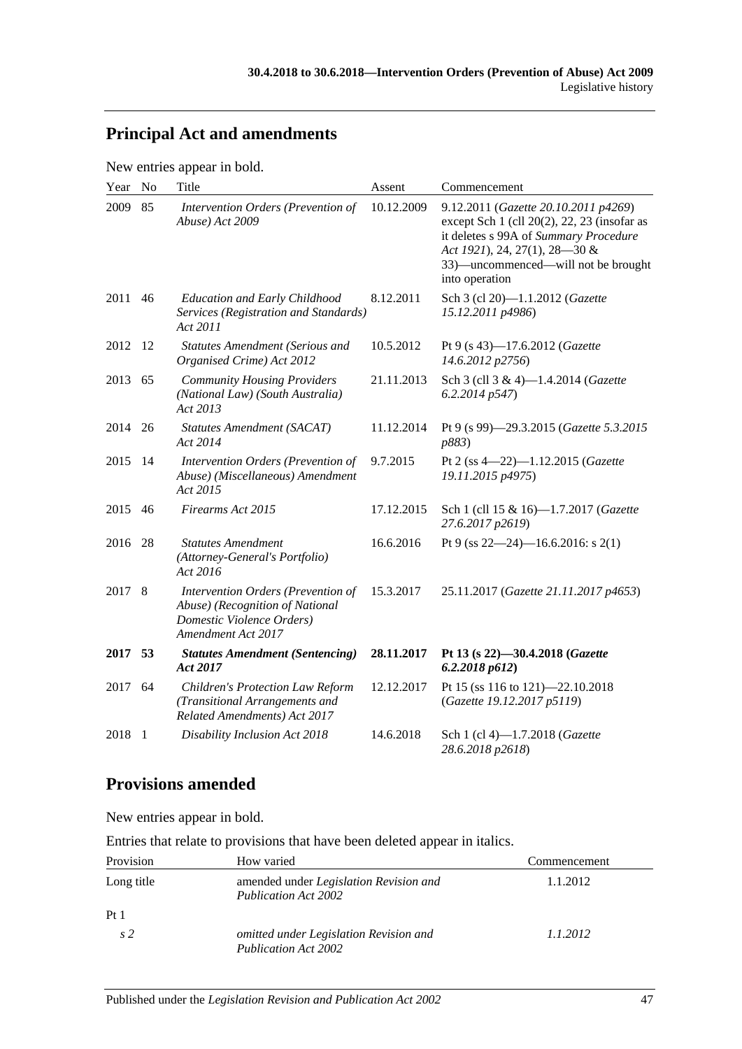## **Principal Act and amendments**

New entries appear in bold.

| Year   | No  | Title                                                                                                                    | Assent     | Commencement                                                                                                                                                                                                                |
|--------|-----|--------------------------------------------------------------------------------------------------------------------------|------------|-----------------------------------------------------------------------------------------------------------------------------------------------------------------------------------------------------------------------------|
| 2009   | 85  | Intervention Orders (Prevention of<br>Abuse) Act 2009                                                                    | 10.12.2009 | 9.12.2011 (Gazette 20.10.2011 p4269)<br>except Sch $1$ (cll $20(2)$ , 22, 23 (insofar as<br>it deletes s 99A of Summary Procedure<br>Act 1921), 24, 27(1), 28-30 &<br>33)—uncommenced—will not be brought<br>into operation |
| 2011   | 46  | <b>Education and Early Childhood</b><br>Services (Registration and Standards)<br>Act 2011                                | 8.12.2011  | Sch 3 (cl 20)-1.1.2012 (Gazette<br>15.12.2011 p4986)                                                                                                                                                                        |
| 2012   | -12 | <b>Statutes Amendment (Serious and</b><br>Organised Crime) Act 2012                                                      | 10.5.2012  | Pt 9 (s 43)-17.6.2012 (Gazette<br>14.6.2012 p2756)                                                                                                                                                                          |
| 2013   | 65  | <b>Community Housing Providers</b><br>(National Law) (South Australia)<br>Act 2013                                       | 21.11.2013 | Sch 3 (cll 3 & 4)-1.4.2014 (Gazette<br>6.2.2014p547                                                                                                                                                                         |
| 2014   | 26  | <b>Statutes Amendment (SACAT)</b><br>Act 2014                                                                            | 11.12.2014 | Pt 9 (s 99)-29.3.2015 (Gazette 5.3.2015<br>p883)                                                                                                                                                                            |
| 2015   | 14  | Intervention Orders (Prevention of<br>Abuse) (Miscellaneous) Amendment<br>Act 2015                                       | 9.7.2015   | Pt 2 (ss 4-22)-1.12.2015 (Gazette<br>19.11.2015 p4975)                                                                                                                                                                      |
| 2015   | 46  | Firearms Act 2015                                                                                                        | 17.12.2015 | Sch 1 (cll 15 & 16)-1.7.2017 (Gazette<br>27.6.2017 p2619)                                                                                                                                                                   |
| 2016   | 28  | <b>Statutes Amendment</b><br>(Attorney-General's Portfolio)<br>Act 2016                                                  | 16.6.2016  | Pt 9 (ss $22-24$ )-16.6.2016: s 2(1)                                                                                                                                                                                        |
| 2017 8 |     | Intervention Orders (Prevention of<br>Abuse) (Recognition of National<br>Domestic Violence Orders)<br>Amendment Act 2017 | 15.3.2017  | 25.11.2017 (Gazette 21.11.2017 p4653)                                                                                                                                                                                       |
| 2017   | 53  | <b>Statutes Amendment (Sentencing)</b><br>Act 2017                                                                       | 28.11.2017 | Pt 13 (s 22)-30.4.2018 (Gazette<br>6.2.2018p612)                                                                                                                                                                            |
| 2017   | 64  | <b>Children's Protection Law Reform</b><br>(Transitional Arrangements and<br>Related Amendments) Act 2017                | 12.12.2017 | Pt 15 (ss 116 to 121)-22.10.2018<br>(Gazette 19.12.2017 p5119)                                                                                                                                                              |
| 2018   | -1  | Disability Inclusion Act 2018                                                                                            | 14.6.2018  | Sch 1 (cl 4)-1.7.2018 (Gazette<br>28.6.2018 p2618)                                                                                                                                                                          |

## **Provisions amended**

New entries appear in bold.

Entries that relate to provisions that have been deleted appear in italics.

| Provision       | How varied                                                            | Commencement |
|-----------------|-----------------------------------------------------------------------|--------------|
| Long title      | amended under Legislation Revision and<br>Publication Act 2002        | 1.1.2012     |
| Pt <sub>1</sub> |                                                                       |              |
| s <sub>2</sub>  | omitted under Legislation Revision and<br><b>Publication Act 2002</b> | 1.1.2012     |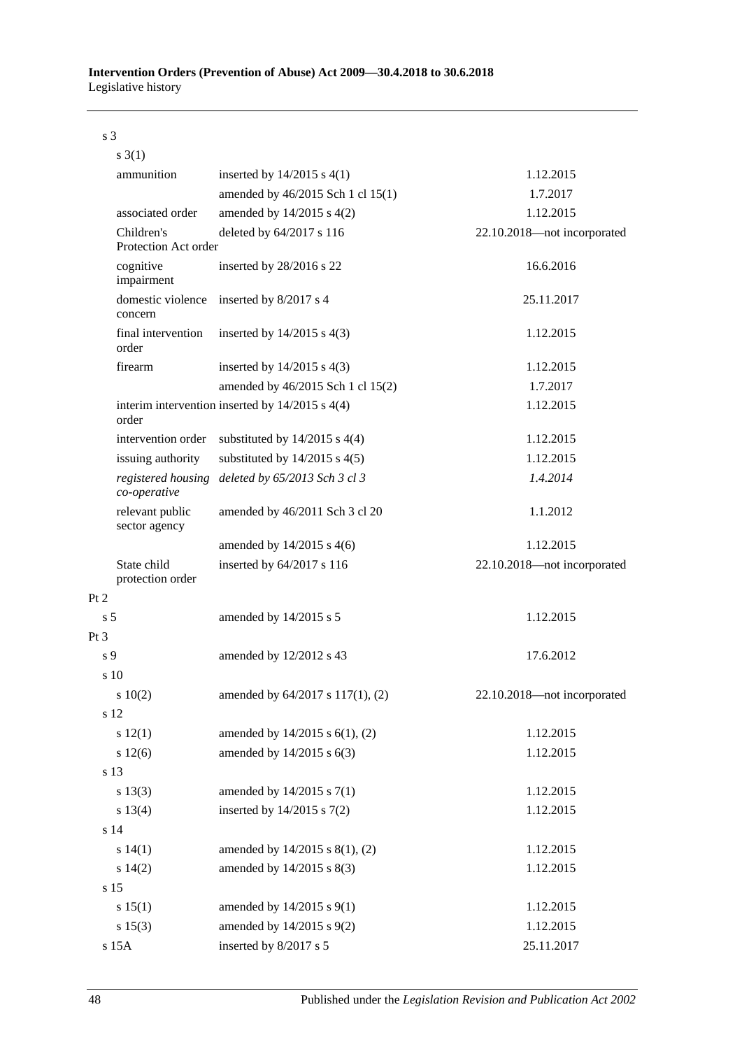s 3

|                | $s \; 3(1)$                        |                                                     |                             |
|----------------|------------------------------------|-----------------------------------------------------|-----------------------------|
|                | ammunition                         | inserted by $14/2015$ s $4(1)$                      | 1.12.2015                   |
|                |                                    | amended by 46/2015 Sch 1 cl 15(1)                   | 1.7.2017                    |
|                | associated order                   | amended by $14/2015$ s $4(2)$                       | 1.12.2015                   |
|                | Children's<br>Protection Act order | deleted by 64/2017 s 116                            | 22.10.2018-not incorporated |
|                | cognitive<br>impairment            | inserted by 28/2016 s 22                            | 16.6.2016                   |
|                | domestic violence<br>concern       | inserted by 8/2017 s 4                              | 25.11.2017                  |
|                | final intervention<br>order        | inserted by $14/2015$ s $4(3)$                      | 1.12.2015                   |
|                | firearm                            | inserted by $14/2015$ s $4(3)$                      | 1.12.2015                   |
|                |                                    | amended by 46/2015 Sch 1 cl 15(2)                   | 1.7.2017                    |
|                | order                              | interim intervention inserted by $14/2015$ s $4(4)$ | 1.12.2015                   |
|                | intervention order                 | substituted by $14/2015$ s $4(4)$                   | 1.12.2015                   |
|                | issuing authority                  | substituted by $14/2015$ s $4(5)$                   | 1.12.2015                   |
|                | registered housing<br>co-operative | deleted by 65/2013 Sch 3 cl 3                       | 1.4.2014                    |
|                | relevant public<br>sector agency   | amended by 46/2011 Sch 3 cl 20                      | 1.1.2012                    |
|                |                                    | amended by $14/2015$ s $4(6)$                       | 1.12.2015                   |
|                | State child<br>protection order    | inserted by 64/2017 s 116                           | 22.10.2018-not incorporated |
| Pt 2           |                                    |                                                     |                             |
| s <sub>5</sub> |                                    | amended by 14/2015 s 5                              | 1.12.2015                   |
| $Pt\,3$        |                                    |                                                     |                             |
| s 9            |                                    | amended by 12/2012 s 43                             | 17.6.2012                   |
|                | $\frac{10}{2}$                     |                                                     |                             |
|                | 10(2)                              | amended by 64/2017 s 117(1), (2)                    | 22.10.2018-not incorporated |
|                | s 12                               |                                                     |                             |
|                | s 12(1)                            | amended by 14/2015 s 6(1), (2)                      | 1.12.2015                   |
|                | s 12(6)                            | amended by 14/2015 s 6(3)                           | 1.12.2015                   |
|                | s 13                               |                                                     |                             |
|                | s 13(3)                            | amended by $14/2015$ s $7(1)$                       | 1.12.2015                   |
|                | s 13(4)                            | inserted by $14/2015$ s $7(2)$                      | 1.12.2015                   |
|                | s 14                               |                                                     |                             |
|                | s 14(1)                            | amended by 14/2015 s 8(1), (2)                      | 1.12.2015                   |
|                | s 14(2)                            | amended by 14/2015 s 8(3)                           | 1.12.2015                   |
|                | s 15                               |                                                     |                             |
|                | s 15(1)                            | amended by 14/2015 s 9(1)                           | 1.12.2015                   |
|                | s 15(3)                            | amended by 14/2015 s 9(2)                           | 1.12.2015                   |
|                | s 15A                              | inserted by 8/2017 s 5                              | 25.11.2017                  |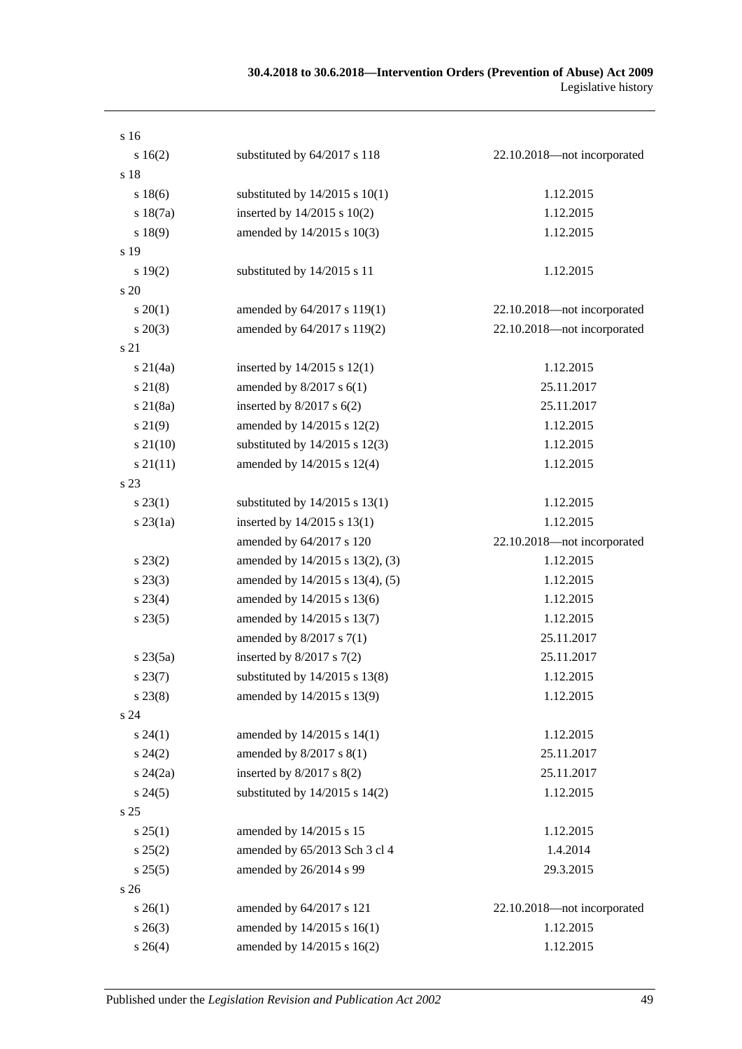| s 16            |                                    |                             |
|-----------------|------------------------------------|-----------------------------|
| s 16(2)         | substituted by 64/2017 s 118       | 22.10.2018-not incorporated |
| s 18            |                                    |                             |
| s 18(6)         | substituted by $14/2015$ s $10(1)$ | 1.12.2015                   |
| s 18(7a)        | inserted by 14/2015 s 10(2)        | 1.12.2015                   |
| s 18(9)         | amended by 14/2015 s 10(3)         | 1.12.2015                   |
| s 19            |                                    |                             |
| s 19(2)         | substituted by 14/2015 s 11        | 1.12.2015                   |
| s 20            |                                    |                             |
| $s \, 20(1)$    | amended by 64/2017 s 119(1)        | 22.10.2018-not incorporated |
| $s \ 20(3)$     | amended by 64/2017 s 119(2)        | 22.10.2018-not incorporated |
| s 21            |                                    |                             |
| $s \ 21(4a)$    | inserted by $14/2015$ s $12(1)$    | 1.12.2015                   |
| $s\,21(8)$      | amended by $8/2017$ s $6(1)$       | 25.11.2017                  |
| $s\ 21(8a)$     | inserted by $8/2017$ s $6(2)$      | 25.11.2017                  |
| $s\,21(9)$      | amended by 14/2015 s 12(2)         | 1.12.2015                   |
| $s\,21(10)$     | substituted by $14/2015$ s $12(3)$ | 1.12.2015                   |
| $s\,21(11)$     | amended by 14/2015 s 12(4)         | 1.12.2015                   |
| s 23            |                                    |                             |
| $s\,23(1)$      | substituted by $14/2015$ s $13(1)$ | 1.12.2015                   |
| $s$ 23 $(1a)$   | inserted by 14/2015 s 13(1)        | 1.12.2015                   |
|                 | amended by 64/2017 s 120           | 22.10.2018-not incorporated |
| $s\,23(2)$      | amended by 14/2015 s 13(2), (3)    | 1.12.2015                   |
| $s\,23(3)$      | amended by 14/2015 s 13(4), (5)    | 1.12.2015                   |
| $s\,23(4)$      | amended by 14/2015 s 13(6)         | 1.12.2015                   |
| $s\,23(5)$      | amended by 14/2015 s 13(7)         | 1.12.2015                   |
|                 | amended by $8/2017$ s $7(1)$       | 25.11.2017                  |
| $s\,23(5a)$     | inserted by $8/2017$ s $7(2)$      | 25.11.2017                  |
| $s\,23(7)$      | substituted by $14/2015$ s $13(8)$ | 1.12.2015                   |
| $s\,23(8)$      | amended by 14/2015 s 13(9)         | 1.12.2015                   |
| s24             |                                    |                             |
| $s\,24(1)$      | amended by 14/2015 s 14(1)         | 1.12.2015                   |
| $s\,24(2)$      | amended by 8/2017 s 8(1)           | 25.11.2017                  |
| $s\,24(2a)$     | inserted by $8/2017$ s $8(2)$      | 25.11.2017                  |
| $s\,24(5)$      | substituted by $14/2015$ s $14(2)$ | 1.12.2015                   |
| s <sub>25</sub> |                                    |                             |
| $s \, 25(1)$    | amended by 14/2015 s 15            | 1.12.2015                   |
| s 25(2)         | amended by 65/2013 Sch 3 cl 4      | 1.4.2014                    |
| s 25(5)         | amended by 26/2014 s 99            | 29.3.2015                   |
| s 26            |                                    |                             |
| $s \, 26(1)$    | amended by 64/2017 s 121           | 22.10.2018-not incorporated |
| $s \; 26(3)$    | amended by 14/2015 s 16(1)         | 1.12.2015                   |
| $s \; 26(4)$    | amended by 14/2015 s 16(2)         | 1.12.2015                   |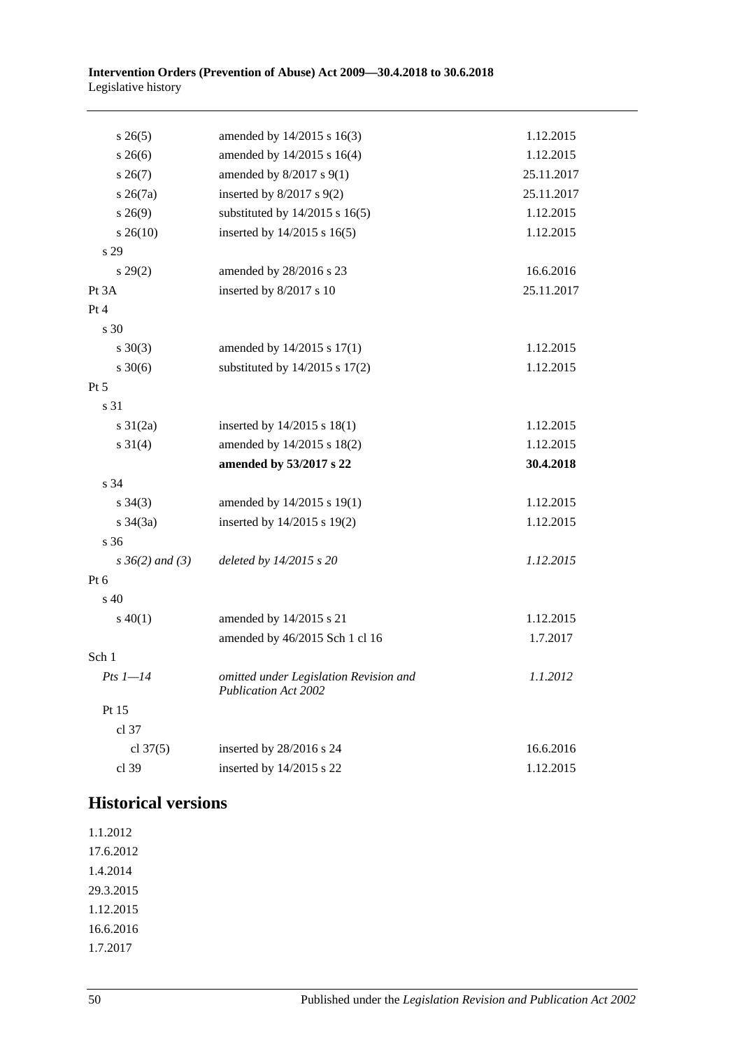| $s \, 26(5)$         | amended by 14/2015 s 16(3)                                            | 1.12.2015  |
|----------------------|-----------------------------------------------------------------------|------------|
| $s \; 26(6)$         | amended by 14/2015 s 16(4)                                            | 1.12.2015  |
| $s \, 26(7)$         | amended by $8/2017$ s $9(1)$                                          | 25.11.2017 |
| $s \; 26(7a)$        | inserted by $8/2017$ s $9(2)$                                         | 25.11.2017 |
| $s\,26(9)$           | substituted by $14/2015$ s $16(5)$                                    | 1.12.2015  |
| $s \; 26(10)$        | inserted by 14/2015 s 16(5)                                           | 1.12.2015  |
| s 29                 |                                                                       |            |
| $s\,29(2)$           | amended by 28/2016 s 23                                               | 16.6.2016  |
| Pt 3A                | inserted by 8/2017 s 10                                               | 25.11.2017 |
| Pt 4                 |                                                                       |            |
| s 30                 |                                                                       |            |
| $s \ 30(3)$          | amended by 14/2015 s 17(1)                                            | 1.12.2015  |
| $s \ 30(6)$          | substituted by $14/2015$ s $17(2)$                                    | 1.12.2015  |
| $Pt\,5$              |                                                                       |            |
| s 31                 |                                                                       |            |
| $s \frac{31}{2a}$    | inserted by $14/2015$ s $18(1)$                                       | 1.12.2015  |
| $s \ 31(4)$          | amended by 14/2015 s 18(2)                                            | 1.12.2015  |
|                      | amended by 53/2017 s 22                                               | 30.4.2018  |
| s 34                 |                                                                       |            |
| $s \; 34(3)$         | amended by 14/2015 s 19(1)                                            | 1.12.2015  |
| $s \; 34(3a)$        | inserted by 14/2015 s 19(2)                                           | 1.12.2015  |
| s 36                 |                                                                       |            |
| $s \, 36(2)$ and (3) | deleted by 14/2015 s 20                                               | 1.12.2015  |
| Pt 6                 |                                                                       |            |
| $s\,40$              |                                                                       |            |
| $s\ 40(1)$           | amended by 14/2015 s 21                                               | 1.12.2015  |
|                      | amended by 46/2015 Sch 1 cl 16                                        | 1.7.2017   |
| Sch 1                |                                                                       |            |
| $Pts$ 1-14           | omitted under Legislation Revision and<br><b>Publication Act 2002</b> | 1.1.2012   |
| Pt 15                |                                                                       |            |
| cl 37                |                                                                       |            |
| cl $37(5)$           | inserted by 28/2016 s 24                                              | 16.6.2016  |
| cl 39                | inserted by 14/2015 s 22                                              | 1.12.2015  |

## **Historical versions**

1.1.2012 17.6.2012 1.4.2014 29.3.2015 1.12.2015 16.6.2016 1.7.2017